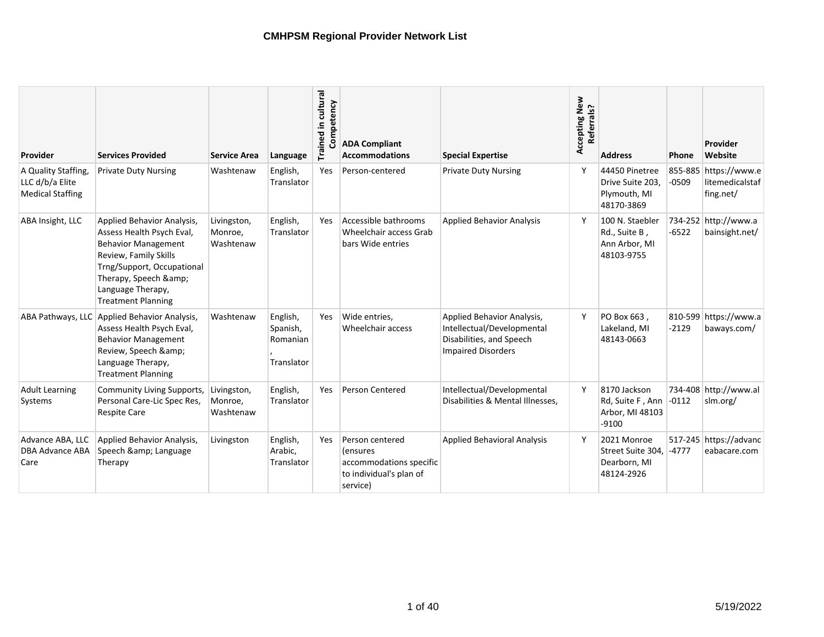| Provider                                                         | <b>Services Provided</b>                                                                                                                                                                                            | <b>Service Area</b>                 | Language                                       | Trained in cultural<br>Competency | <b>ADA Compliant</b><br><b>Accommodations</b>                                                 | <b>Special Expertise</b>                                                                                          | Accepting New<br>Referrals? | <b>Address</b>                                                   | Phone   | Provider<br>Website                                   |
|------------------------------------------------------------------|---------------------------------------------------------------------------------------------------------------------------------------------------------------------------------------------------------------------|-------------------------------------|------------------------------------------------|-----------------------------------|-----------------------------------------------------------------------------------------------|-------------------------------------------------------------------------------------------------------------------|-----------------------------|------------------------------------------------------------------|---------|-------------------------------------------------------|
| A Quality Staffing<br>LLC d/b/a Elite<br><b>Medical Staffing</b> | <b>Private Duty Nursing</b>                                                                                                                                                                                         | Washtenaw                           | English,<br>Translator                         | Yes                               | Person-centered                                                                               | <b>Private Duty Nursing</b>                                                                                       | Y                           | 44450 Pinetree<br>Drive Suite 203,<br>Plymouth, MI<br>48170-3869 | $-0509$ | 855-885 https://www.e<br>litemedicalstaf<br>fing.net/ |
| ABA Insight, LLC                                                 | Applied Behavior Analysis,<br>Assess Health Psych Eval,<br><b>Behavior Management</b><br>Review, Family Skills<br>Trng/Support, Occupational<br>Therapy, Speech &<br>Language Therapy,<br><b>Treatment Planning</b> | Livingston,<br>Monroe,<br>Washtenaw | English,<br>Translator                         | Yes                               | Accessible bathrooms<br>Wheelchair access Grab<br>bars Wide entries                           | <b>Applied Behavior Analysis</b>                                                                                  | Y                           | 100 N. Staebler<br>Rd., Suite B,<br>Ann Arbor, MI<br>48103-9755  | $-6522$ | 734-252 http://www.a<br>bainsight.net/                |
|                                                                  | ABA Pathways, LLC Applied Behavior Analysis,<br>Assess Health Psych Eval,<br><b>Behavior Management</b><br>Review, Speech &<br>Language Therapy,<br><b>Treatment Planning</b>                                       | Washtenaw                           | English,<br>Spanish,<br>Romanian<br>Translator | Yes                               | Wide entries,<br>Wheelchair access                                                            | Applied Behavior Analysis,<br>Intellectual/Developmental<br>Disabilities, and Speech<br><b>Impaired Disorders</b> | Y                           | PO Box 663,<br>Lakeland, MI<br>48143-0663                        | $-2129$ | 810-599 https://www.a<br>baways.com/                  |
| <b>Adult Learning</b><br>Systems                                 | Community Living Supports,<br>Personal Care-Lic Spec Res,<br><b>Respite Care</b>                                                                                                                                    | Livingston,<br>Monroe,<br>Washtenaw | English,<br>Translator                         | Yes                               | <b>Person Centered</b>                                                                        | Intellectual/Developmental<br>Disabilities & Mental Illnesses,                                                    | Y                           | 8170 Jackson<br>Rd, Suite F, Ann<br>Arbor, MI 48103<br>$-9100$   | $-0112$ | 734-408 http://www.al<br>slm.org/                     |
| Advance ABA, LLC<br><b>DBA Advance ABA</b><br>Care               | Applied Behavior Analysis,<br>Speech & Language<br>Therapy                                                                                                                                                          | Livingston                          | English,<br>Arabic,<br>Translator              | Yes                               | Person centered<br>(ensures<br>accommodations specific<br>to individual's plan of<br>service) | <b>Applied Behavioral Analysis</b>                                                                                | <b>V</b>                    | 2021 Monroe<br>Street Suite 304.<br>Dearborn, MI<br>48124-2926   | $-4777$ | 517-245 https://advanc<br>eabacare.com                |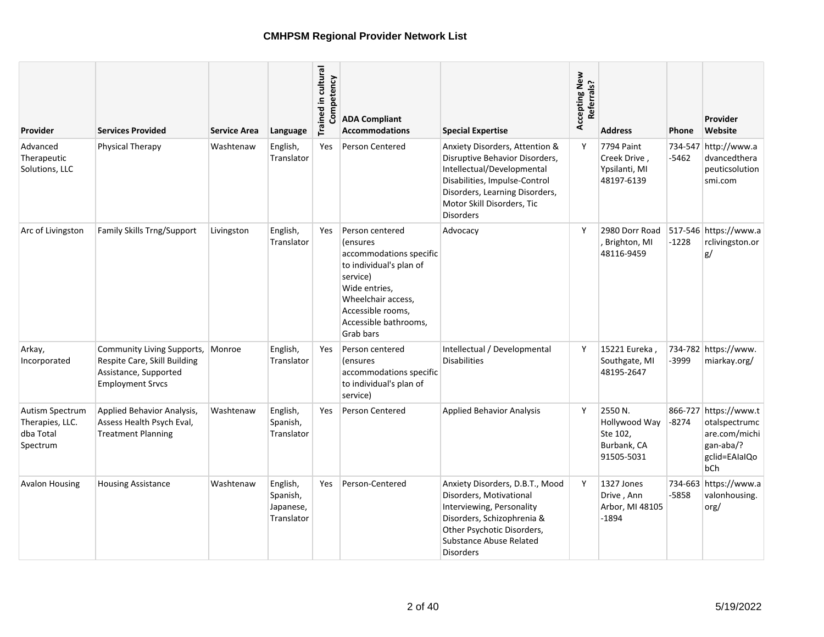| Provider                                                    | <b>Services Provided</b>                                                                                       | <b>Service Area</b> | Language                                        | Trained in cultural<br>petency<br>Comp | <b>ADA Compliant</b><br><b>Accommodations</b>                                                                                                                                                           | <b>Special Expertise</b>                                                                                                                                                                                            | Accepting New<br>Referrals? | <b>Address</b>                                                    | Phone   | Provider<br>Website                                                                                 |
|-------------------------------------------------------------|----------------------------------------------------------------------------------------------------------------|---------------------|-------------------------------------------------|----------------------------------------|---------------------------------------------------------------------------------------------------------------------------------------------------------------------------------------------------------|---------------------------------------------------------------------------------------------------------------------------------------------------------------------------------------------------------------------|-----------------------------|-------------------------------------------------------------------|---------|-----------------------------------------------------------------------------------------------------|
| Advanced<br>Therapeutic<br>Solutions, LLC                   | Physical Therapy                                                                                               | Washtenaw           | English,<br>Translator                          | <b>Yes</b>                             | <b>Person Centered</b>                                                                                                                                                                                  | Anxiety Disorders, Attention &<br>Disruptive Behavior Disorders,<br>Intellectual/Developmental<br>Disabilities, Impulse-Control<br>Disorders, Learning Disorders,<br>Motor Skill Disorders, Tic<br><b>Disorders</b> | Y                           | 7794 Paint<br>Creek Drive,<br>Ypsilanti, MI<br>48197-6139         | $-5462$ | 734-547 http://www.a<br>dvancedthera<br>peuticsolution<br>smi.com                                   |
| Arc of Livingston                                           | <b>Family Skills Trng/Support</b>                                                                              | Livingston          | English,<br>Translator                          | <b>Yes</b>                             | Person centered<br><i>(ensures)</i><br>accommodations specific<br>to individual's plan of<br>service)<br>Wide entries,<br>Wheelchair access,<br>Accessible rooms,<br>Accessible bathrooms,<br>Grab bars | Advocacy                                                                                                                                                                                                            | Y                           | 2980 Dorr Road<br>Brighton, MI<br>48116-9459                      | $-1228$ | 517-546 https://www.a<br>rclivingston.or<br>g/                                                      |
| Arkay,<br>Incorporated                                      | Community Living Supports,<br>Respite Care, Skill Building<br>Assistance, Supported<br><b>Employment Srvcs</b> | Monroe              | English,<br>Translator                          | Yes                                    | Person centered<br><i>(ensures)</i><br>accommodations specific<br>to individual's plan of<br>service)                                                                                                   | Intellectual / Developmental<br><b>Disabilities</b>                                                                                                                                                                 | Y                           | 15221 Eureka,<br>Southgate, MI<br>48195-2647                      | -3999   | 734-782 https://www.<br>miarkay.org/                                                                |
| Autism Spectrum<br>Therapies, LLC.<br>dba Total<br>Spectrum | Applied Behavior Analysis,<br>Assess Health Psych Eval,<br><b>Treatment Planning</b>                           | Washtenaw           | English,<br>Spanish,<br>Translator              | <b>Yes</b>                             | <b>Person Centered</b>                                                                                                                                                                                  | <b>Applied Behavior Analysis</b>                                                                                                                                                                                    | Y                           | 2550 N.<br>Hollywood Way<br>Ste 102,<br>Burbank, CA<br>91505-5031 | -8274   | 866-727 https://www.t<br>otalspectrumc<br>are.com/michi<br>gan-aba/?<br>gclid=EAIaIQo<br><b>bCh</b> |
| <b>Avalon Housing</b>                                       | <b>Housing Assistance</b>                                                                                      | Washtenaw           | English,<br>Spanish,<br>Japanese,<br>Translator | <b>Yes</b>                             | Person-Centered                                                                                                                                                                                         | Anxiety Disorders, D.B.T., Mood<br>Disorders, Motivational<br>Interviewing, Personality<br>Disorders, Schizophrenia &<br>Other Psychotic Disorders,<br>Substance Abuse Related<br><b>Disorders</b>                  | Y                           | 1327 Jones<br>Drive, Ann<br>Arbor, MI 48105<br>$-1894$            | -5858   | 734-663 https://www.a<br>valonhousing.<br>org/                                                      |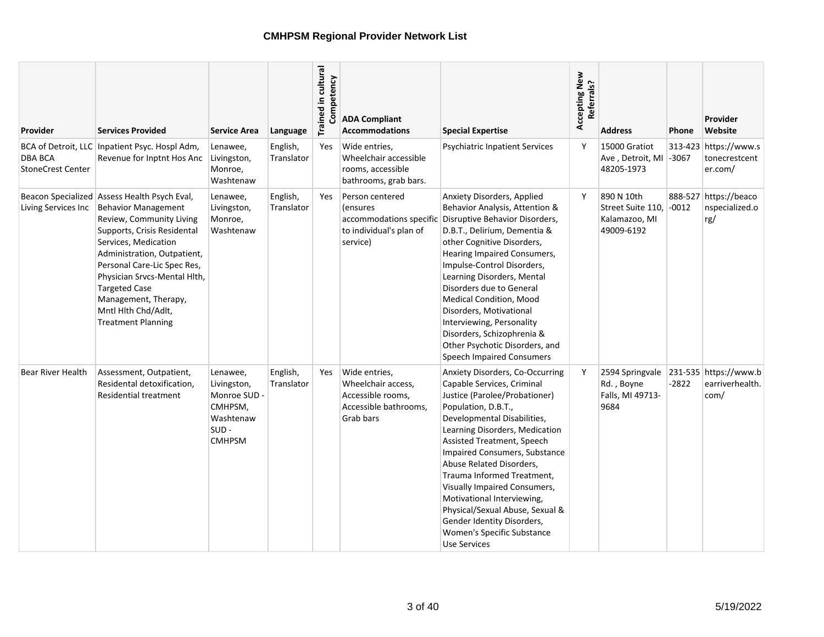| Provider                                   | Services Provided                                                                                                                                                                                                                                                                                                                                               | <b>Service Area</b>                                                                         | Language               | Trained in cultural<br>Competency | <b>ADA Compliant</b><br><b>Accommodations</b>                                                        | <b>Special Expertise</b>                                                                                                                                                                                                                                                                                                                                                                                                                                                                     | Accepting New<br>Referrals? | <b>Address</b>                                                 | Phone   | Provider<br>Website                               |
|--------------------------------------------|-----------------------------------------------------------------------------------------------------------------------------------------------------------------------------------------------------------------------------------------------------------------------------------------------------------------------------------------------------------------|---------------------------------------------------------------------------------------------|------------------------|-----------------------------------|------------------------------------------------------------------------------------------------------|----------------------------------------------------------------------------------------------------------------------------------------------------------------------------------------------------------------------------------------------------------------------------------------------------------------------------------------------------------------------------------------------------------------------------------------------------------------------------------------------|-----------------------------|----------------------------------------------------------------|---------|---------------------------------------------------|
| <b>DBA BCA</b><br><b>StoneCrest Center</b> | BCA of Detroit, LLC   Inpatient Psyc. Hospl Adm,<br>Revenue for Inptnt Hos Anc Livingston,                                                                                                                                                                                                                                                                      | Lenawee,<br>Monroe,<br>Washtenaw                                                            | English,<br>Translator | Yes                               | Wide entries,<br>Wheelchair accessible<br>rooms, accessible<br>bathrooms, grab bars.                 | <b>Psychiatric Inpatient Services</b>                                                                                                                                                                                                                                                                                                                                                                                                                                                        | Y                           | 15000 Gratiot<br>Ave, Detroit, MI -3067<br>48205-1973          |         | 313-423 https://www.s<br>tonecrestcent<br>er.com/ |
| Living Services Inc                        | Beacon Specialized Assess Health Psych Eval,<br><b>Behavior Management</b><br>Review, Community Living<br>Supports, Crisis Residental<br>Services, Medication<br>Administration, Outpatient,<br>Personal Care-Lic Spec Res,<br>Physician Srvcs-Mental Hlth,<br><b>Targeted Case</b><br>Management, Therapy,<br>Mntl Hlth Chd/Adlt,<br><b>Treatment Planning</b> | Lenawee,<br>Livingston,<br>Monroe,<br>Washtenaw                                             | English,<br>Translator | Yes                               | Person centered<br><i>(ensures</i><br>accommodations specific<br>to individual's plan of<br>service) | <b>Anxiety Disorders, Applied</b><br>Behavior Analysis, Attention &<br>Disruptive Behavior Disorders,<br>D.B.T., Delirium, Dementia &<br>other Cognitive Disorders,<br>Hearing Impaired Consumers,<br>Impulse-Control Disorders,<br>Learning Disorders, Mental<br>Disorders due to General<br>Medical Condition, Mood<br>Disorders, Motivational<br>Interviewing, Personality<br>Disorders, Schizophrenia &<br>Other Psychotic Disorders, and<br><b>Speech Impaired Consumers</b>            | Y                           | 890 N 10th<br>Street Suite 110.<br>Kalamazoo, MI<br>49009-6192 | $-0012$ | 888-527 https://beaco<br>nspecialized.o<br>rg/    |
| Bear River Health                          | Assessment, Outpatient,<br>Residental detoxification,<br>Residential treatment                                                                                                                                                                                                                                                                                  | Lenawee,<br>Livingston,<br>Monroe SUD -<br>CMHPSM,<br>Washtenaw<br>$SUB -$<br><b>CMHPSM</b> | English,<br>Translator | Yes                               | Wide entries,<br>Wheelchair access,<br>Accessible rooms,<br>Accessible bathrooms,<br>Grab bars       | Anxiety Disorders, Co-Occurring<br>Capable Services, Criminal<br>Justice (Parolee/Probationer)<br>Population, D.B.T.,<br>Developmental Disabilities,<br>Learning Disorders, Medication<br>Assisted Treatment, Speech<br>Impaired Consumers, Substance<br>Abuse Related Disorders,<br>Trauma Informed Treatment,<br>Visually Impaired Consumers,<br>Motivational Interviewing,<br>Physical/Sexual Abuse, Sexual &<br>Gender Identity Disorders,<br>Women's Specific Substance<br>Use Services | Y                           | 2594 Springvale<br>Rd., Boyne<br>Falls, MI 49713-<br>9684      | $-2822$ | 231-535 https://www.b<br>earriverhealth.<br>com/  |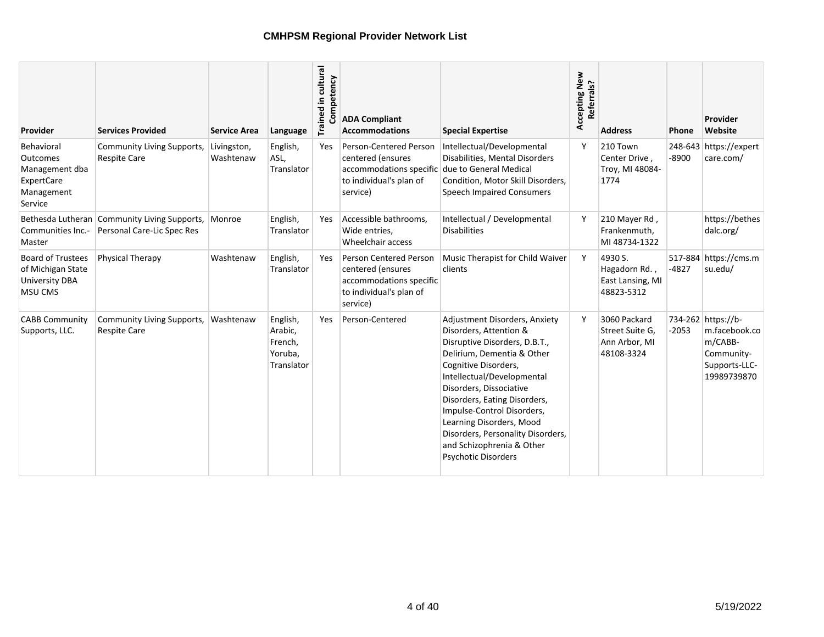| Provider                                                                                 | <b>Services Provided</b>                                                   | <b>Service Area</b>      | Language                                                | Trained in cultural<br>mpetency<br>ర్రె | <b>ADA Compliant</b><br><b>Accommodations</b>                                                                 | <b>Special Expertise</b>                                                                                                                                                                                                                                                                                                                                                                   | Accepting New<br>Referrals? | <b>Address</b>                                                 | <b>Phone</b> | Provider<br>Website                                                                          |
|------------------------------------------------------------------------------------------|----------------------------------------------------------------------------|--------------------------|---------------------------------------------------------|-----------------------------------------|---------------------------------------------------------------------------------------------------------------|--------------------------------------------------------------------------------------------------------------------------------------------------------------------------------------------------------------------------------------------------------------------------------------------------------------------------------------------------------------------------------------------|-----------------------------|----------------------------------------------------------------|--------------|----------------------------------------------------------------------------------------------|
| Behavioral<br>Outcomes<br>Management dba<br>ExpertCare<br>Management<br>Service          | Community Living Supports,<br>Respite Care                                 | Livingston,<br>Washtenaw | English,<br>ASL,<br>Translator                          | Yes                                     | Person-Centered Person<br>centered (ensures<br>accommodations specific<br>to individual's plan of<br>service) | Intellectual/Developmental<br>Disabilities, Mental Disorders<br>due to General Medical<br>Condition, Motor Skill Disorders,<br><b>Speech Impaired Consumers</b>                                                                                                                                                                                                                            | Y                           | 210 Town<br>Center Drive,<br>Troy, MI 48084-<br>1774           | $-8900$      | 248-643 https://expert<br>care.com/                                                          |
| Communities Inc.-<br>Master                                                              | Bethesda Lutheran Community Living Supports,<br>Personal Care-Lic Spec Res | Monroe                   | English,<br>Translator                                  | Yes                                     | Accessible bathrooms.<br>Wide entries,<br>Wheelchair access                                                   | Intellectual / Developmental<br><b>Disabilities</b>                                                                                                                                                                                                                                                                                                                                        | Y                           | 210 Mayer Rd,<br>Frankenmuth,<br>MI 48734-1322                 |              | https://bethes<br>dalc.org/                                                                  |
| <b>Board of Trustees</b><br>of Michigan State<br><b>University DBA</b><br><b>MSU CMS</b> | Physical Therapy                                                           | Washtenaw                | English,<br>Translator                                  | Yes                                     | Person Centered Person<br>centered (ensures<br>accommodations specific<br>to individual's plan of<br>service) | Music Therapist for Child Waiver<br>clients                                                                                                                                                                                                                                                                                                                                                | Y                           | 4930 S.<br>Hagadorn Rd.,<br>East Lansing, MI<br>48823-5312     | $-4827$      | 517-884 https://cms.m<br>su.edu/                                                             |
| <b>CABB Community</b><br>Supports, LLC.                                                  | Community Living Supports,<br>Respite Care                                 | Washtenaw                | English,<br>Arabic,<br>French,<br>Yoruba,<br>Translator | Yes                                     | Person-Centered                                                                                               | Adjustment Disorders, Anxiety<br>Disorders, Attention &<br>Disruptive Disorders, D.B.T.,<br>Delirium, Dementia & Other<br>Cognitive Disorders,<br>Intellectual/Developmental<br>Disorders, Dissociative<br>Disorders, Eating Disorders,<br>Impulse-Control Disorders,<br>Learning Disorders, Mood<br>Disorders, Personality Disorders,<br>and Schizophrenia & Other<br>Psychotic Disorders | Y                           | 3060 Packard<br>Street Suite G.<br>Ann Arbor, MI<br>48108-3324 | $-2053$      | 734-262 https://b-<br>m.facebook.co<br>m/CABB-<br>Community-<br>Supports-LLC-<br>19989739870 |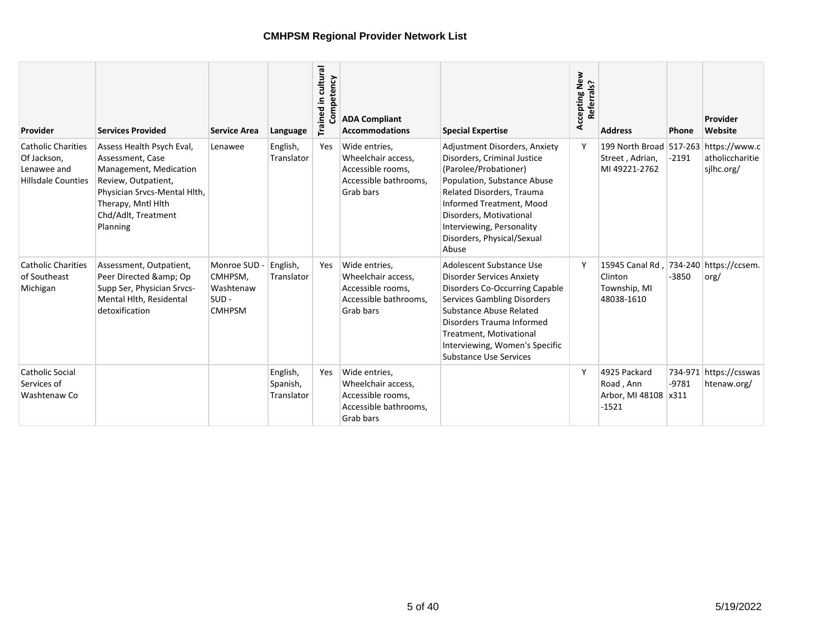| Provider                                                                             | <b>Services Provided</b>                                                                                                                                                                | <b>Service Area</b>                                              | Language                           | Trained in cultural<br>Competency | <b>ADA Compliant</b><br><b>Accommodations</b>                                                  | <b>Special Expertise</b>                                                                                                                                                                                                                                                                   | Accepting New<br>Referrals? | <b>Address</b>                                                            | <b>Phone</b> | Provider<br>Website                   |
|--------------------------------------------------------------------------------------|-----------------------------------------------------------------------------------------------------------------------------------------------------------------------------------------|------------------------------------------------------------------|------------------------------------|-----------------------------------|------------------------------------------------------------------------------------------------|--------------------------------------------------------------------------------------------------------------------------------------------------------------------------------------------------------------------------------------------------------------------------------------------|-----------------------------|---------------------------------------------------------------------------|--------------|---------------------------------------|
| <b>Catholic Charities</b><br>Of Jackson,<br>Lenawee and<br><b>Hillsdale Counties</b> | Assess Health Psych Eval,<br>Assessment, Case<br>Management, Medication<br>Review, Outpatient,<br>Physician Srvcs-Mental Hlth,<br>Therapy, Mntl Hlth<br>Chd/Adlt, Treatment<br>Planning | Lenawee                                                          | English,<br>Translator             | Yes                               | Wide entries,<br>Wheelchair access,<br>Accessible rooms,<br>Accessible bathrooms.<br>Grab bars | Adjustment Disorders, Anxiety<br>Disorders, Criminal Justice<br>(Parolee/Probationer)<br>Population, Substance Abuse<br>Related Disorders, Trauma<br>Informed Treatment, Mood<br>Disorders, Motivational<br>Interviewing, Personality<br>Disorders, Physical/Sexual<br>Abuse               |                             | 199 North Broad 517-263 https://www.c<br>Street, Adrian,<br>MI 49221-2762 | $-2191$      | atholiccharitie<br>silhc.org/         |
| <b>Catholic Charities</b><br>of Southeast<br>Michigan                                | Assessment, Outpatient,<br>Peer Directed & Op<br>Supp Ser, Physician Srvcs-<br>Mental Hith, Residental<br>detoxification                                                                | Monroe SUD -<br>CMHPSM,<br>Washtenaw<br>$SUB -$<br><b>CMHPSM</b> | English,<br>Translator             | Yes                               | Wide entries,<br>Wheelchair access.<br>Accessible rooms,<br>Accessible bathrooms,<br>Grab bars | Adolescent Substance Use<br><b>Disorder Services Anxiety</b><br>Disorders Co-Occurring Capable<br><b>Services Gambling Disorders</b><br>Substance Abuse Related<br>Disorders Trauma Informed<br>Treatment, Motivational<br>Interviewing, Women's Specific<br><b>Substance Use Services</b> | Y                           | 15945 Canal Rd.<br>Clinton<br>Township, MI<br>48038-1610                  | $-3850$      | 734-240 https://ccsem.<br>org/        |
| <b>Catholic Social</b><br>Services of<br>Washtenaw Co                                |                                                                                                                                                                                         |                                                                  | English,<br>Spanish,<br>Translator | Yes                               | Wide entries,<br>Wheelchair access.<br>Accessible rooms,<br>Accessible bathrooms,<br>Grab bars |                                                                                                                                                                                                                                                                                            |                             | 4925 Packard<br>Road, Ann<br>Arbor, MI 48108 x311<br>$-1521$              | $-9781$      | 734-971 https://csswas<br>htenaw.org/ |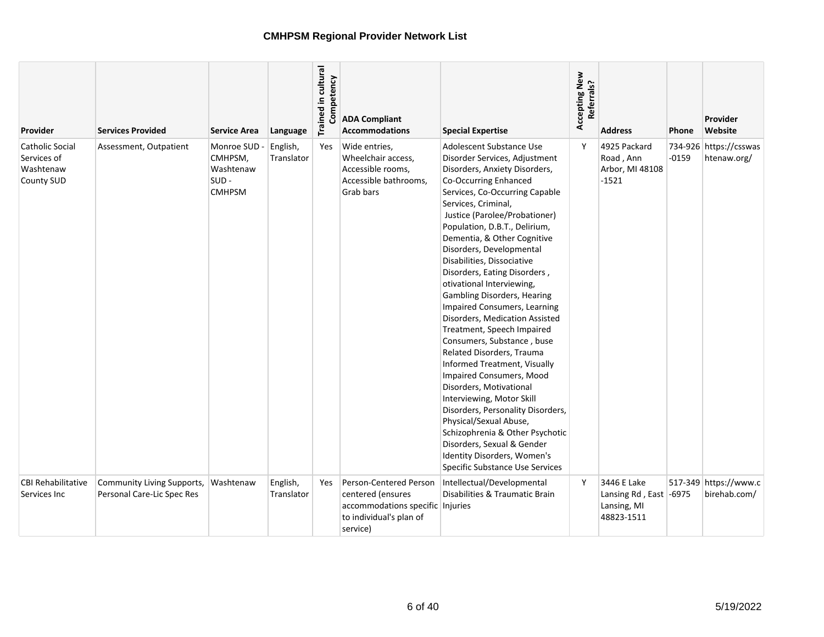| Provider                                                  | <b>Services Provided</b>                                 | <b>Service Area</b>                                         | Language               | Trained in cultural<br>Competency | <b>ADA Compliant</b><br><b>Accommodations</b>                                                                          | <b>Special Expertise</b>                                                                                                                                                                                                                                                                                                                                                                                                                                                                                                                                                                                                                                                                                                                                                                                                                                                                                                           | Accepting New<br>Referrals? | <b>Address</b>                                                     | <b>Phone</b> | <b>Provider</b><br>Website            |
|-----------------------------------------------------------|----------------------------------------------------------|-------------------------------------------------------------|------------------------|-----------------------------------|------------------------------------------------------------------------------------------------------------------------|------------------------------------------------------------------------------------------------------------------------------------------------------------------------------------------------------------------------------------------------------------------------------------------------------------------------------------------------------------------------------------------------------------------------------------------------------------------------------------------------------------------------------------------------------------------------------------------------------------------------------------------------------------------------------------------------------------------------------------------------------------------------------------------------------------------------------------------------------------------------------------------------------------------------------------|-----------------------------|--------------------------------------------------------------------|--------------|---------------------------------------|
| Catholic Social<br>Services of<br>Washtenaw<br>County SUD | Assessment, Outpatient                                   | Monroe SUD<br>CMHPSM,<br>Washtenaw<br>SUD-<br><b>CMHPSM</b> | English,<br>Translator | Yes                               | Wide entries,<br>Wheelchair access,<br>Accessible rooms,<br>Accessible bathrooms,<br>Grab bars                         | Adolescent Substance Use<br>Disorder Services, Adjustment<br>Disorders, Anxiety Disorders,<br>Co-Occurring Enhanced<br>Services, Co-Occurring Capable<br>Services, Criminal,<br>Justice (Parolee/Probationer)<br>Population, D.B.T., Delirium,<br>Dementia, & Other Cognitive<br>Disorders, Developmental<br>Disabilities, Dissociative<br>Disorders, Eating Disorders,<br>otivational Interviewing,<br><b>Gambling Disorders, Hearing</b><br>Impaired Consumers, Learning<br>Disorders, Medication Assisted<br>Treatment, Speech Impaired<br>Consumers, Substance, buse<br>Related Disorders, Trauma<br>Informed Treatment, Visually<br><b>Impaired Consumers, Mood</b><br>Disorders, Motivational<br>Interviewing, Motor Skill<br>Disorders, Personality Disorders,<br>Physical/Sexual Abuse,<br>Schizophrenia & Other Psychotic<br>Disorders, Sexual & Gender<br>Identity Disorders, Women's<br>Specific Substance Use Services | Y                           | 4925 Packard<br>Road, Ann<br>Arbor, MI 48108<br>$-1521$            | $-0159$      | 734-926 https://csswas<br>htenaw.org/ |
| <b>CBI Rehabilitative</b><br>Services Inc                 | Community Living Supports,<br>Personal Care-Lic Spec Res | Washtenaw                                                   | English,<br>Translator | Yes                               | Person-Centered Person<br>centered (ensures<br>accommodations specific Injuries<br>to individual's plan of<br>service) | Intellectual/Developmental<br>Disabilities & Traumatic Brain                                                                                                                                                                                                                                                                                                                                                                                                                                                                                                                                                                                                                                                                                                                                                                                                                                                                       | Y                           | 3446 E Lake<br>Lansing Rd, East -6975<br>Lansing, MI<br>48823-1511 |              | 517-349 https://www.c<br>birehab.com/ |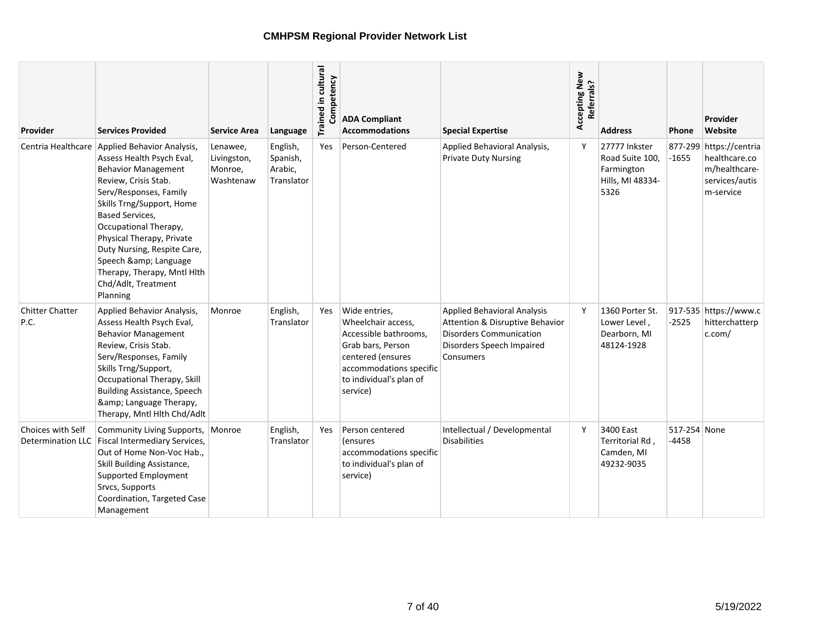| Provider                       | <b>Services Provided</b>                                                                                                                                                                                                                                                                                                                                                                      | <b>Service Area</b>                             | Language                                      | Trained in cultural<br>petency | <b>ADA Compliant</b><br><b>Accommodations</b>                                                                                                                            | <b>Special Expertise</b>                                                                                                                          | Accepting New<br>Referrals? | <b>Address</b>                                                             | Phone                   | Provider<br>Website                                                                      |
|--------------------------------|-----------------------------------------------------------------------------------------------------------------------------------------------------------------------------------------------------------------------------------------------------------------------------------------------------------------------------------------------------------------------------------------------|-------------------------------------------------|-----------------------------------------------|--------------------------------|--------------------------------------------------------------------------------------------------------------------------------------------------------------------------|---------------------------------------------------------------------------------------------------------------------------------------------------|-----------------------------|----------------------------------------------------------------------------|-------------------------|------------------------------------------------------------------------------------------|
|                                | Centria Healthcare Applied Behavior Analysis,<br>Assess Health Psych Eval,<br><b>Behavior Management</b><br>Review, Crisis Stab.<br>Serv/Responses, Family<br>Skills Trng/Support, Home<br><b>Based Services,</b><br>Occupational Therapy,<br>Physical Therapy, Private<br>Duty Nursing, Respite Care,<br>Speech & Language<br>Therapy, Therapy, Mntl Hlth<br>Chd/Adlt, Treatment<br>Planning | Lenawee,<br>Livingston,<br>Monroe,<br>Washtenaw | English,<br>Spanish,<br>Arabic,<br>Translator | Yes                            | Person-Centered                                                                                                                                                          | Applied Behavioral Analysis,<br><b>Private Duty Nursing</b>                                                                                       | Y                           | 27777 Inkster<br>Road Suite 100.<br>Farmington<br>Hills, MI 48334-<br>5326 | $-1655$                 | 877-299 https://centria<br>healthcare.co<br>m/healthcare-<br>services/autis<br>m-service |
| <b>Chitter Chatter</b><br>P.C. | Applied Behavior Analysis,<br>Assess Health Psych Eval,<br><b>Behavior Management</b><br>Review, Crisis Stab.<br>Serv/Responses, Family<br>Skills Trng/Support,<br>Occupational Therapy, Skill<br><b>Building Assistance, Speech</b><br>& Language Therapy,<br>Therapy, Mntl Hlth Chd/Adlt                                                                                                    | Monroe                                          | English,<br>Translator                        | Yes                            | Wide entries,<br>Wheelchair access,<br>Accessible bathrooms,<br>Grab bars, Person<br>centered (ensures<br>accommodations specific<br>to individual's plan of<br>service) | <b>Applied Behavioral Analysis</b><br>Attention & Disruptive Behavior<br><b>Disorders Communication</b><br>Disorders Speech Impaired<br>Consumers | Y                           | 1360 Porter St.<br>Lower Level,<br>Dearborn, MI<br>48124-1928              | $-2525$                 | 917-535 https://www.c<br>hitterchatterp<br>c.com/                                        |
| <b>Choices with Self</b>       | Community Living Supports,<br>Determination LLC   Fiscal Intermediary Services,<br>Out of Home Non-Voc Hab.,<br>Skill Building Assistance,<br>Supported Employment<br>Srvcs, Supports<br>Coordination, Targeted Case<br>Management                                                                                                                                                            | Monroe                                          | English,<br>Translator                        | Yes                            | Person centered<br><i>(ensures)</i><br>accommodations specific<br>to individual's plan of<br>service)                                                                    | Intellectual / Developmental<br><b>Disabilities</b>                                                                                               | Y                           | 3400 East<br>Territorial Rd,<br>Camden, MI<br>49232-9035                   | 517-254 None<br>$-4458$ |                                                                                          |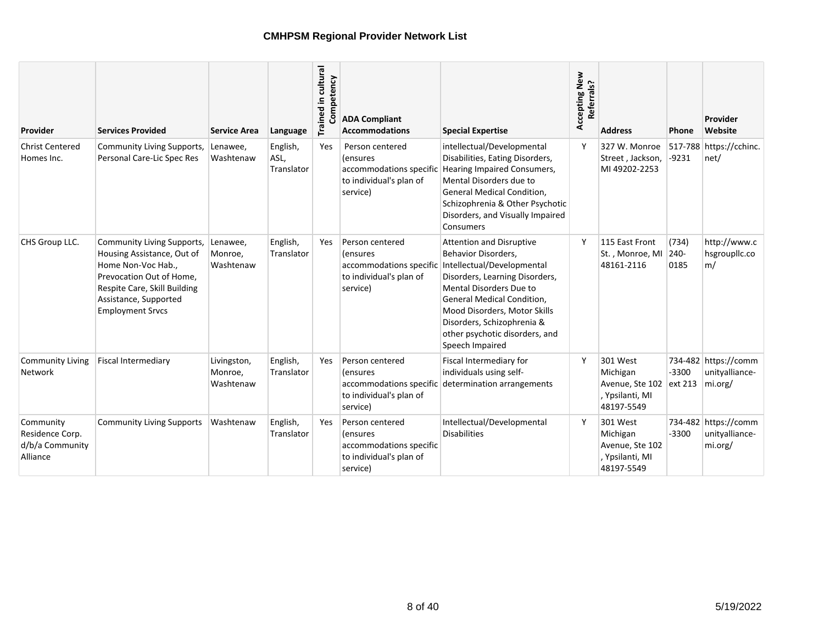| Provider                                                    | <b>Services Provided</b>                                                                                                                                                                       | <b>Service Area</b>                 | Language                       | Trained in cultural<br>Competency | <b>ADA Compliant</b><br><b>Accommodations</b>                                                         | <b>Special Expertise</b>                                                                                                                                                                                                                                                                                  | Accepting New<br>Referrals? | <b>Address</b>                                                           | <b>Phone</b>          | Provider<br>Website                               |
|-------------------------------------------------------------|------------------------------------------------------------------------------------------------------------------------------------------------------------------------------------------------|-------------------------------------|--------------------------------|-----------------------------------|-------------------------------------------------------------------------------------------------------|-----------------------------------------------------------------------------------------------------------------------------------------------------------------------------------------------------------------------------------------------------------------------------------------------------------|-----------------------------|--------------------------------------------------------------------------|-----------------------|---------------------------------------------------|
| <b>Christ Centered</b><br>Homes Inc.                        | <b>Community Living Supports,</b><br>Personal Care-Lic Spec Res                                                                                                                                | Lenawee,<br>Washtenaw               | English,<br>ASL,<br>Translator | Yes                               | Person centered<br>(ensures<br>accommodations specific<br>to individual's plan of<br>service)         | intellectual/Developmental<br>Disabilities, Eating Disorders,<br>Hearing Impaired Consumers,<br>Mental Disorders due to<br>General Medical Condition,<br>Schizophrenia & Other Psychotic<br>Disorders, and Visually Impaired<br>Consumers                                                                 | ۷                           | 327 W. Monroe<br>Street, Jackson,<br>MI 49202-2253                       | 517-788<br>$-9231$    | https://cchinc.<br>net/                           |
| CHS Group LLC.                                              | Community Living Supports,<br>Housing Assistance, Out of<br>Home Non-Voc Hab.,<br>Prevocation Out of Home.<br>Respite Care, Skill Building<br>Assistance, Supported<br><b>Employment Srvcs</b> | Lenawee,<br>Monroe,<br>Washtenaw    | English,<br>Translator         | Yes                               | Person centered<br>(ensures<br>accommodations specific<br>to individual's plan of<br>service)         | <b>Attention and Disruptive</b><br>Behavior Disorders,<br>Intellectual/Developmental<br>Disorders, Learning Disorders,<br><b>Mental Disorders Due to</b><br>General Medical Condition,<br>Mood Disorders, Motor Skills<br>Disorders, Schizophrenia &<br>other psychotic disorders, and<br>Speech Impaired | Y                           | 115 East Front<br>St., Monroe, MI<br>48161-2116                          | (734)<br>240-<br>0185 | http://www.c<br>hsgrouplic.co<br>m/               |
| <b>Community Living</b><br><b>Network</b>                   | <b>Fiscal Intermediary</b>                                                                                                                                                                     | Livingston,<br>Monroe,<br>Washtenaw | English,<br>Translator         | Yes.                              | Person centered<br><i>l</i> ensures<br>accommodations specific<br>to individual's plan of<br>service) | Fiscal Intermediary for<br>individuals using self-<br>determination arrangements                                                                                                                                                                                                                          | Y                           | 301 West<br>Michigan<br>Avenue, Ste 102<br>, Ypsilanti, MI<br>48197-5549 | $-3300$<br>ext 213    | 734-482 https://comm<br>unitvalliance-<br>mi.org/ |
| Community<br>Residence Corp.<br>d/b/a Community<br>Alliance | <b>Community Living Supports</b>                                                                                                                                                               | Washtenaw                           | English,<br>Translator         | Yes                               | Person centered<br>(ensures<br>accommodations specific<br>to individual's plan of<br>service)         | Intellectual/Developmental<br><b>Disabilities</b>                                                                                                                                                                                                                                                         | ۷                           | 301 West<br>Michigan<br>Avenue, Ste 102<br>, Ypsilanti, MI<br>48197-5549 | $-3300$               | 734-482 https://comm<br>unityalliance-<br>mi.org/ |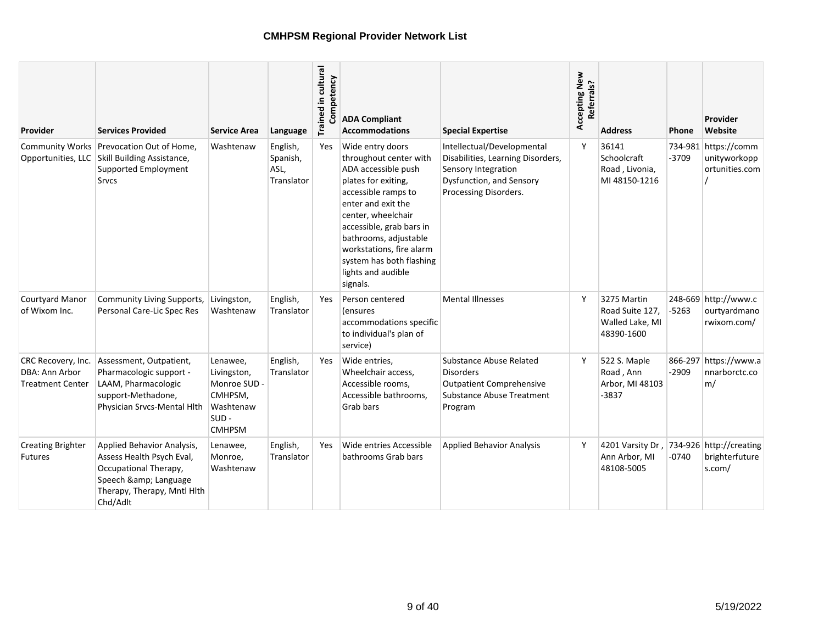| Provider                                                        | <b>Services Provided</b>                                                                                                                         | <b>Service Area</b>                                                                         | Language                                   | Trained in cultural<br>Competency | <b>ADA Compliant</b><br><b>Accommodations</b>                                                                                                                                                                                                                                                              | <b>Special Expertise</b>                                                                                                                    | Accepting New<br>Referrals? | <b>Address</b>                                                  | <b>Phone</b> | Provider<br>Website                                    |
|-----------------------------------------------------------------|--------------------------------------------------------------------------------------------------------------------------------------------------|---------------------------------------------------------------------------------------------|--------------------------------------------|-----------------------------------|------------------------------------------------------------------------------------------------------------------------------------------------------------------------------------------------------------------------------------------------------------------------------------------------------------|---------------------------------------------------------------------------------------------------------------------------------------------|-----------------------------|-----------------------------------------------------------------|--------------|--------------------------------------------------------|
|                                                                 | Community Works Prevocation Out of Home,<br>Opportunities, LLC Skill Building Assistance,<br>Supported Employment<br><b>Srvcs</b>                | Washtenaw                                                                                   | English,<br>Spanish,<br>ASL,<br>Translator | <b>Yes</b>                        | Wide entry doors<br>throughout center with<br>ADA accessible push<br>plates for exiting,<br>accessible ramps to<br>enter and exit the<br>center, wheelchair<br>accessible, grab bars in<br>bathrooms, adjustable<br>workstations, fire alarm<br>system has both flashing<br>lights and audible<br>signals. | Intellectual/Developmental<br>Disabilities, Learning Disorders,<br>Sensory Integration<br>Dysfunction, and Sensory<br>Processing Disorders. | Y                           | 36141<br>Schoolcraft<br>Road, Livonia,<br>MI48150-1216          | -3709        | 734-981 https://comm<br>unityworkopp<br>ortunities.com |
| <b>Courtyard Manor</b><br>of Wixom Inc.                         | Community Living Supports,<br>Personal Care-Lic Spec Res                                                                                         | Livingston,<br>Washtenaw                                                                    | English,<br>Translator                     | Yes                               | Person centered<br>(ensures<br>accommodations specific<br>to individual's plan of<br>service)                                                                                                                                                                                                              | <b>Mental Illnesses</b>                                                                                                                     | Y                           | 3275 Martin<br>Road Suite 127,<br>Walled Lake, MI<br>48390-1600 | $-5263$      | 248-669 http://www.c<br>ourtyardmano<br>rwixom.com/    |
| CRC Recovery, Inc.<br>DBA: Ann Arbor<br><b>Treatment Center</b> | Assessment, Outpatient,<br>Pharmacologic support -<br>LAAM, Pharmacologic<br>support-Methadone,<br>Physician Srvcs-Mental Hlth                   | Lenawee,<br>Livingston,<br>Monroe SUD -<br>CMHPSM,<br>Washtenaw<br>$SUB -$<br><b>CMHPSM</b> | English,<br>Translator                     | <b>Yes</b>                        | Wide entries,<br>Wheelchair access,<br>Accessible rooms,<br>Accessible bathrooms,<br>Grab bars                                                                                                                                                                                                             | Substance Abuse Related<br><b>Disorders</b><br><b>Outpatient Comprehensive</b><br>Substance Abuse Treatment<br>Program                      | Υ                           | 522 S. Maple<br>Road, Ann<br>Arbor, MI 48103<br>-3837           | $-2909$      | 866-297 https://www.a<br>nnarborctc.co<br>m/           |
| <b>Creating Brighter</b><br><b>Futures</b>                      | Applied Behavior Analysis,<br>Assess Health Psych Eval,<br>Occupational Therapy,<br>Speech & Language<br>Therapy, Therapy, Mntl Hlth<br>Chd/Adlt | Lenawee,<br>Monroe,<br>Washtenaw                                                            | English,<br>Translator                     | <b>Yes</b>                        | Wide entries Accessible<br>bathrooms Grab bars                                                                                                                                                                                                                                                             | <b>Applied Behavior Analysis</b>                                                                                                            | Υ                           | 4201 Varsity Dr.<br>Ann Arbor, MI<br>48108-5005                 | -0740        | 734-926 http://creating<br>brighterfuture<br>s.com/    |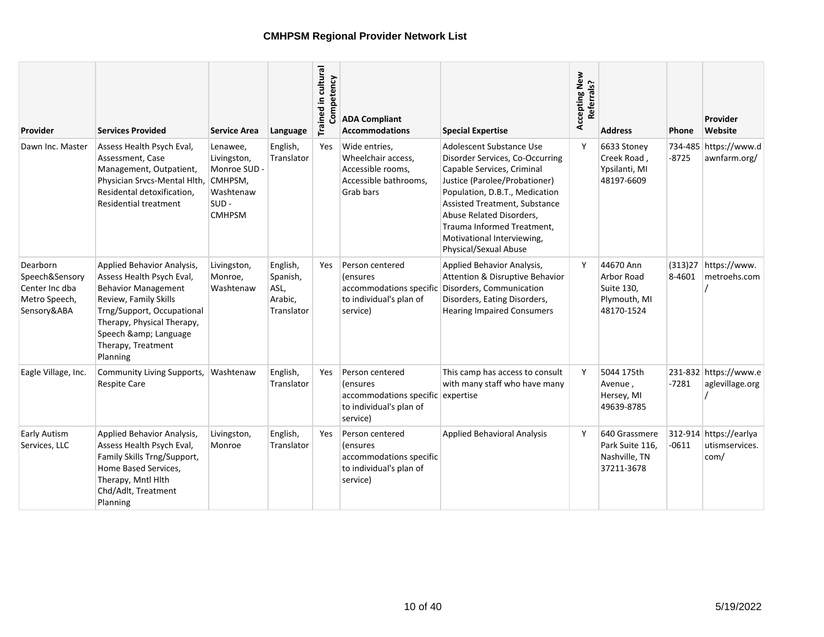| Provider                                                                     | <b>Services Provided</b>                                                                                                                                                                                                          | <b>Service Area</b>                                                                         | Language                                              | Trained in cultural<br>Competency | <b>ADA Compliant</b><br><b>Accommodations</b>                                                           | <b>Special Expertise</b>                                                                                                                                                                                                                                                                                       | Accepting New<br>Referrals? | <b>Address</b>                                                      | <b>Phone</b>      | Provider<br>Website                              |
|------------------------------------------------------------------------------|-----------------------------------------------------------------------------------------------------------------------------------------------------------------------------------------------------------------------------------|---------------------------------------------------------------------------------------------|-------------------------------------------------------|-----------------------------------|---------------------------------------------------------------------------------------------------------|----------------------------------------------------------------------------------------------------------------------------------------------------------------------------------------------------------------------------------------------------------------------------------------------------------------|-----------------------------|---------------------------------------------------------------------|-------------------|--------------------------------------------------|
| Dawn Inc. Master                                                             | Assess Health Psych Eval,<br>Assessment, Case<br>Management, Outpatient,<br>Physician Srvcs-Mental Hlth,<br>Residental detoxification,<br><b>Residential treatment</b>                                                            | Lenawee,<br>Livingston,<br>Monroe SUD -<br>CMHPSM,<br>Washtenaw<br>$SUB -$<br><b>CMHPSM</b> | English,<br>Translator                                | Yes                               | Wide entries,<br>Wheelchair access,<br>Accessible rooms,<br>Accessible bathrooms.<br>Grab bars          | Adolescent Substance Use<br>Disorder Services, Co-Occurring<br>Capable Services, Criminal<br>Justice (Parolee/Probationer)<br>Population, D.B.T., Medication<br>Assisted Treatment, Substance<br>Abuse Related Disorders,<br>Trauma Informed Treatment.<br>Motivational Interviewing,<br>Physical/Sexual Abuse | Y                           | 6633 Stoney<br>Creek Road,<br>Ypsilanti, MI<br>48197-6609           | $-8725$           | 734-485 https://www.d<br>awnfarm.org/            |
| Dearborn<br>Speech&Sensory<br>Center Inc dba<br>Metro Speech,<br>Sensory&ABA | Applied Behavior Analysis,<br>Assess Health Psych Eval,<br><b>Behavior Management</b><br>Review, Family Skills<br>Trng/Support, Occupational<br>Therapy, Physical Therapy,<br>Speech & Language<br>Therapy, Treatment<br>Planning | Livingston,<br>Monroe,<br>Washtenaw                                                         | English,<br>Spanish,<br>ASL,<br>Arabic,<br>Translator | <b>Yes</b>                        | Person centered<br>(ensures<br>accommodations specific<br>to individual's plan of<br>service)           | Applied Behavior Analysis,<br>Attention & Disruptive Behavior<br>Disorders, Communication<br>Disorders, Eating Disorders,<br><b>Hearing Impaired Consumers</b>                                                                                                                                                 | Y                           | 44670 Ann<br>Arbor Road<br>Suite 130,<br>Plymouth, MI<br>48170-1524 | (313)27<br>8-4601 | https://www.<br>metroehs.com                     |
| Eagle Village, Inc.                                                          | Community Living Supports,<br><b>Respite Care</b>                                                                                                                                                                                 | Washtenaw                                                                                   | English,<br>Translator                                | Yes                               | Person centered<br>(ensures<br>accommodations specific expertise<br>to individual's plan of<br>service) | This camp has access to consult<br>with many staff who have many                                                                                                                                                                                                                                               | Y                           | 5044 175th<br>Avenue,<br>Hersey, MI<br>49639-8785                   | $-7281$           | 231-832 https://www.e<br>aglevillage.org         |
| <b>Early Autism</b><br>Services, LLC                                         | Applied Behavior Analysis,<br>Assess Health Psych Eval,<br>Family Skills Trng/Support,<br>Home Based Services,<br>Therapy, Mntl Hlth<br>Chd/Adlt, Treatment<br>Planning                                                           | Livingston,<br>Monroe                                                                       | English,<br>Translator                                | Yes                               | Person centered<br><i>(ensures</i><br>accommodations specific<br>to individual's plan of<br>service)    | <b>Applied Behavioral Analysis</b>                                                                                                                                                                                                                                                                             | ٧                           | 640 Grassmere<br>Park Suite 116,<br>Nashville, TN<br>37211-3678     | $-0611$           | 312-914 https://earlya<br>utismservices.<br>com/ |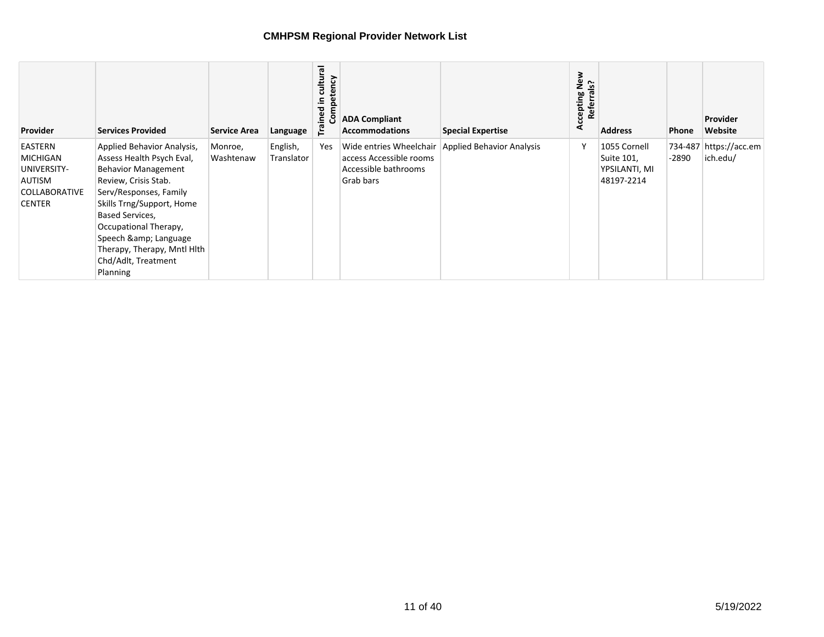| <b>Provider</b>                                                                                     | <b>Services Provided</b>                                                                                                                                                                                                                                                                                | <b>Service Area</b>  | Language               | cultural<br>petency<br>으.<br>ined<br>වි<br>۴a | <b>ADA Compliant</b><br><b>Accommodations</b>                                           | <b>Special Expertise</b>         | cepting New<br>Referrals?<br>Accepting | <b>Address</b>                                            | Phone | <b>Provider</b><br>Website         |
|-----------------------------------------------------------------------------------------------------|---------------------------------------------------------------------------------------------------------------------------------------------------------------------------------------------------------------------------------------------------------------------------------------------------------|----------------------|------------------------|-----------------------------------------------|-----------------------------------------------------------------------------------------|----------------------------------|----------------------------------------|-----------------------------------------------------------|-------|------------------------------------|
| EASTERN<br><b>MICHIGAN</b><br>UNIVERSITY-<br><b>AUTISM</b><br><b>COLLABORATIVE</b><br><b>CENTER</b> | Applied Behavior Analysis,<br>Assess Health Psych Eval,<br><b>Behavior Management</b><br>Review, Crisis Stab.<br>Serv/Responses, Family<br>Skills Trng/Support, Home<br>Based Services,<br>Occupational Therapy,<br>Speech & Language<br>Therapy, Therapy, Mntl Hith<br>Chd/Adlt, Treatment<br>Planning | Monroe,<br>Washtenaw | English,<br>Translator | Yes                                           | Wide entries Wheelchair<br>access Accessible rooms<br>Accessible bathrooms<br>Grab bars | <b>Applied Behavior Analysis</b> |                                        | 1055 Cornell<br>Suite 101,<br>YPSILANTI, MI<br>48197-2214 | -2890 | 734-487 https://acc.em<br>ich.edu/ |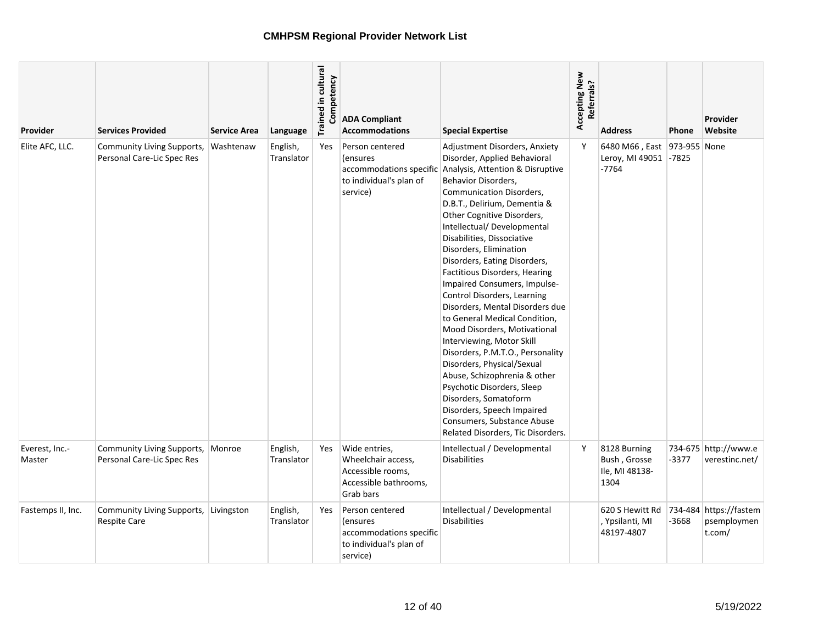| Provider                 | <b>Services Provided</b>                                        | <b>Service Area</b> | Language               | Trained in cultural<br>petency<br>Comp | <b>ADA Compliant</b><br><b>Accommodations</b>                                                         | <b>Special Expertise</b>                                                                                                                                                                                                                                                                                                                                                                                                                                                                                                                                                                                                                                                                                                                                                                                                                    | Accepting New<br>Referrals? | <b>Address</b>                                                  | <b>Phone</b> | Provider<br>Website                             |
|--------------------------|-----------------------------------------------------------------|---------------------|------------------------|----------------------------------------|-------------------------------------------------------------------------------------------------------|---------------------------------------------------------------------------------------------------------------------------------------------------------------------------------------------------------------------------------------------------------------------------------------------------------------------------------------------------------------------------------------------------------------------------------------------------------------------------------------------------------------------------------------------------------------------------------------------------------------------------------------------------------------------------------------------------------------------------------------------------------------------------------------------------------------------------------------------|-----------------------------|-----------------------------------------------------------------|--------------|-------------------------------------------------|
| Elite AFC, LLC.          | <b>Community Living Supports,</b><br>Personal Care-Lic Spec Res | Washtenaw           | English,<br>Translator | Yes                                    | Person centered<br><i>(ensures)</i><br>accommodations specific<br>to individual's plan of<br>service) | Adjustment Disorders, Anxiety<br>Disorder, Applied Behavioral<br>Analysis, Attention & Disruptive<br>Behavior Disorders,<br><b>Communication Disorders,</b><br>D.B.T., Delirium, Dementia &<br>Other Cognitive Disorders,<br>Intellectual/ Developmental<br>Disabilities, Dissociative<br>Disorders, Elimination<br>Disorders, Eating Disorders,<br>Factitious Disorders, Hearing<br>Impaired Consumers, Impulse-<br>Control Disorders, Learning<br>Disorders, Mental Disorders due<br>to General Medical Condition,<br>Mood Disorders, Motivational<br>Interviewing, Motor Skill<br>Disorders, P.M.T.O., Personality<br>Disorders, Physical/Sexual<br>Abuse, Schizophrenia & other<br>Psychotic Disorders, Sleep<br>Disorders, Somatoform<br>Disorders, Speech Impaired<br>Consumers, Substance Abuse<br>Related Disorders, Tic Disorders. | Y                           | 6480 M66, East 973-955 None<br>Leroy, MI 49051 -7825<br>$-7764$ |              |                                                 |
| Everest, Inc.-<br>Master | Community Living Supports,<br>Personal Care-Lic Spec Res        | Monroe              | English,<br>Translator | Yes                                    | Wide entries,<br>Wheelchair access,<br>Accessible rooms,<br>Accessible bathrooms,<br>Grab bars        | Intellectual / Developmental<br><b>Disabilities</b>                                                                                                                                                                                                                                                                                                                                                                                                                                                                                                                                                                                                                                                                                                                                                                                         | Y                           | 8128 Burning<br>Bush, Grosse<br>Ile, MI 48138-<br>1304          | $-3377$      | 734-675 http://www.e<br>verestinc.net/          |
| Fastemps II, Inc.        | Community Living Supports,<br><b>Respite Care</b>               | Livingston          | English,<br>Translator | <b>Yes</b>                             | Person centered<br><i>lensures</i><br>accommodations specific<br>to individual's plan of<br>service)  | Intellectual / Developmental<br><b>Disabilities</b>                                                                                                                                                                                                                                                                                                                                                                                                                                                                                                                                                                                                                                                                                                                                                                                         |                             | 620 S Hewitt Rd<br>, Ypsilanti, MI<br>48197-4807                | -3668        | 734-484 https://fastem<br>psemploymen<br>t.com/ |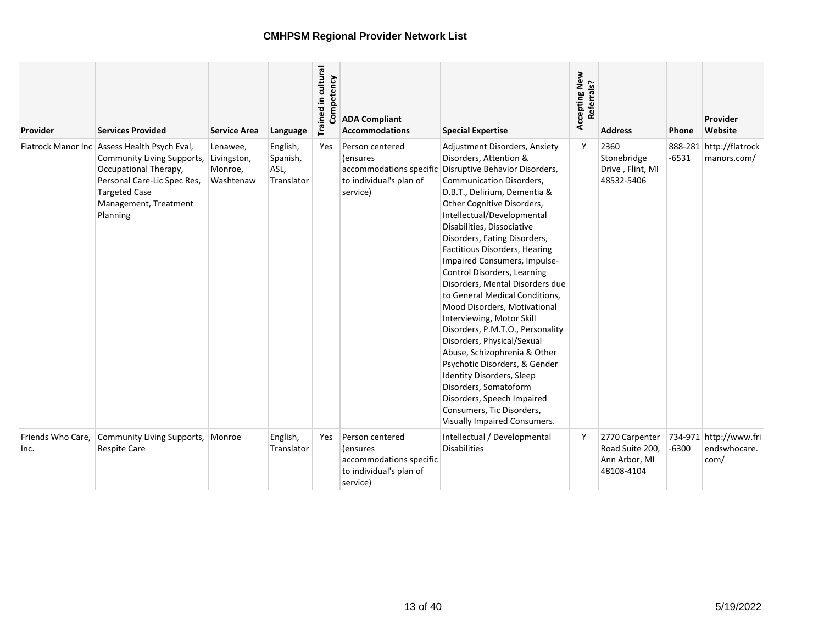| Provider                  | <b>Services Provided</b>                                                                                                                                                                          | <b>Service Area</b>                             | Language                                   | Trained in cultural<br>Competency | <b>ADA Compliant</b><br><b>Accommodations</b>                                                 | <b>Special Expertise</b>                                                                                                                                                                                                                                                                                                                                                                                                                                                                                                                                                                                                                                                                                                                                                                              | Accepting New<br>Referrals? | <b>Address</b>                                                   | Phone   | Provider<br>Website                            |
|---------------------------|---------------------------------------------------------------------------------------------------------------------------------------------------------------------------------------------------|-------------------------------------------------|--------------------------------------------|-----------------------------------|-----------------------------------------------------------------------------------------------|-------------------------------------------------------------------------------------------------------------------------------------------------------------------------------------------------------------------------------------------------------------------------------------------------------------------------------------------------------------------------------------------------------------------------------------------------------------------------------------------------------------------------------------------------------------------------------------------------------------------------------------------------------------------------------------------------------------------------------------------------------------------------------------------------------|-----------------------------|------------------------------------------------------------------|---------|------------------------------------------------|
|                           | Flatrock Manor Inc   Assess Health Psych Eval,<br>Community Living Supports,<br>Occupational Therapy,<br>Personal Care-Lic Spec Res,<br><b>Targeted Case</b><br>Management, Treatment<br>Planning | Lenawee,<br>Livingston,<br>Monroe,<br>Washtenaw | English,<br>Spanish,<br>ASL,<br>Translator | Yes                               | Person centered<br>(ensures<br>accommodations specific<br>to individual's plan of<br>service) | Adjustment Disorders, Anxiety<br>Disorders, Attention &<br>Disruptive Behavior Disorders,<br>Communication Disorders,<br>D.B.T., Delirium, Dementia &<br>Other Cognitive Disorders,<br>Intellectual/Developmental<br>Disabilities, Dissociative<br>Disorders, Eating Disorders,<br>Factitious Disorders, Hearing<br>Impaired Consumers, Impulse-<br>Control Disorders, Learning<br>Disorders, Mental Disorders due<br>to General Medical Conditions,<br>Mood Disorders, Motivational<br>Interviewing, Motor Skill<br>Disorders, P.M.T.O., Personality<br>Disorders, Physical/Sexual<br>Abuse, Schizophrenia & Other<br>Psychotic Disorders, & Gender<br>Identity Disorders, Sleep<br>Disorders, Somatoform<br>Disorders, Speech Impaired<br>Consumers, Tic Disorders,<br>Visually Impaired Consumers. | Y                           | 2360<br>Stonebridge<br>Drive, Flint, MI<br>48532-5406            | $-6531$ | 888-281 http://flatrock<br>manors.com/         |
| Friends Who Care,<br>Inc. | Community Living Supports,<br><b>Respite Care</b>                                                                                                                                                 | Monroe                                          | English,<br>Translator                     | Yes                               | Person centered<br>(ensures<br>accommodations specific<br>to individual's plan of<br>service) | Intellectual / Developmental<br>Disabilities                                                                                                                                                                                                                                                                                                                                                                                                                                                                                                                                                                                                                                                                                                                                                          | Y                           | 2770 Carpenter<br>Road Suite 200,<br>Ann Arbor, MI<br>48108-4104 | $-6300$ | 734-971 http://www.fri<br>endswhocare.<br>com/ |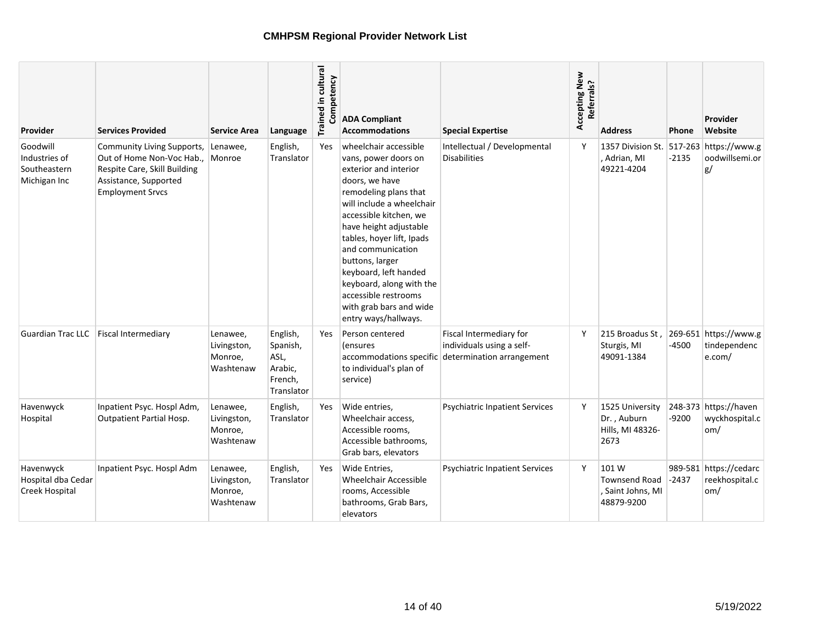| Provider                                                  | Services Provided                                                                                                                           | <b>Service Area</b>                             | Language                                                         | Trained in cultural<br>Competency | <b>ADA Compliant</b><br><b>Accommodations</b>                                                                                                                                                                                                                                                                                                                                                           | <b>Special Expertise</b>                                                          | Accepting New<br>Referrals? | <b>Address</b>                                                   | Phone   | Provider<br>Website                             |
|-----------------------------------------------------------|---------------------------------------------------------------------------------------------------------------------------------------------|-------------------------------------------------|------------------------------------------------------------------|-----------------------------------|---------------------------------------------------------------------------------------------------------------------------------------------------------------------------------------------------------------------------------------------------------------------------------------------------------------------------------------------------------------------------------------------------------|-----------------------------------------------------------------------------------|-----------------------------|------------------------------------------------------------------|---------|-------------------------------------------------|
| Goodwill<br>Industries of<br>Southeastern<br>Michigan Inc | Community Living Supports,<br>Out of Home Non-Voc Hab.,<br>Respite Care, Skill Building<br>Assistance, Supported<br><b>Employment Srvcs</b> | Lenawee,<br>Monroe                              | English,<br>Translator                                           | <b>Yes</b>                        | wheelchair accessible<br>vans, power doors on<br>exterior and interior<br>doors, we have<br>remodeling plans that<br>will include a wheelchair<br>accessible kitchen, we<br>have height adjustable<br>tables, hoyer lift, Ipads<br>and communication<br>buttons, larger<br>keyboard, left handed<br>keyboard, along with the<br>accessible restrooms<br>with grab bars and wide<br>entry ways/hallways. | Intellectual / Developmental<br><b>Disabilities</b>                               | Y                           | 1357 Division St.<br>, Adrian, MI<br>49221-4204                  | $-2135$ | 517-263 https://www.g<br>oodwillsemi.or<br>g/   |
| <b>Guardian Trac LLC</b>                                  | <b>Fiscal Intermediary</b>                                                                                                                  | Lenawee,<br>Livingston,<br>Monroe,<br>Washtenaw | English,<br>Spanish,<br>ASL,<br>Arabic,<br>French,<br>Translator | Yes                               | Person centered<br><i>(ensures</i><br>accommodations specific<br>to individual's plan of<br>service)                                                                                                                                                                                                                                                                                                    | Fiscal Intermediary for<br>individuals using a self-<br>determination arrangement | Υ                           | 215 Broadus St.<br>Sturgis, MI<br>49091-1384                     | -4500   | 269-651 https://www.g<br>tindependenc<br>e.com/ |
| Havenwyck<br>Hospital                                     | Inpatient Psyc. Hospl Adm,<br><b>Outpatient Partial Hosp.</b>                                                                               | Lenawee,<br>Livingston,<br>Monroe,<br>Washtenaw | English,<br>Translator                                           | Yes                               | Wide entries,<br>Wheelchair access,<br>Accessible rooms,<br>Accessible bathrooms,<br>Grab bars, elevators                                                                                                                                                                                                                                                                                               | <b>Psychiatric Inpatient Services</b>                                             | Υ                           | 1525 University<br>Dr., Auburn<br>Hills, MI 48326-<br>2673       | $-9200$ | 248-373 https://haven<br>wyckhospital.c<br>om/  |
| Havenwyck<br>Hospital dba Cedar<br>Creek Hospital         | Inpatient Psyc. Hospl Adm                                                                                                                   | Lenawee,<br>Livingston,<br>Monroe,<br>Washtenaw | English,<br>Translator                                           | Yes                               | Wide Entries.<br><b>Wheelchair Accessible</b><br>rooms, Accessible<br>bathrooms, Grab Bars,<br>elevators                                                                                                                                                                                                                                                                                                | <b>Psychiatric Inpatient Services</b>                                             | Υ                           | 101 W<br><b>Townsend Road</b><br>, Saint Johns, MI<br>48879-9200 | $-2437$ | 989-581 https://cedarc<br>reekhospital.c<br>om/ |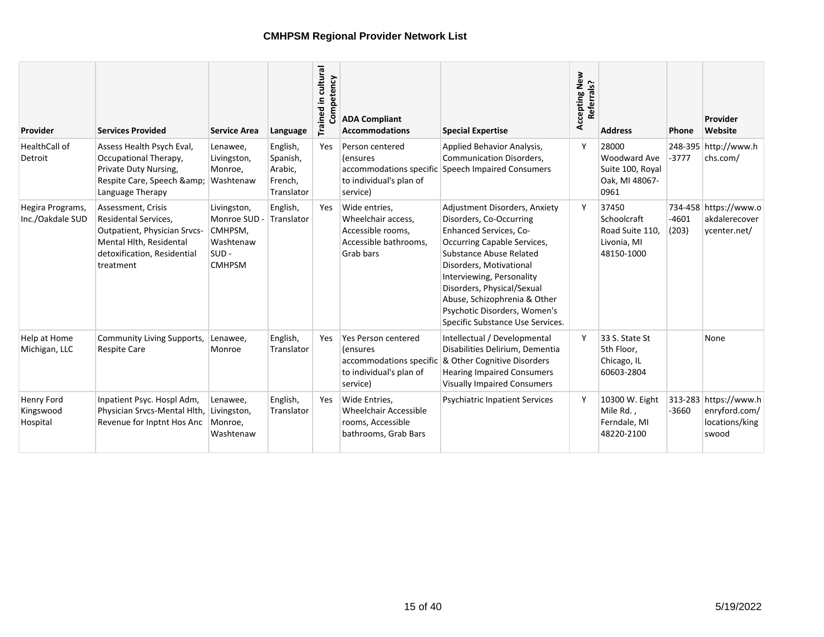| Provider                             | <b>Services Provided</b>                                                                                                                          | <b>Service Area</b>                                                             | Language                                                 | Trained in cultural<br>Competency | <b>ADA Compliant</b><br><b>Accommodations</b>                                                     | <b>Special Expertise</b>                                                                                                                                                                                                                                                                                                                      | Accepting New<br>Referrals? | <b>Address</b>                                                       | Phone            | Provider<br>Website                                               |
|--------------------------------------|---------------------------------------------------------------------------------------------------------------------------------------------------|---------------------------------------------------------------------------------|----------------------------------------------------------|-----------------------------------|---------------------------------------------------------------------------------------------------|-----------------------------------------------------------------------------------------------------------------------------------------------------------------------------------------------------------------------------------------------------------------------------------------------------------------------------------------------|-----------------------------|----------------------------------------------------------------------|------------------|-------------------------------------------------------------------|
| HealthCall of<br>Detroit             | Assess Health Psych Eval,<br>Occupational Therapy,<br>Private Duty Nursing,<br>Respite Care, Speech &<br>Language Therapy                         | Lenawee,<br>Livingston,<br>Monroe,<br>Washtenaw                                 | English,<br>Spanish,<br>Arabic,<br>French,<br>Translator | Yes                               | Person centered<br>(ensures<br>accommodations specific<br>to individual's plan of<br>service)     | Applied Behavior Analysis,<br><b>Communication Disorders,</b><br>Speech Impaired Consumers                                                                                                                                                                                                                                                    |                             | 28000<br>Woodward Ave<br>Suite 100, Royal<br>Oak, MI 48067-<br>0961  | -3777            | 248-395 http://www.h<br>chs.com/                                  |
| Hegira Programs,<br>Inc./Oakdale SUD | Assessment, Crisis<br>Residental Services,<br>Outpatient, Physician Srvcs-<br>Mental Hlth, Residental<br>detoxification, Residential<br>treatment | Livingston,<br>Monroe SUD -<br>CMHPSM,<br>Washtenaw<br>$SUB -$<br><b>CMHPSM</b> | English,<br>Translator                                   | Yes                               | Wide entries.<br>Wheelchair access,<br>Accessible rooms,<br>Accessible bathrooms.<br>Grab bars    | Adjustment Disorders, Anxiety<br>Disorders, Co-Occurring<br>Enhanced Services, Co-<br>Occurring Capable Services,<br><b>Substance Abuse Related</b><br>Disorders, Motivational<br>Interviewing, Personality<br>Disorders, Physical/Sexual<br>Abuse, Schizophrenia & Other<br>Psychotic Disorders, Women's<br>Specific Substance Use Services. |                             | 37450<br>Schoolcraft<br>Road Suite 110.<br>Livonia, MI<br>48150-1000 | $-4601$<br>(203) | 734-458 https://www.o<br>akdalerecover<br>vcenter.net/            |
| Help at Home<br>Michigan, LLC        | Community Living Supports,<br><b>Respite Care</b>                                                                                                 | Lenawee,<br>Monroe                                                              | English,<br>Translator                                   | Yes                               | Yes Person centered<br>(ensures<br>accommodations specific<br>to individual's plan of<br>service) | Intellectual / Developmental<br>Disabilities Delirium, Dementia<br>& Other Cognitive Disorders<br><b>Hearing Impaired Consumers</b><br><b>Visually Impaired Consumers</b>                                                                                                                                                                     | Y                           | 33 S. State St<br>5th Floor,<br>Chicago, IL<br>60603-2804            |                  | None                                                              |
| Henry Ford<br>Kingswood<br>Hospital  | Inpatient Psyc. Hospl Adm,<br>Physician Srvcs-Mental Hlth,<br>Revenue for Inptnt Hos Anc                                                          | Lenawee,<br>Livingston,<br>Monroe,<br>Washtenaw                                 | English,<br>Translator                                   | Yes                               | Wide Entries,<br>Wheelchair Accessible<br>rooms, Accessible<br>bathrooms, Grab Bars               | <b>Psychiatric Inpatient Services</b>                                                                                                                                                                                                                                                                                                         | Υ                           | 10300 W. Eight<br>Mile Rd.,<br>Ferndale, MI<br>48220-2100            | $-3660$          | 313-283 https://www.h<br>enryford.com/<br>locations/king<br>swood |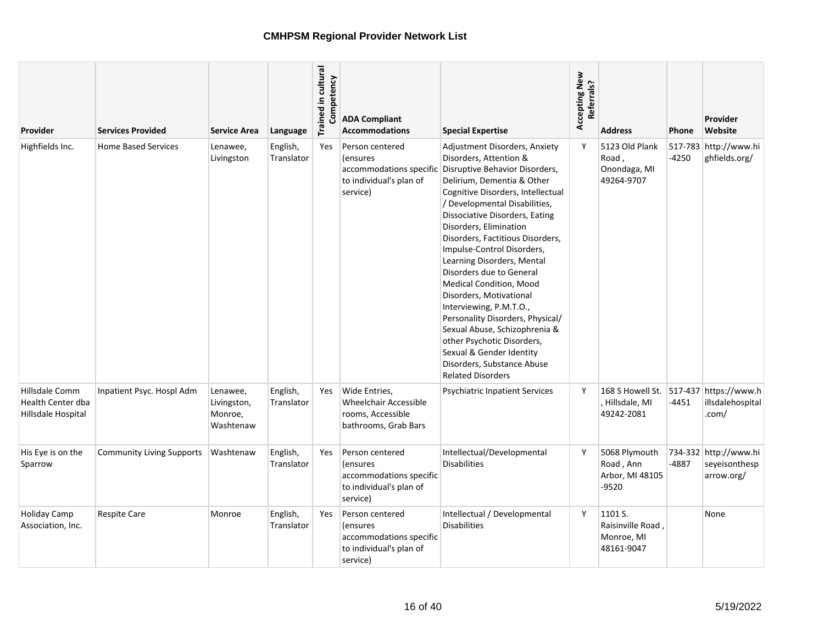| <b>Provider</b>                                                  | <b>Services Provided</b>         | <b>Service Area</b>                             | Language               | Trained in cultural<br>Competency | <b>ADA Compliant</b><br><b>Accommodations</b>                                                         | <b>Special Expertise</b>                                                                                                                                                                                                                                                                                                                                                                                                                                                                                                                                                                                                                                        | Accepting New<br>Referrals? | <b>Address</b>                                                          | <b>Phone</b> | Provider<br>Website                                  |
|------------------------------------------------------------------|----------------------------------|-------------------------------------------------|------------------------|-----------------------------------|-------------------------------------------------------------------------------------------------------|-----------------------------------------------------------------------------------------------------------------------------------------------------------------------------------------------------------------------------------------------------------------------------------------------------------------------------------------------------------------------------------------------------------------------------------------------------------------------------------------------------------------------------------------------------------------------------------------------------------------------------------------------------------------|-----------------------------|-------------------------------------------------------------------------|--------------|------------------------------------------------------|
| Highfields Inc.                                                  | <b>Home Based Services</b>       | Lenawee,<br>Livingston                          | English,<br>Translator | Yes                               | Person centered<br><i>(ensures)</i><br>accommodations specific<br>to individual's plan of<br>service) | Adjustment Disorders, Anxiety<br>Disorders, Attention &<br>Disruptive Behavior Disorders,<br>Delirium, Dementia & Other<br>Cognitive Disorders, Intellectual<br>/ Developmental Disabilities,<br>Dissociative Disorders, Eating<br>Disorders, Elimination<br>Disorders, Factitious Disorders,<br>Impulse-Control Disorders,<br>Learning Disorders, Mental<br>Disorders due to General<br>Medical Condition, Mood<br>Disorders, Motivational<br>Interviewing, P.M.T.O.,<br>Personality Disorders, Physical/<br>Sexual Abuse, Schizophrenia &<br>other Psychotic Disorders,<br>Sexual & Gender Identity<br>Disorders, Substance Abuse<br><b>Related Disorders</b> | Y                           | 5123 Old Plank<br>Road,<br>Onondaga, MI<br>49264-9707                   | $-4250$      | 517-783 http://www.hi<br>ghfields.org/               |
| Hillsdale Comm<br><b>Health Center dba</b><br>Hillsdale Hospital | Inpatient Psyc. Hospl Adm        | Lenawee,<br>Livingston,<br>Monroe,<br>Washtenaw | English,<br>Translator | <b>Yes</b>                        | Wide Entries,<br><b>Wheelchair Accessible</b><br>rooms, Accessible<br>bathrooms, Grab Bars            | <b>Psychiatric Inpatient Services</b>                                                                                                                                                                                                                                                                                                                                                                                                                                                                                                                                                                                                                           | Y                           | 168 S Howell St. 517-437 https://www.h<br>, Hillsdale, MI<br>49242-2081 | -4451        | illsdalehospital<br>.com/                            |
| His Eye is on the<br>Sparrow                                     | <b>Community Living Supports</b> | Washtenaw                                       | English,<br>Translator | Yes                               | Person centered<br><i>(ensures)</i><br>accommodations specific<br>to individual's plan of<br>service) | Intellectual/Developmental<br><b>Disabilities</b>                                                                                                                                                                                                                                                                                                                                                                                                                                                                                                                                                                                                               | Υ                           | 5068 Plymouth<br>Road, Ann<br>Arbor, MI 48105<br>$-9520$                | -4887        | 734-332 http://www.hi<br>seveisonthesp<br>arrow.org/ |
| <b>Holiday Camp</b><br>Association, Inc.                         | <b>Respite Care</b>              | Monroe                                          | English,<br>Translator | Yes                               | Person centered<br><i>(ensures)</i><br>accommodations specific<br>to individual's plan of<br>service) | Intellectual / Developmental<br><b>Disabilities</b>                                                                                                                                                                                                                                                                                                                                                                                                                                                                                                                                                                                                             | Y                           | 1101 S.<br>Raisinville Road,<br>Monroe, MI<br>48161-9047                |              | None                                                 |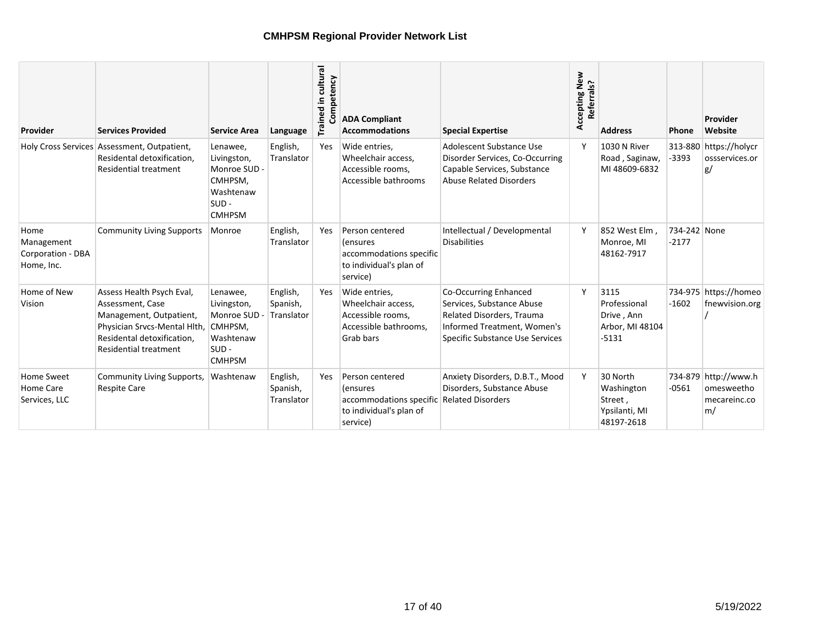| Provider                                              | <b>Services Provided</b>                                                                                                                                        | <b>Service Area</b>                                                                         | Language                           | Trained in cultural<br>Competency | <b>ADA Compliant</b><br><b>Accommodations</b>                                                  | <b>Special Expertise</b>                                                                                                                          | Accepting New<br>Referrals? | <b>Address</b>                                                   | <b>Phone</b>            | Provider<br>Website                                      |
|-------------------------------------------------------|-----------------------------------------------------------------------------------------------------------------------------------------------------------------|---------------------------------------------------------------------------------------------|------------------------------------|-----------------------------------|------------------------------------------------------------------------------------------------|---------------------------------------------------------------------------------------------------------------------------------------------------|-----------------------------|------------------------------------------------------------------|-------------------------|----------------------------------------------------------|
|                                                       | Holy Cross Services Assessment, Outpatient,<br>Residental detoxification,<br><b>Residential treatment</b>                                                       | Lenawee,<br>Livingston,<br>Monroe SUD -<br>CMHPSM,<br>Washtenaw<br>$SUB -$<br><b>CMHPSM</b> | English,<br>Translator             | Yes                               | Wide entries,<br>Wheelchair access,<br>Accessible rooms,<br>Accessible bathrooms               | Adolescent Substance Use<br>Disorder Services, Co-Occurring<br>Capable Services, Substance<br><b>Abuse Related Disorders</b>                      | $\checkmark$                | 1030 N River<br>Road, Saginaw,<br>MI 48609-6832                  | $-3393$                 | 313-880 https://holycr<br>ossservices.or<br>g/           |
| Home<br>Management<br>Corporation - DBA<br>Home, Inc. | <b>Community Living Supports</b>                                                                                                                                | Monroe                                                                                      | English,<br>Translator             | <b>Yes</b>                        | Person centered<br>(ensures<br>accommodations specific<br>to individual's plan of<br>service)  | Intellectual / Developmental<br><b>Disabilities</b>                                                                                               | γ                           | 852 West Elm.<br>Monroe, MI<br>48162-7917                        | 734-242 None<br>$-2177$ |                                                          |
| Home of New<br>Vision                                 | Assess Health Psych Eval,<br>Assessment, Case<br>Management, Outpatient,<br>Physician Srvcs-Mental Hlth,<br>Residental detoxification,<br>Residential treatment | Lenawee,<br>Livingston,<br>Monroe SUD -<br>CMHPSM,<br>Washtenaw<br>$SUB -$<br><b>CMHPSM</b> | English,<br>Spanish,<br>Translator | Yes                               | Wide entries,<br>Wheelchair access,<br>Accessible rooms,<br>Accessible bathrooms,<br>Grab bars | Co-Occurring Enhanced<br>Services, Substance Abuse<br>Related Disorders, Trauma<br>Informed Treatment, Women's<br>Specific Substance Use Services | Y                           | 3115<br>Professional<br>Drive, Ann<br>Arbor, MI 48104<br>$-5131$ | $-1602$                 | 734-975 https://homeo<br>fnewvision.org                  |
| Home Sweet<br>Home Care<br>Services, LLC              | Community Living Supports,<br><b>Respite Care</b>                                                                                                               | Washtenaw                                                                                   | English,<br>Spanish,<br>Translator | Yes                               | Person centered<br>(ensures<br>accommodations specific<br>to individual's plan of<br>service)  | Anxiety Disorders, D.B.T., Mood<br>Disorders, Substance Abuse<br><b>Related Disorders</b>                                                         | Y                           | 30 North<br>Washington<br>Street,<br>Ypsilanti, MI<br>48197-2618 | $-0561$                 | 734-879 http://www.h<br>omesweetho<br>mecareinc.co<br>m/ |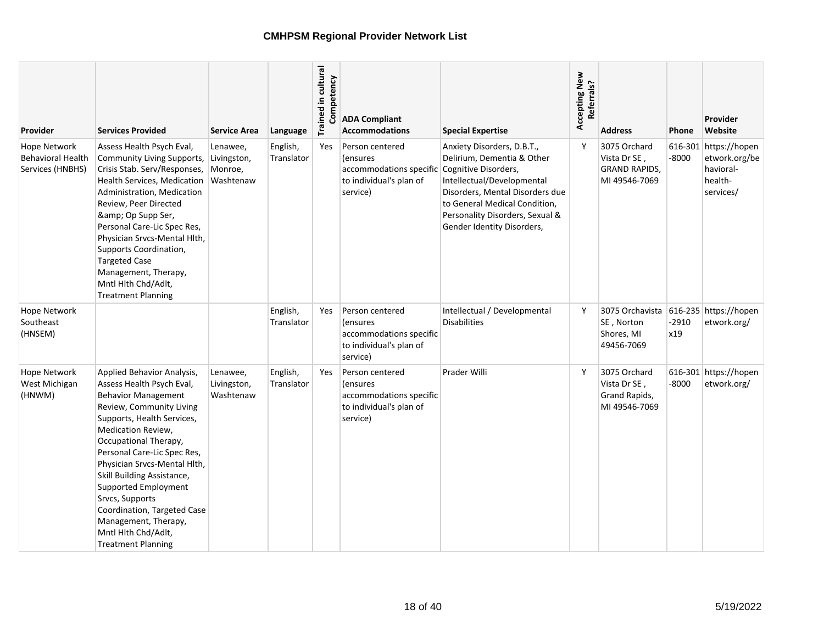| Provider                                                            | <b>Services Provided</b>                                                                                                                                                                                                                                                                                                                                                                                                                          | <b>Service Area</b>                             | Language               | Trained in cultural<br>Competency | <b>ADA Compliant</b><br><b>Accommodations</b>                                                         | <b>Special Expertise</b>                                                                                                                                                                                                                            | Accepting New<br>Referrals? | <b>Address</b>                                                        | Phone          | Provider<br>Website                                                         |
|---------------------------------------------------------------------|---------------------------------------------------------------------------------------------------------------------------------------------------------------------------------------------------------------------------------------------------------------------------------------------------------------------------------------------------------------------------------------------------------------------------------------------------|-------------------------------------------------|------------------------|-----------------------------------|-------------------------------------------------------------------------------------------------------|-----------------------------------------------------------------------------------------------------------------------------------------------------------------------------------------------------------------------------------------------------|-----------------------------|-----------------------------------------------------------------------|----------------|-----------------------------------------------------------------------------|
| <b>Hope Network</b><br><b>Behavioral Health</b><br>Services (HNBHS) | Assess Health Psych Eval,<br>Community Living Supports,<br>Crisis Stab. Serv/Responses,<br>Health Services, Medication<br>Administration, Medication<br>Review, Peer Directed<br>& Op Supp Ser,<br>Personal Care-Lic Spec Res,<br>Physician Srvcs-Mental Hlth,<br>Supports Coordination,<br><b>Targeted Case</b><br>Management, Therapy,<br>Mntl Hlth Chd/Adlt,<br><b>Treatment Planning</b>                                                      | Lenawee,<br>Livingston,<br>Monroe,<br>Washtenaw | English,<br>Translator | Yes                               | Person centered<br><i>(ensures)</i><br>accommodations specific<br>to individual's plan of<br>service) | Anxiety Disorders, D.B.T.,<br>Delirium, Dementia & Other<br>Cognitive Disorders,<br>Intellectual/Developmental<br>Disorders, Mental Disorders due<br>to General Medical Condition,<br>Personality Disorders, Sexual &<br>Gender Identity Disorders, | Y                           | 3075 Orchard<br>Vista Dr SE,<br><b>GRAND RAPIDS,</b><br>MI 49546-7069 | $-8000$        | 616-301 https://hopen<br>etwork.org/be<br>havioral-<br>health-<br>services/ |
| <b>Hope Network</b><br>Southeast<br>(HNSEM)                         |                                                                                                                                                                                                                                                                                                                                                                                                                                                   |                                                 | English,<br>Translator | Yes                               | Person centered<br>(ensures<br>accommodations specific<br>to individual's plan of<br>service)         | Intellectual / Developmental<br><b>Disabilities</b>                                                                                                                                                                                                 | Y                           | 3075 Orchavista<br>SE, Norton<br>Shores, MI<br>49456-7069             | $-2910$<br>x19 | 616-235 https://hopen<br>etwork.org/                                        |
| Hope Network<br>West Michigan<br>(HNWM)                             | Applied Behavior Analysis,<br>Assess Health Psych Eval,<br><b>Behavior Management</b><br>Review, Community Living<br>Supports, Health Services,<br>Medication Review,<br>Occupational Therapy,<br>Personal Care-Lic Spec Res,<br>Physician Srvcs-Mental Hlth,<br>Skill Building Assistance,<br>Supported Employment<br>Srvcs, Supports<br>Coordination, Targeted Case<br>Management, Therapy,<br>Mntl Hlth Chd/Adlt,<br><b>Treatment Planning</b> | Lenawee,<br>Livingston,<br>Washtenaw            | English,<br>Translator | Yes                               | Person centered<br><i>(ensures)</i><br>accommodations specific<br>to individual's plan of<br>service) | Prader Willi                                                                                                                                                                                                                                        | Y                           | 3075 Orchard<br>Vista Dr SE,<br>Grand Rapids,<br>MI 49546-7069        | $-8000$        | 616-301 https://hopen<br>etwork.org/                                        |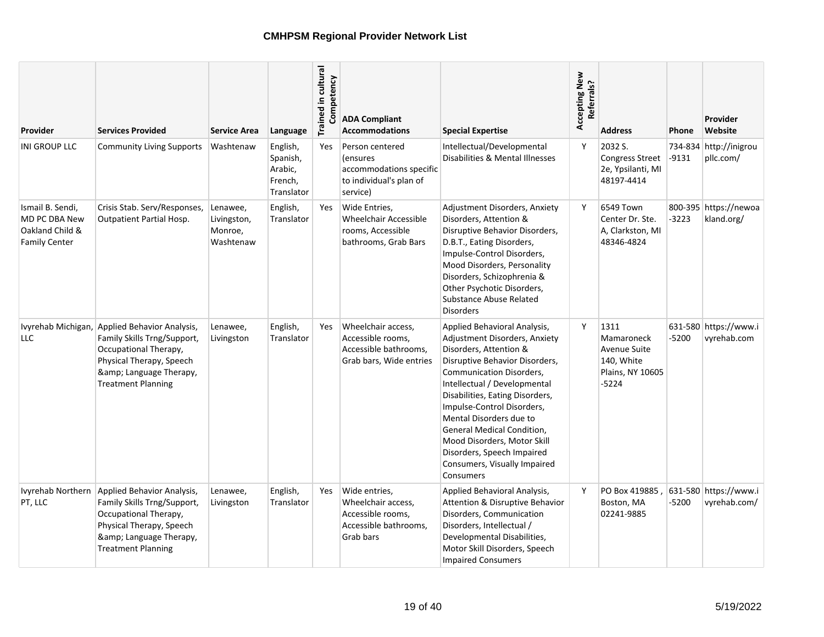| Provider                                                                            | <b>Services Provided</b>                                                                                                                                                              | <b>Service Area</b>                             | Language                                                 | Trained in cultural<br>Competency | <b>ADA Compliant</b><br><b>Accommodations</b>                                                         | <b>Special Expertise</b>                                                                                                                                                                                                                                                                                                                                                                                                         | Accepting New<br>Referrals? | <b>Address</b>                                                                | <b>Phone</b> | Provider<br>Website                   |
|-------------------------------------------------------------------------------------|---------------------------------------------------------------------------------------------------------------------------------------------------------------------------------------|-------------------------------------------------|----------------------------------------------------------|-----------------------------------|-------------------------------------------------------------------------------------------------------|----------------------------------------------------------------------------------------------------------------------------------------------------------------------------------------------------------------------------------------------------------------------------------------------------------------------------------------------------------------------------------------------------------------------------------|-----------------------------|-------------------------------------------------------------------------------|--------------|---------------------------------------|
| INI GROUP LLC                                                                       | <b>Community Living Supports</b>                                                                                                                                                      | Washtenaw                                       | English,<br>Spanish,<br>Arabic,<br>French,<br>Translator | <b>Yes</b>                        | Person centered<br><i>(ensures)</i><br>accommodations specific<br>to individual's plan of<br>service) | Intellectual/Developmental<br>Disabilities & Mental Illnesses                                                                                                                                                                                                                                                                                                                                                                    | Y                           | 2032 S.<br><b>Congress Street</b><br>2e, Ypsilanti, MI<br>48197-4414          | -9131        | 734-834 http://inigrou<br>pllc.com/   |
| Ismail B. Sendi,<br><b>MD PC DBA New</b><br>Oakland Child &<br><b>Family Center</b> | Crisis Stab. Serv/Responses,<br>Outpatient Partial Hosp.                                                                                                                              | Lenawee,<br>Livingston,<br>Monroe,<br>Washtenaw | English,<br>Translator                                   | Yes                               | Wide Entries,<br><b>Wheelchair Accessible</b><br>rooms, Accessible<br>bathrooms, Grab Bars            | Adjustment Disorders, Anxiety<br>Disorders, Attention &<br>Disruptive Behavior Disorders,<br>D.B.T., Eating Disorders,<br>Impulse-Control Disorders,<br>Mood Disorders, Personality<br>Disorders, Schizophrenia &<br>Other Psychotic Disorders,<br>Substance Abuse Related<br><b>Disorders</b>                                                                                                                                   | Y                           | 6549 Town<br>Center Dr. Ste.<br>A, Clarkston, MI<br>48346-4824                | $-3223$      | 800-395 https://newoa<br>kland.org/   |
| <b>LLC</b>                                                                          | Ivyrehab Michigan, Applied Behavior Analysis,<br>Family Skills Trng/Support,<br>Occupational Therapy,<br>Physical Therapy, Speech<br>& Language Therapy,<br><b>Treatment Planning</b> | Lenawee,<br>Livingston                          | English,<br>Translator                                   | Yes                               | Wheelchair access,<br>Accessible rooms,<br>Accessible bathrooms,<br>Grab bars, Wide entries           | Applied Behavioral Analysis,<br>Adjustment Disorders, Anxiety<br>Disorders, Attention &<br>Disruptive Behavior Disorders,<br><b>Communication Disorders,</b><br>Intellectual / Developmental<br>Disabilities, Eating Disorders,<br>Impulse-Control Disorders,<br>Mental Disorders due to<br>General Medical Condition,<br>Mood Disorders, Motor Skill<br>Disorders, Speech Impaired<br>Consumers, Visually Impaired<br>Consumers | Y                           | 1311<br>Mamaroneck<br>Avenue Suite<br>140, White<br>Plains, NY 10605<br>-5224 | -5200        | 631-580 https://www.i<br>vyrehab.com  |
| PT, LLC                                                                             | Ivyrehab Northern Applied Behavior Analysis,<br>Family Skills Trng/Support,<br>Occupational Therapy,<br>Physical Therapy, Speech<br>& Language Therapy,<br><b>Treatment Planning</b>  | Lenawee,<br>Livingston                          | English,<br>Translator                                   | Yes                               | Wide entries,<br>Wheelchair access,<br>Accessible rooms,<br>Accessible bathrooms,<br>Grab bars        | Applied Behavioral Analysis,<br>Attention & Disruptive Behavior<br>Disorders, Communication<br>Disorders, Intellectual /<br>Developmental Disabilities,<br>Motor Skill Disorders, Speech<br><b>Impaired Consumers</b>                                                                                                                                                                                                            | Y                           | PO Box 419885.<br>Boston, MA<br>02241-9885                                    | -5200        | 631-580 https://www.i<br>vyrehab.com/ |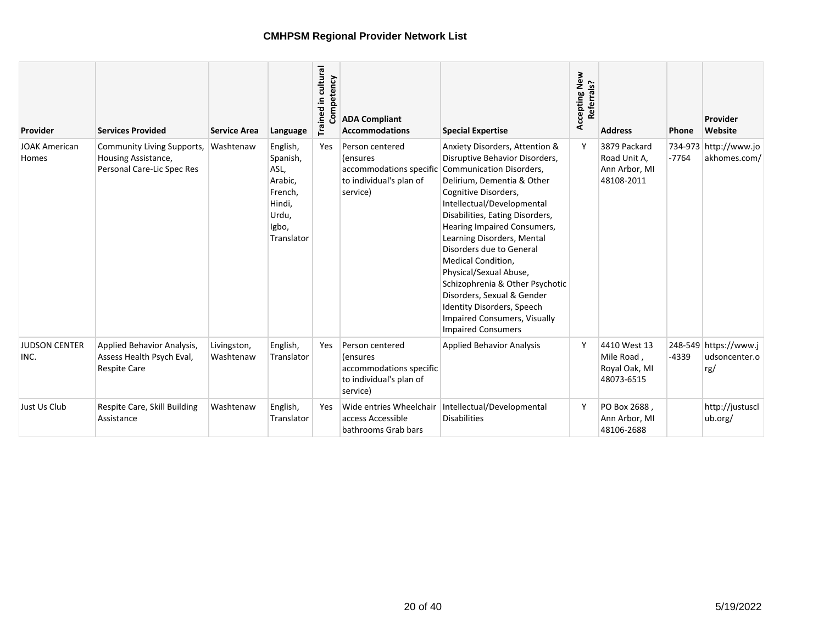| Provider                      | <b>Services Provided</b>                                                        | <b>Service Area</b>      | Language                                                                                     | Trained in cultural<br>Competency | <b>ADA Compliant</b><br><b>Accommodations</b>                                                 | <b>Special Expertise</b>                                                                                                                                                                                                                                                                                                                                                                                                                                                                                                 | Accepting New<br>Referrals? | <b>Address</b>                                              | Phone   | Provider<br>Website                           |
|-------------------------------|---------------------------------------------------------------------------------|--------------------------|----------------------------------------------------------------------------------------------|-----------------------------------|-----------------------------------------------------------------------------------------------|--------------------------------------------------------------------------------------------------------------------------------------------------------------------------------------------------------------------------------------------------------------------------------------------------------------------------------------------------------------------------------------------------------------------------------------------------------------------------------------------------------------------------|-----------------------------|-------------------------------------------------------------|---------|-----------------------------------------------|
| <b>JOAK American</b><br>Homes | Community Living Supports,<br>Housing Assistance,<br>Personal Care-Lic Spec Res | Washtenaw                | English,<br>Spanish,<br>ASL,<br>Arabic,<br>French,<br>Hindi,<br>Urdu,<br>Igbo,<br>Translator | Yes                               | Person centered<br>(ensures<br>accommodations specific<br>to individual's plan of<br>service) | Anxiety Disorders, Attention &<br>Disruptive Behavior Disorders,<br>Communication Disorders,<br>Delirium, Dementia & Other<br>Cognitive Disorders,<br>Intellectual/Developmental<br>Disabilities, Eating Disorders,<br>Hearing Impaired Consumers,<br>Learning Disorders, Mental<br>Disorders due to General<br>Medical Condition,<br>Physical/Sexual Abuse,<br>Schizophrenia & Other Psychotic<br>Disorders, Sexual & Gender<br>Identity Disorders, Speech<br>Impaired Consumers, Visually<br><b>Impaired Consumers</b> |                             | 3879 Packard<br>Road Unit A,<br>Ann Arbor, MI<br>48108-2011 | $-7764$ | 734-973 http://www.jo<br>akhomes.com/         |
| <b>JUDSON CENTER</b><br>INC.  | Applied Behavior Analysis,<br>Assess Health Psych Eval,<br><b>Respite Care</b>  | Livingston,<br>Washtenaw | English,<br>Translator                                                                       | Yes                               | Person centered<br>(ensures<br>accommodations specific<br>to individual's plan of<br>service) | <b>Applied Behavior Analysis</b>                                                                                                                                                                                                                                                                                                                                                                                                                                                                                         | Y                           | 4410 West 13<br>Mile Road,<br>Royal Oak, MI<br>48073-6515   | -4339   | 248-549 https://www.j<br>udsoncenter.o<br>rg/ |
| Just Us Club                  | Respite Care, Skill Building<br>Assistance                                      | Washtenaw                | English,<br>Translator                                                                       | Yes                               | Wide entries Wheelchair<br>access Accessible<br>bathrooms Grab bars                           | Intellectual/Developmental<br><b>Disabilities</b>                                                                                                                                                                                                                                                                                                                                                                                                                                                                        |                             | PO Box 2688,<br>Ann Arbor, MI<br>48106-2688                 |         | http://justuscl<br>ub.org/                    |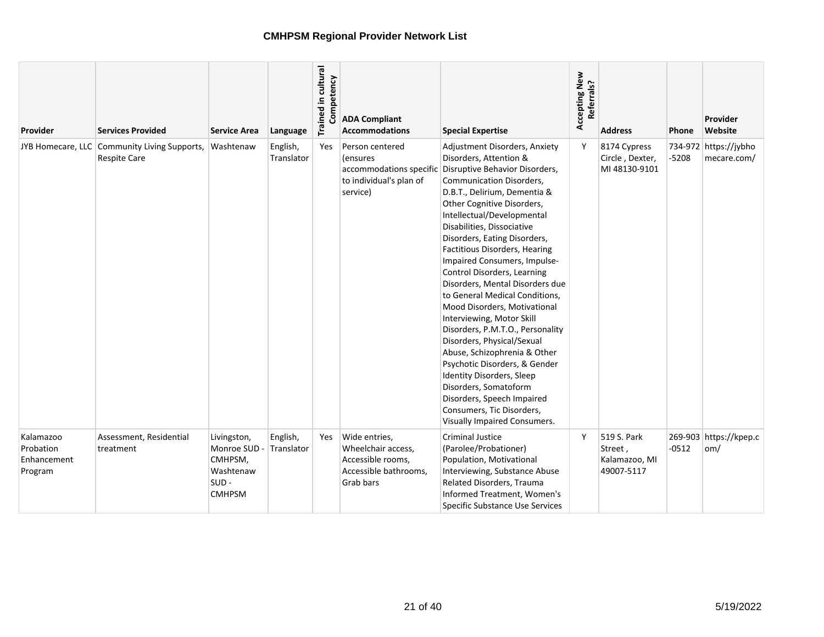| Provider                                         | <b>Services Provided</b>                                            | <b>Service Area</b>                                                          | Language               | Trained in cultural<br>Competency | <b>ADA Compliant</b><br><b>Accommodations</b>                                                  | <b>Special Expertise</b>                                                                                                                                                                                                                                                                                                                                                                                                                                                                                                                                                                                                                                                                                                                                                                                     | Accepting New<br>Referrals? | <b>Address</b>                                        | Phone   | Provider<br>Website                      |
|--------------------------------------------------|---------------------------------------------------------------------|------------------------------------------------------------------------------|------------------------|-----------------------------------|------------------------------------------------------------------------------------------------|--------------------------------------------------------------------------------------------------------------------------------------------------------------------------------------------------------------------------------------------------------------------------------------------------------------------------------------------------------------------------------------------------------------------------------------------------------------------------------------------------------------------------------------------------------------------------------------------------------------------------------------------------------------------------------------------------------------------------------------------------------------------------------------------------------------|-----------------------------|-------------------------------------------------------|---------|------------------------------------------|
|                                                  | JYB Homecare, LLC Community Living Supports,<br><b>Respite Care</b> | Washtenaw                                                                    | English,<br>Translator | <b>Yes</b>                        | Person centered<br>(ensures<br>accommodations specific<br>to individual's plan of<br>service)  | Adjustment Disorders, Anxiety<br>Disorders, Attention &<br>Disruptive Behavior Disorders,<br>Communication Disorders,<br>D.B.T., Delirium, Dementia &<br>Other Cognitive Disorders,<br>Intellectual/Developmental<br>Disabilities, Dissociative<br>Disorders, Eating Disorders,<br>Factitious Disorders, Hearing<br>Impaired Consumers, Impulse-<br>Control Disorders, Learning<br>Disorders, Mental Disorders due<br>to General Medical Conditions,<br>Mood Disorders, Motivational<br>Interviewing, Motor Skill<br>Disorders, P.M.T.O., Personality<br>Disorders, Physical/Sexual<br>Abuse, Schizophrenia & Other<br>Psychotic Disorders, & Gender<br><b>Identity Disorders, Sleep</b><br>Disorders, Somatoform<br>Disorders, Speech Impaired<br>Consumers, Tic Disorders,<br>Visually Impaired Consumers. | Y                           | 8174 Cypress<br>Circle, Dexter,<br>MI 48130-9101      | $-5208$ | 734-972 https://jybho<br>mecare.com/     |
| Kalamazoo<br>Probation<br>Enhancement<br>Program | Assessment, Residential<br>treatment                                | Livingston,<br>Monroe SUD -<br>CMHPSM,<br>Washtenaw<br>SUD-<br><b>CMHPSM</b> | English,<br>Translator | Yes                               | Wide entries,<br>Wheelchair access,<br>Accessible rooms,<br>Accessible bathrooms,<br>Grab bars | <b>Criminal Justice</b><br>(Parolee/Probationer)<br>Population, Motivational<br>Interviewing, Substance Abuse<br>Related Disorders, Trauma<br>Informed Treatment, Women's<br>Specific Substance Use Services                                                                                                                                                                                                                                                                                                                                                                                                                                                                                                                                                                                                 | Υ                           | 519 S. Park<br>Street,<br>Kalamazoo, MI<br>49007-5117 | $-0512$ | 269-903 https://kpep.c<br>$\mathsf{om}/$ |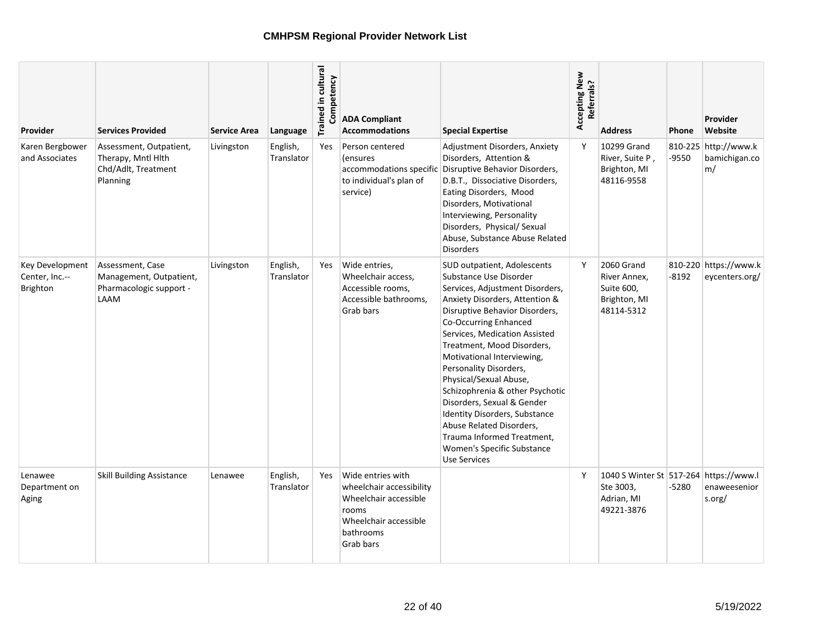| <b>Provider</b>                                             | <b>Services Provided</b>                                                         | <b>Service Area</b> | Language               | Trained in cultural<br>Competency | <b>ADA Compliant</b><br><b>Accommodations</b>                                                                                      | <b>Special Expertise</b>                                                                                                                                                                                                                                                                                                                                                                                                                                                                                                                                | Accepting New<br>Referrals? | <b>Address</b>                                                                  | <b>Phone</b> | Provider<br>Website                         |
|-------------------------------------------------------------|----------------------------------------------------------------------------------|---------------------|------------------------|-----------------------------------|------------------------------------------------------------------------------------------------------------------------------------|---------------------------------------------------------------------------------------------------------------------------------------------------------------------------------------------------------------------------------------------------------------------------------------------------------------------------------------------------------------------------------------------------------------------------------------------------------------------------------------------------------------------------------------------------------|-----------------------------|---------------------------------------------------------------------------------|--------------|---------------------------------------------|
| Karen Bergbower<br>and Associates                           | Assessment, Outpatient,<br>Therapy, Mntl Hlth<br>Chd/Adlt, Treatment<br>Planning | Livingston          | English,<br>Translator | Yes                               | Person centered<br><i>(ensures)</i><br>accommodations specific<br>to individual's plan of<br>service)                              | Adjustment Disorders, Anxiety<br>Disorders, Attention &<br>Disruptive Behavior Disorders,<br>D.B.T., Dissociative Disorders,<br>Eating Disorders, Mood<br>Disorders, Motivational<br>Interviewing, Personality<br>Disorders, Physical/ Sexual<br>Abuse, Substance Abuse Related<br><b>Disorders</b>                                                                                                                                                                                                                                                     | Y                           | 10299 Grand<br>River, Suite P,<br>Brighton, MI<br>48116-9558                    | -9550        | 810-225 http://www.k<br>bamichigan.co<br>m/ |
| <b>Key Development</b><br>Center, Inc.--<br><b>Brighton</b> | Assessment, Case<br>Management, Outpatient,<br>Pharmacologic support -<br>LAAM   | Livingston          | English,<br>Translator | Yes                               | Wide entries,<br>Wheelchair access,<br>Accessible rooms,<br>Accessible bathrooms,<br>Grab bars                                     | SUD outpatient, Adolescents<br>Substance Use Disorder<br>Services, Adjustment Disorders,<br>Anxiety Disorders, Attention &<br>Disruptive Behavior Disorders,<br>Co-Occurring Enhanced<br>Services, Medication Assisted<br>Treatment, Mood Disorders,<br>Motivational Interviewing,<br>Personality Disorders,<br>Physical/Sexual Abuse,<br>Schizophrenia & other Psychotic<br>Disorders, Sexual & Gender<br>Identity Disorders, Substance<br>Abuse Related Disorders,<br>Trauma Informed Treatment,<br>Women's Specific Substance<br><b>Use Services</b> | Y                           | 2060 Grand<br>River Annex,<br>Suite 600,<br>Brighton, MI<br>48114-5312          | -8192        | 810-220 https://www.k<br>eycenters.org/     |
| Lenawee<br>Department on<br>Aging                           | <b>Skill Building Assistance</b>                                                 | Lenawee             | English,<br>Translator | Yes                               | Wide entries with<br>wheelchair accessibility<br>Wheelchair accessible<br>rooms<br>Wheelchair accessible<br>bathrooms<br>Grab bars |                                                                                                                                                                                                                                                                                                                                                                                                                                                                                                                                                         | Y                           | 1040 S Winter St 517-264 https://www.l<br>Ste 3003,<br>Adrian, MI<br>49221-3876 | -5280        | enaweesenior<br>s.org/                      |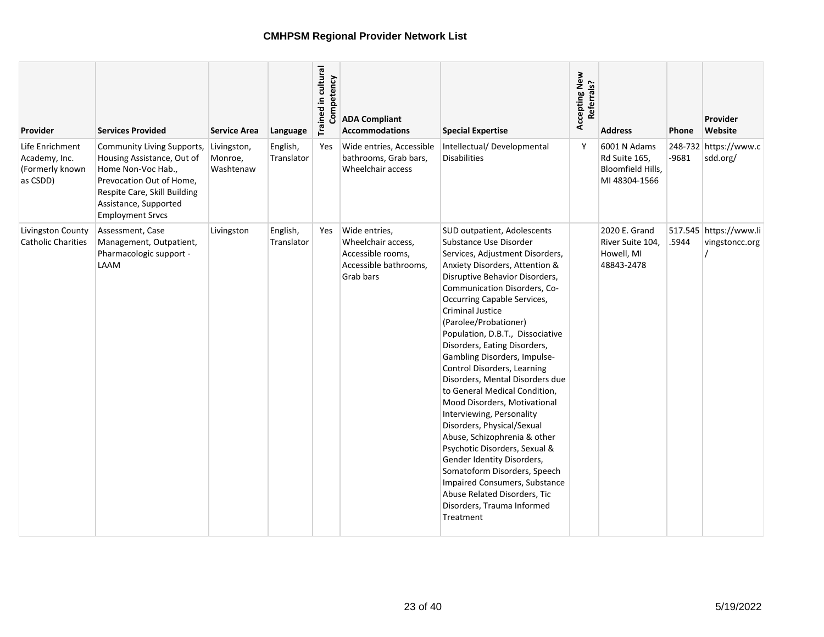| Provider                                                        | <b>Services Provided</b>                                                                                                                                                                       | <b>Service Area</b>                 | Language               | Trained in cultural<br>Competency | <b>ADA Compliant</b><br><b>Accommodations</b>                                                  | <b>Special Expertise</b>                                                                                                                                                                                                                                                                                                                                                                                                                                                                                                                                                                                                                                                                                                                                                                                                     | Accepting New<br>Referrals? | <b>Address</b>                                                      | Phone | Provider<br>Website                      |
|-----------------------------------------------------------------|------------------------------------------------------------------------------------------------------------------------------------------------------------------------------------------------|-------------------------------------|------------------------|-----------------------------------|------------------------------------------------------------------------------------------------|------------------------------------------------------------------------------------------------------------------------------------------------------------------------------------------------------------------------------------------------------------------------------------------------------------------------------------------------------------------------------------------------------------------------------------------------------------------------------------------------------------------------------------------------------------------------------------------------------------------------------------------------------------------------------------------------------------------------------------------------------------------------------------------------------------------------------|-----------------------------|---------------------------------------------------------------------|-------|------------------------------------------|
| Life Enrichment<br>Academy, Inc.<br>(Formerly known<br>as CSDD) | Community Living Supports,<br>Housing Assistance, Out of<br>Home Non-Voc Hab.,<br>Prevocation Out of Home,<br>Respite Care, Skill Building<br>Assistance, Supported<br><b>Employment Srvcs</b> | Livingston,<br>Monroe,<br>Washtenaw | English,<br>Translator | Yes                               | Wide entries, Accessible<br>bathrooms, Grab bars,<br>Wheelchair access                         | Intellectual/Developmental<br><b>Disabilities</b>                                                                                                                                                                                                                                                                                                                                                                                                                                                                                                                                                                                                                                                                                                                                                                            | Y                           | 6001 N Adams<br>Rd Suite 165,<br>Bloomfield Hills,<br>MI 48304-1566 | -9681 | 248-732 https://www.c<br>sdd.org/        |
| Livingston County<br><b>Catholic Charities</b>                  | Assessment, Case<br>Management, Outpatient,<br>Pharmacologic support -<br>LAAM                                                                                                                 | Livingston                          | English,<br>Translator | Yes                               | Wide entries,<br>Wheelchair access,<br>Accessible rooms,<br>Accessible bathrooms,<br>Grab bars | SUD outpatient, Adolescents<br>Substance Use Disorder<br>Services, Adjustment Disorders,<br>Anxiety Disorders, Attention &<br>Disruptive Behavior Disorders,<br>Communication Disorders, Co-<br><b>Occurring Capable Services,</b><br>Criminal Justice<br>(Parolee/Probationer)<br>Population, D.B.T., Dissociative<br>Disorders, Eating Disorders,<br>Gambling Disorders, Impulse-<br>Control Disorders, Learning<br>Disorders, Mental Disorders due<br>to General Medical Condition,<br>Mood Disorders, Motivational<br>Interviewing, Personality<br>Disorders, Physical/Sexual<br>Abuse, Schizophrenia & other<br>Psychotic Disorders, Sexual &<br>Gender Identity Disorders,<br>Somatoform Disorders, Speech<br>Impaired Consumers, Substance<br>Abuse Related Disorders, Tic<br>Disorders, Trauma Informed<br>Treatment |                             | 2020 E. Grand<br>River Suite 104,<br>Howell, MI<br>48843-2478       | .5944 | 517.545 https://www.li<br>vingstoncc.org |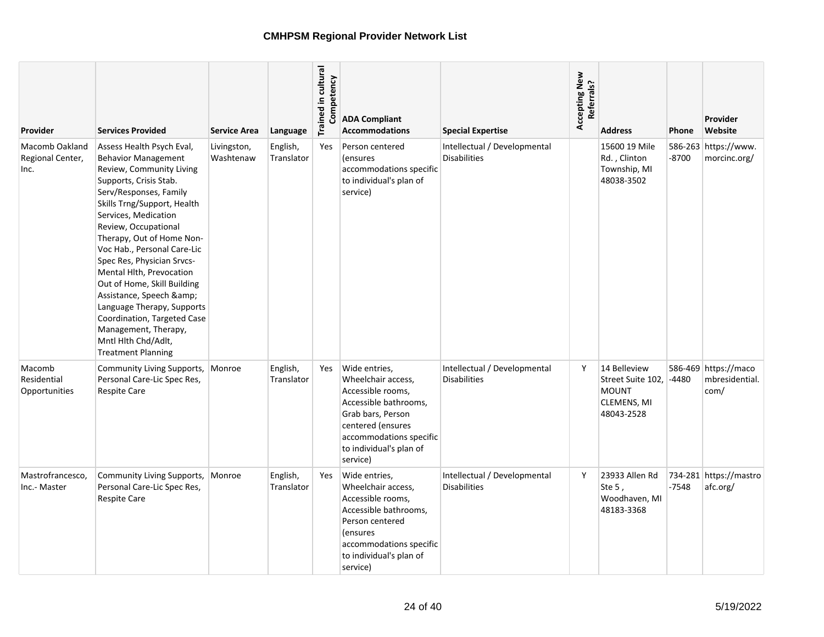| <b>Provider</b>                                   | <b>Services Provided</b>                                                                                                                                                                                                                                                                                                                                                                                                                                                                                                                     | <b>Service Area</b>      | Language               | Trained in cultural<br>Competency | <b>ADA Compliant</b><br><b>Accommodations</b>                                                                                                                                                 | <b>Special Expertise</b>                            | Accepting New<br>Referrals? | <b>Address</b>                                                                 | Phone   | Provider<br>Website                            |
|---------------------------------------------------|----------------------------------------------------------------------------------------------------------------------------------------------------------------------------------------------------------------------------------------------------------------------------------------------------------------------------------------------------------------------------------------------------------------------------------------------------------------------------------------------------------------------------------------------|--------------------------|------------------------|-----------------------------------|-----------------------------------------------------------------------------------------------------------------------------------------------------------------------------------------------|-----------------------------------------------------|-----------------------------|--------------------------------------------------------------------------------|---------|------------------------------------------------|
| <b>Macomb Oakland</b><br>Regional Center,<br>Inc. | Assess Health Psych Eval,<br><b>Behavior Management</b><br>Review, Community Living<br>Supports, Crisis Stab.<br>Serv/Responses, Family<br>Skills Trng/Support, Health<br>Services, Medication<br>Review, Occupational<br>Therapy, Out of Home Non-<br>Voc Hab., Personal Care-Lic<br>Spec Res, Physician Srvcs-<br>Mental Hlth, Prevocation<br>Out of Home, Skill Building<br>Assistance, Speech &<br>Language Therapy, Supports<br>Coordination, Targeted Case<br>Management, Therapy,<br>Mntl Hlth Chd/Adlt,<br><b>Treatment Planning</b> | Livingston,<br>Washtenaw | English,<br>Translator | Yes                               | Person centered<br><i>(ensures)</i><br>accommodations specific<br>to individual's plan of<br>service)                                                                                         | Intellectual / Developmental<br><b>Disabilities</b> |                             | 15600 19 Mile<br>Rd., Clinton<br>Township, MI<br>48038-3502                    | -8700   | 586-263 https://www.<br>morcinc.org/           |
| Macomb<br>Residential<br>Opportunities            | Community Living Supports,<br>Personal Care-Lic Spec Res,<br>Respite Care                                                                                                                                                                                                                                                                                                                                                                                                                                                                    | Monroe                   | English,<br>Translator | Yes                               | Wide entries,<br>Wheelchair access,<br>Accessible rooms,<br>Accessible bathrooms,<br>Grab bars, Person<br>centered (ensures<br>accommodations specific<br>to individual's plan of<br>service) | Intellectual / Developmental<br><b>Disabilities</b> | Y                           | 14 Belleview<br>Street Suite 102,<br><b>MOUNT</b><br>CLEMENS, MI<br>48043-2528 | $-4480$ | 586-469 https://maco<br>mbresidential.<br>com/ |
| Mastrofrancesco,<br>Inc.- Master                  | Community Living Supports,<br>Personal Care-Lic Spec Res,<br><b>Respite Care</b>                                                                                                                                                                                                                                                                                                                                                                                                                                                             | Monroe                   | English,<br>Translator | Yes                               | Wide entries,<br>Wheelchair access,<br>Accessible rooms,<br>Accessible bathrooms,<br>Person centered<br><i>(ensures)</i><br>accommodations specific<br>to individual's plan of<br>service)    | Intellectual / Developmental<br><b>Disabilities</b> | Y                           | 23933 Allen Rd<br>Ste $5$ ,<br>Woodhaven, MI<br>48183-3368                     | $-7548$ | 734-281 https://mastro<br>afc.org/             |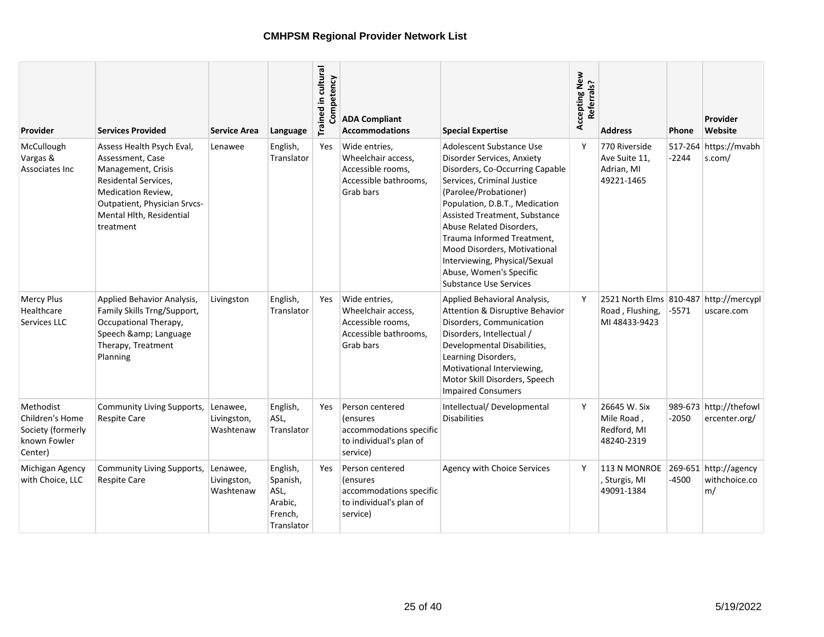| Provider                                                                     | <b>Services Provided</b>                                                                                                                                                                   | <b>Service Area</b>                  | Language                                                         | Trained in cultural<br>Competency | <b>ADA Compliant</b><br><b>Accommodations</b>                                                        | <b>Special Expertise</b>                                                                                                                                                                                                                                                                                                                                                                                   | Accepting New<br>Referrals? | <b>Address</b>                                                             | Phone   | Provider<br>Website                          |
|------------------------------------------------------------------------------|--------------------------------------------------------------------------------------------------------------------------------------------------------------------------------------------|--------------------------------------|------------------------------------------------------------------|-----------------------------------|------------------------------------------------------------------------------------------------------|------------------------------------------------------------------------------------------------------------------------------------------------------------------------------------------------------------------------------------------------------------------------------------------------------------------------------------------------------------------------------------------------------------|-----------------------------|----------------------------------------------------------------------------|---------|----------------------------------------------|
| McCullough<br>Vargas &<br>Associates Inc                                     | Assess Health Psych Eval,<br>Assessment, Case<br>Management, Crisis<br>Residental Services,<br>Medication Review,<br>Outpatient, Physician Srvcs-<br>Mental Hlth, Residential<br>treatment | Lenawee                              | English,<br>Translator                                           | Yes                               | Wide entries,<br>Wheelchair access,<br>Accessible rooms,<br>Accessible bathrooms,<br>Grab bars       | Adolescent Substance Use<br>Disorder Services, Anxiety<br>Disorders, Co-Occurring Capable<br>Services, Criminal Justice<br>(Parolee/Probationer)<br>Population, D.B.T., Medication<br>Assisted Treatment, Substance<br>Abuse Related Disorders,<br>Trauma Informed Treatment,<br>Mood Disorders, Motivational<br>Interviewing, Physical/Sexual<br>Abuse, Women's Specific<br><b>Substance Use Services</b> | Y                           | 770 Riverside<br>Ave Suite 11.<br>Adrian, MI<br>49221-1465                 | $-2244$ | 517-264 https://mvabh<br>s.com/              |
| <b>Mercy Plus</b><br>Healthcare<br>Services LLC                              | Applied Behavior Analysis,<br>Family Skills Trng/Support,<br>Occupational Therapy,<br>Speech & Language<br>Therapy, Treatment<br>Planning                                                  | Livingston                           | English,<br>Translator                                           | Yes                               | Wide entries,<br>Wheelchair access,<br>Accessible rooms,<br>Accessible bathrooms,<br>Grab bars       | Applied Behavioral Analysis,<br>Attention & Disruptive Behavior<br>Disorders, Communication<br>Disorders, Intellectual /<br>Developmental Disabilities,<br>Learning Disorders,<br>Motivational Interviewing,<br>Motor Skill Disorders, Speech<br><b>Impaired Consumers</b>                                                                                                                                 | Y                           | 2521 North Elms 810-487 http://mercypl<br>Road, Flushing,<br>MI 48433-9423 | -5571   | uscare.com                                   |
| Methodist<br>Children's Home<br>Society (formerly<br>known Fowler<br>Center) | Community Living Supports,<br><b>Respite Care</b>                                                                                                                                          | Lenawee,<br>Livingston,<br>Washtenaw | English,<br>ASL,<br>Translator                                   | Yes                               | Person centered<br><i>(ensures</i><br>accommodations specific<br>to individual's plan of<br>service) | Intellectual/Developmental<br><b>Disabilities</b>                                                                                                                                                                                                                                                                                                                                                          | Y                           | 26645 W. Six<br>Mile Road,<br>Redford, MI<br>48240-2319                    | $-2050$ | 989-673 http://thefowl<br>ercenter.org/      |
| Michigan Agency<br>with Choice, LLC                                          | <b>Community Living Supports,</b><br><b>Respite Care</b>                                                                                                                                   | Lenawee,<br>Livingston,<br>Washtenaw | English,<br>Spanish,<br>ASL,<br>Arabic,<br>French,<br>Translator | Yes                               | Person centered<br>(ensures<br>accommodations specific<br>to individual's plan of<br>service)        | Agency with Choice Services                                                                                                                                                                                                                                                                                                                                                                                | Y                           | 113 N MONROE<br>, Sturgis, MI<br>49091-1384                                | -4500   | 269-651 http://agency<br>withchoice.co<br>m/ |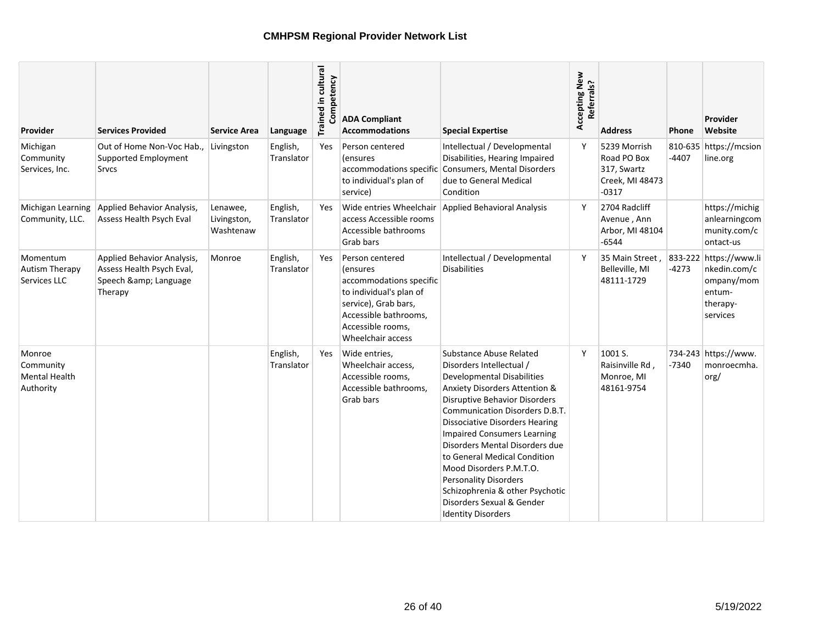| Provider                                                 | <b>Services Provided</b>                                                                | <b>Service Area</b>                  | Language               | Trained in cultural<br>Competency | <b>ADA Compliant</b><br><b>Accommodations</b>                                                                                                                                | <b>Special Expertise</b>                                                                                                                                                                                                                                                                                                                                                                                                                                                                                                | Accepting New<br>Referrals? | <b>Address</b>                                                           | Phone   | Provider<br>Website                                                                    |
|----------------------------------------------------------|-----------------------------------------------------------------------------------------|--------------------------------------|------------------------|-----------------------------------|------------------------------------------------------------------------------------------------------------------------------------------------------------------------------|-------------------------------------------------------------------------------------------------------------------------------------------------------------------------------------------------------------------------------------------------------------------------------------------------------------------------------------------------------------------------------------------------------------------------------------------------------------------------------------------------------------------------|-----------------------------|--------------------------------------------------------------------------|---------|----------------------------------------------------------------------------------------|
| Michigan<br>Community<br>Services, Inc.                  | Out of Home Non-Voc Hab.,<br>Supported Employment<br>Srvcs                              | Livingston                           | English,<br>Translator | Yes                               | Person centered<br>(ensures<br>accommodations specific<br>to individual's plan of<br>service)                                                                                | Intellectual / Developmental<br>Disabilities, Hearing Impaired<br><b>Consumers, Mental Disorders</b><br>due to General Medical<br>Condition                                                                                                                                                                                                                                                                                                                                                                             | Y                           | 5239 Morrish<br>Road PO Box<br>317, Swartz<br>Creek, MI 48473<br>$-0317$ | $-4407$ | 810-635 https://mcsion<br>line.org                                                     |
| Michigan Learning<br>Community, LLC.                     | Applied Behavior Analysis,<br>Assess Health Psych Eval                                  | Lenawee,<br>Livingston,<br>Washtenaw | English,<br>Translator | Yes                               | Wide entries Wheelchair<br>access Accessible rooms<br>Accessible bathrooms<br>Grab bars                                                                                      | <b>Applied Behavioral Analysis</b>                                                                                                                                                                                                                                                                                                                                                                                                                                                                                      | Y                           | 2704 Radcliff<br>Avenue, Ann<br>Arbor, MI 48104<br>$-6544$               |         | https://michig<br>anlearningcom<br>munity.com/c<br>ontact-us                           |
| Momentum<br><b>Autism Therapy</b><br>Services LLC        | Applied Behavior Analysis,<br>Assess Health Psych Eval,<br>Speech & Language<br>Therapy | Monroe                               | English,<br>Translator | Yes                               | Person centered<br>(ensures<br>accommodations specific<br>to individual's plan of<br>service), Grab bars,<br>Accessible bathrooms,<br>Accessible rooms,<br>Wheelchair access | Intellectual / Developmental<br><b>Disabilities</b>                                                                                                                                                                                                                                                                                                                                                                                                                                                                     | Y                           | 35 Main Street.<br>Belleville, MI<br>48111-1729                          | $-4273$ | 833-222 https://www.li<br>nkedin.com/c<br>ompany/mom<br>entum-<br>therapy-<br>services |
| Monroe<br>Community<br><b>Mental Health</b><br>Authority |                                                                                         |                                      | English,<br>Translator | Yes                               | Wide entries,<br>Wheelchair access,<br>Accessible rooms,<br>Accessible bathrooms.<br>Grab bars                                                                               | Substance Abuse Related<br>Disorders Intellectual /<br><b>Developmental Disabilities</b><br><b>Anxiety Disorders Attention &amp;</b><br><b>Disruptive Behavior Disorders</b><br>Communication Disorders D.B.T.<br><b>Dissociative Disorders Hearing</b><br><b>Impaired Consumers Learning</b><br>Disorders Mental Disorders due<br>to General Medical Condition<br>Mood Disorders P.M.T.O.<br><b>Personality Disorders</b><br>Schizophrenia & other Psychotic<br>Disorders Sexual & Gender<br><b>Identity Disorders</b> | Y                           | 1001 S.<br>Raisinville Rd,<br>Monroe, MI<br>48161-9754                   | $-7340$ | 734-243 https://www.<br>monroecmha.<br>org/                                            |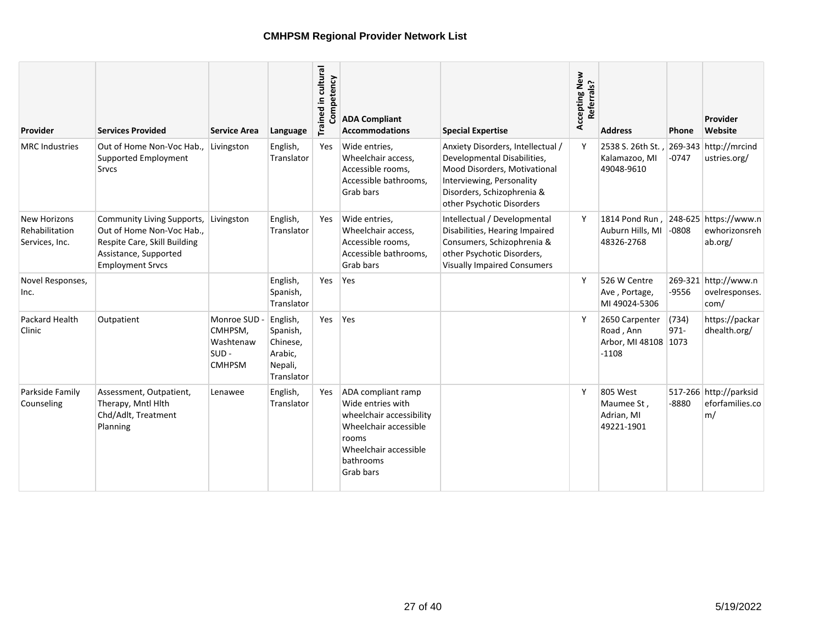| Provider                                                | <b>Services Provided</b>                                                                                                                    | <b>Service Area</b>                                              | Language                                                             | Trained in cultural<br>Competency | <b>ADA Compliant</b><br><b>Accommodations</b>                                                                                                            | <b>Special Expertise</b>                                                                                                                                                                 | Accepting New<br>Referrals? | <b>Address</b>                                                               | <b>Phone</b>     | Provider<br>Website                             |
|---------------------------------------------------------|---------------------------------------------------------------------------------------------------------------------------------------------|------------------------------------------------------------------|----------------------------------------------------------------------|-----------------------------------|----------------------------------------------------------------------------------------------------------------------------------------------------------|------------------------------------------------------------------------------------------------------------------------------------------------------------------------------------------|-----------------------------|------------------------------------------------------------------------------|------------------|-------------------------------------------------|
| <b>MRC</b> Industries                                   | Out of Home Non-Voc Hab<br>Supported Employment<br>Srvcs                                                                                    | Livingston                                                       | English,<br>Translator                                               | Yes                               | Wide entries,<br>Wheelchair access,<br>Accessible rooms,<br>Accessible bathrooms,<br>Grab bars                                                           | Anxiety Disorders, Intellectual /<br>Developmental Disabilities,<br>Mood Disorders, Motivational<br>Interviewing, Personality<br>Disorders, Schizophrenia &<br>other Psychotic Disorders | Y                           | 2538 S. 26th St.<br>Kalamazoo, MI<br>49048-9610                              | $-0747$          | 269-343 http://mrcind<br>ustries.org/           |
| <b>New Horizons</b><br>Rehabilitation<br>Services, Inc. | Community Living Supports,<br>Out of Home Non-Voc Hab.,<br>Respite Care, Skill Building<br>Assistance, Supported<br><b>Employment Srvcs</b> | Livingston                                                       | English,<br>Translator                                               | Yes                               | Wide entries,<br>Wheelchair access,<br>Accessible rooms,<br>Accessible bathrooms.<br>Grab bars                                                           | Intellectual / Developmental<br>Disabilities, Hearing Impaired<br>Consumers, Schizophrenia &<br>other Psychotic Disorders,<br><b>Visually Impaired Consumers</b>                         | Y                           | 1814 Pond Run, 248-625 https://www.n<br>Auburn Hills, MI -0808<br>48326-2768 |                  | ewhorizonsreh<br>ab.org/                        |
| Novel Responses,<br>Inc.                                |                                                                                                                                             |                                                                  | English,<br>Spanish,<br>Translator                                   | Yes                               | Yes                                                                                                                                                      |                                                                                                                                                                                          | Y                           | 526 W Centre<br>Ave, Portage,<br>MI 49024-5306                               | -9556            | 269-321 http://www.n<br>ovelresponses.<br>com/  |
| Packard Health<br>Clinic                                | Outpatient                                                                                                                                  | Monroe SUD -<br>CMHPSM,<br>Washtenaw<br>$SUB -$<br><b>CMHPSM</b> | English,<br>Spanish,<br>Chinese,<br>Arabic,<br>Nepali,<br>Translator | Yes                               | Yes                                                                                                                                                      |                                                                                                                                                                                          | Y                           | 2650 Carpenter<br>Road, Ann<br>Arbor, MI 48108 1073<br>$-1108$               | (734)<br>$971 -$ | https://packar<br>dhealth.org/                  |
| Parkside Family<br>Counseling                           | Assessment, Outpatient,<br>Therapy, Mntl Hlth<br>Chd/Adlt, Treatment<br>Planning                                                            | Lenawee                                                          | English,<br>Translator                                               | Yes                               | ADA compliant ramp<br>Wide entries with<br>wheelchair accessibility<br>Wheelchair accessible<br>rooms<br>Wheelchair accessible<br>bathrooms<br>Grab bars |                                                                                                                                                                                          | Y                           | 805 West<br>Maumee St,<br>Adrian, MI<br>49221-1901                           | $-8880$          | 517-266 http://parksid<br>eforfamilies.co<br>m/ |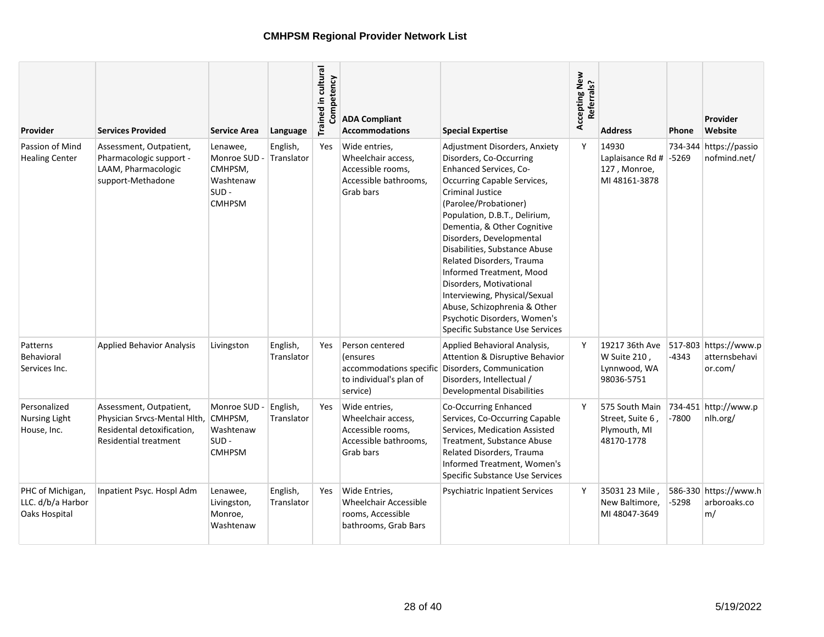| Provider                                               | <b>Services Provided</b>                                                                                              | <b>Service Area</b>                                                          | Language               | Trained in cultural<br>Competency | <b>ADA Compliant</b><br><b>Accommodations</b>                                                  | <b>Special Expertise</b>                                                                                                                                                                                                                                                                                                                                                                                                                                                                                                                 | Accepting New<br>Referrals? | <b>Address</b>                                                   | <b>Phone</b> | Provider<br>Website                               |
|--------------------------------------------------------|-----------------------------------------------------------------------------------------------------------------------|------------------------------------------------------------------------------|------------------------|-----------------------------------|------------------------------------------------------------------------------------------------|------------------------------------------------------------------------------------------------------------------------------------------------------------------------------------------------------------------------------------------------------------------------------------------------------------------------------------------------------------------------------------------------------------------------------------------------------------------------------------------------------------------------------------------|-----------------------------|------------------------------------------------------------------|--------------|---------------------------------------------------|
| Passion of Mind<br><b>Healing Center</b>               | Assessment, Outpatient,<br>Pharmacologic support -<br>LAAM, Pharmacologic<br>support-Methadone                        | Lenawee,<br>Monroe SUD -<br>CMHPSM.<br>Washtenaw<br>$SUB -$<br><b>CMHPSM</b> | English,<br>Translator | Yes                               | Wide entries.<br>Wheelchair access,<br>Accessible rooms.<br>Accessible bathrooms.<br>Grab bars | Adjustment Disorders, Anxiety<br>Disorders, Co-Occurring<br><b>Enhanced Services, Co-</b><br>Occurring Capable Services,<br><b>Criminal Justice</b><br>(Parolee/Probationer)<br>Population, D.B.T., Delirium,<br>Dementia, & Other Cognitive<br>Disorders, Developmental<br>Disabilities, Substance Abuse<br><b>Related Disorders, Trauma</b><br>Informed Treatment, Mood<br>Disorders. Motivational<br>Interviewing, Physical/Sexual<br>Abuse, Schizophrenia & Other<br>Psychotic Disorders, Women's<br>Specific Substance Use Services | Y                           | 14930<br>Laplaisance Rd # -5269<br>127, Monroe,<br>MI 48161-3878 | 734-344      | https://passio<br>nofmind.net/                    |
| Patterns<br>Behavioral<br>Services Inc.                | <b>Applied Behavior Analysis</b>                                                                                      | Livingston                                                                   | English,<br>Translator | Yes                               | Person centered<br>(ensures<br>accommodations specific<br>to individual's plan of<br>service)  | Applied Behavioral Analysis,<br>Attention & Disruptive Behavior<br>Disorders, Communication<br>Disorders, Intellectual /<br><b>Developmental Disabilities</b>                                                                                                                                                                                                                                                                                                                                                                            | Y                           | 19217 36th Ave<br>W Suite 210,<br>Lynnwood, WA<br>98036-5751     | $-4343$      | 517-803 https://www.p<br>atternsbehavi<br>or.com/ |
| Personalized<br><b>Nursing Light</b><br>House, Inc.    | Assessment, Outpatient,<br>Physician Srvcs-Mental Hlth,<br>Residental detoxification,<br><b>Residential treatment</b> | Monroe SUD -<br>CMHPSM,<br>Washtenaw<br>$SUB -$<br><b>CMHPSM</b>             | English,<br>Translator | Yes                               | Wide entries,<br>Wheelchair access,<br>Accessible rooms,<br>Accessible bathrooms,<br>Grab bars | Co-Occurring Enhanced<br>Services, Co-Occurring Capable<br>Services, Medication Assisted<br>Treatment, Substance Abuse<br>Related Disorders, Trauma<br>Informed Treatment, Women's<br>Specific Substance Use Services                                                                                                                                                                                                                                                                                                                    | Y                           | 575 South Main<br>Street, Suite 6,<br>Plymouth, MI<br>48170-1778 | $-7800$      | 734-451 http://www.p<br>nlh.org/                  |
| PHC of Michigan,<br>LLC. d/b/a Harbor<br>Oaks Hospital | Inpatient Psyc. Hospl Adm                                                                                             | Lenawee,<br>Livingston,<br>Monroe,<br>Washtenaw                              | English,<br>Translator | <b>Yes</b>                        | Wide Entries.<br><b>Wheelchair Accessible</b><br>rooms, Accessible<br>bathrooms, Grab Bars     | <b>Psychiatric Inpatient Services</b>                                                                                                                                                                                                                                                                                                                                                                                                                                                                                                    | Y                           | 35031 23 Mile<br>New Baltimore,<br>MI 48047-3649                 | -5298        | 586-330 https://www.h<br>arboroaks.co<br>m/       |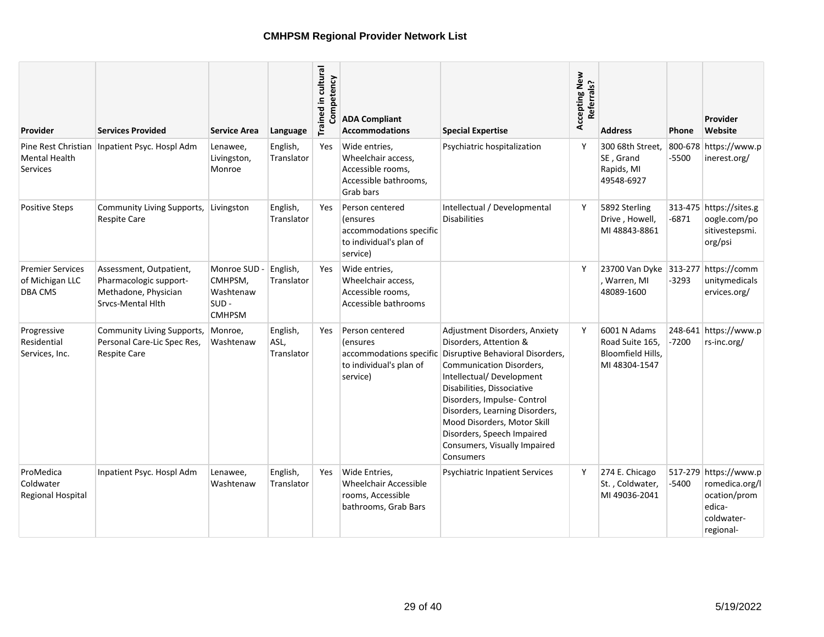| <b>Provider</b>                                              | <b>Services Provided</b>                                                                       | <b>Service Area</b>                                           | Language                       | Trained in cultural<br>Competency | <b>ADA Compliant</b><br><b>Accommodations</b>                                                         | <b>Special Expertise</b>                                                                                                                                                                                                                                                                                                                                     | Accepting New<br>Referrals? | <b>Address</b>                                                        | <b>Phone</b>     | Provider<br>Website                                                                          |
|--------------------------------------------------------------|------------------------------------------------------------------------------------------------|---------------------------------------------------------------|--------------------------------|-----------------------------------|-------------------------------------------------------------------------------------------------------|--------------------------------------------------------------------------------------------------------------------------------------------------------------------------------------------------------------------------------------------------------------------------------------------------------------------------------------------------------------|-----------------------------|-----------------------------------------------------------------------|------------------|----------------------------------------------------------------------------------------------|
| <b>Mental Health</b><br><b>Services</b>                      | Pine Rest Christian   Inpatient Psyc. Hospl Adm                                                | Lenawee,<br>Livingston,<br>Monroe                             | English,<br>Translator         | Yes                               | Wide entries.<br>Wheelchair access,<br>Accessible rooms,<br>Accessible bathrooms,<br>Grab bars        | Psychiatric hospitalization                                                                                                                                                                                                                                                                                                                                  | Y                           | 300 68th Street.<br>SE, Grand<br>Rapids, MI<br>49548-6927             | 800-678<br>-5500 | https://www.p<br>inerest.org/                                                                |
| <b>Positive Steps</b>                                        | Community Living Supports,<br><b>Respite Care</b>                                              | Livingston                                                    | English,<br>Translator         | Yes                               | Person centered<br>(ensures<br>accommodations specific<br>to individual's plan of<br>service)         | Intellectual / Developmental<br><b>Disabilities</b>                                                                                                                                                                                                                                                                                                          | Y                           | 5892 Sterling<br>Drive, Howell,<br>MI 48843-8861                      | $-6871$          | 313-475 https://sites.g<br>oogle.com/po<br>sitivestepsmi.<br>org/psi                         |
| <b>Premier Services</b><br>of Michigan LLC<br><b>DBA CMS</b> | Assessment, Outpatient,<br>Pharmacologic support-<br>Methadone, Physician<br>Srvcs-Mental Hith | Monroe SUD -<br>CMHPSM,<br>Washtenaw<br>SUD-<br><b>CMHPSM</b> | English,<br>Translator         | Yes                               | Wide entries,<br>Wheelchair access,<br>Accessible rooms,<br>Accessible bathrooms                      |                                                                                                                                                                                                                                                                                                                                                              | Υ                           | 23700 Van Dyke 313-277 https://comm<br>Warren, MI<br>48089-1600       | $-3293$          | unitymedicals<br>ervices.org/                                                                |
| Progressive<br>Residential<br>Services, Inc.                 | Community Living Supports,<br>Personal Care-Lic Spec Res,<br><b>Respite Care</b>               | Monroe,<br>Washtenaw                                          | English,<br>ASL.<br>Translator | <b>Yes</b>                        | Person centered<br><i>l</i> ensures<br>accommodations specific<br>to individual's plan of<br>service) | Adjustment Disorders, Anxiety<br>Disorders, Attention &<br>Disruptive Behavioral Disorders,<br>Communication Disorders,<br>Intellectual/Development<br>Disabilities, Dissociative<br>Disorders, Impulse- Control<br>Disorders, Learning Disorders,<br>Mood Disorders, Motor Skill<br>Disorders, Speech Impaired<br>Consumers, Visually Impaired<br>Consumers | Υ                           | 6001 N Adams<br>Road Suite 165.<br>Bloomfield Hills,<br>MI 48304-1547 | -7200            | 248-641 https://www.p<br>rs-inc.org/                                                         |
| ProMedica<br>Coldwater<br><b>Regional Hospital</b>           | Inpatient Psyc. Hospl Adm                                                                      | Lenawee,<br>Washtenaw                                         | English,<br>Translator         | Yes                               | Wide Entries,<br><b>Wheelchair Accessible</b><br>rooms, Accessible<br>bathrooms, Grab Bars            | <b>Psychiatric Inpatient Services</b>                                                                                                                                                                                                                                                                                                                        | Υ                           | 274 E. Chicago<br>St., Coldwater,<br>MI 49036-2041                    | -5400            | 517-279 https://www.p<br>romedica.org/l<br>ocation/prom<br>edica-<br>coldwater-<br>regional- |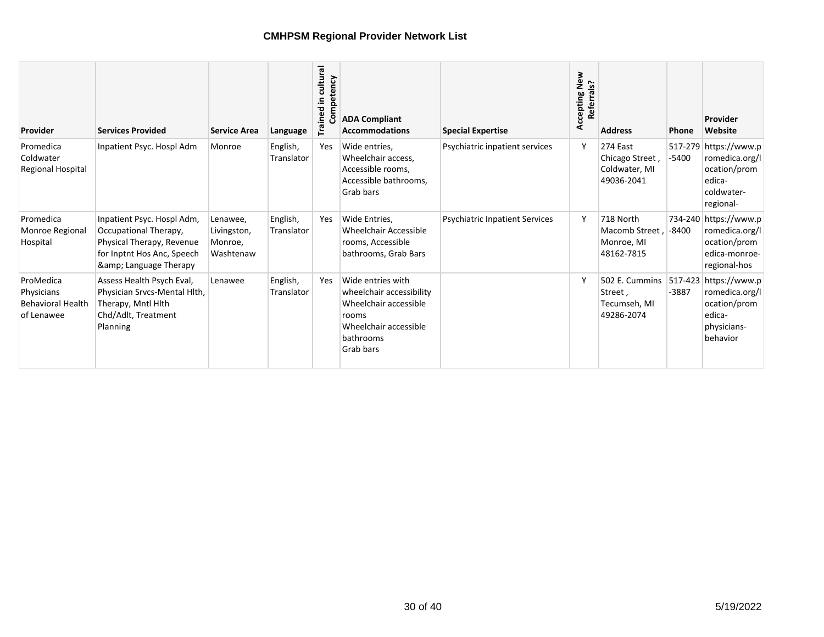| Provider                                                          | <b>Services Provided</b>                                                                                                             | <b>Service Area</b>                             | Language               | cultural<br>Competency<br>Trained in | <b>ADA Compliant</b><br><b>Accommodations</b>                                                                                             | <b>Special Expertise</b>              | cepting New<br>Referrals?<br>Accepting I | <b>Address</b>                                             | <b>Phone</b> | Provider<br>Website                                                                          |
|-------------------------------------------------------------------|--------------------------------------------------------------------------------------------------------------------------------------|-------------------------------------------------|------------------------|--------------------------------------|-------------------------------------------------------------------------------------------------------------------------------------------|---------------------------------------|------------------------------------------|------------------------------------------------------------|--------------|----------------------------------------------------------------------------------------------|
| Promedica<br>Coldwater<br>Regional Hospital                       | Inpatient Psyc. Hospl Adm                                                                                                            | Monroe                                          | English,<br>Translator | Yes                                  | Wide entries.<br>Wheelchair access,<br>Accessible rooms,<br>Accessible bathrooms,<br>Grab bars                                            | Psychiatric inpatient services        |                                          | 274 East<br>Chicago Street,<br>Coldwater, MI<br>49036-2041 | $-5400$      | 517-279 https://www.p<br>romedica.org/l<br>ocation/prom<br>edica-<br>coldwater-<br>regional- |
| Promedica<br>Monroe Regional<br>Hospital                          | Inpatient Psyc. Hospl Adm,<br>Occupational Therapy,<br>Physical Therapy, Revenue<br>for Inptnt Hos Anc, Speech<br>& Language Therapy | Lenawee,<br>Livingston,<br>Monroe,<br>Washtenaw | English,<br>Translator | Yes                                  | Wide Entries,<br>Wheelchair Accessible<br>rooms, Accessible<br>bathrooms, Grab Bars                                                       | <b>Psychiatric Inpatient Services</b> | Y                                        | 718 North<br>Macomb Street.<br>Monroe, MI<br>48162-7815    | $-8400$      | 734-240 https://www.p<br>romedica.org/l<br>ocation/prom<br>edica-monroe-<br>regional-hos     |
| ProMedica<br>Physicians<br><b>Behavioral Health</b><br>of Lenawee | Assess Health Psych Eval,<br>Physician Srvcs-Mental Hlth,<br>Therapy, Mntl Hlth<br>Chd/Adlt, Treatment<br>Planning                   | Lenawee                                         | English,<br>Translator | Yes                                  | Wide entries with<br>wheelchair accessibility<br>Wheelchair accessible<br>rooms<br>Wheelchair accessible<br>bathrooms<br><b>Grab bars</b> |                                       |                                          | 502 E. Cummins<br>Street,<br>Tecumseh, MI<br>49286-2074    | $-3887$      | 517-423 https://www.p<br>romedica.org/l<br>ocation/prom<br>edica-<br>physicians-<br>behavior |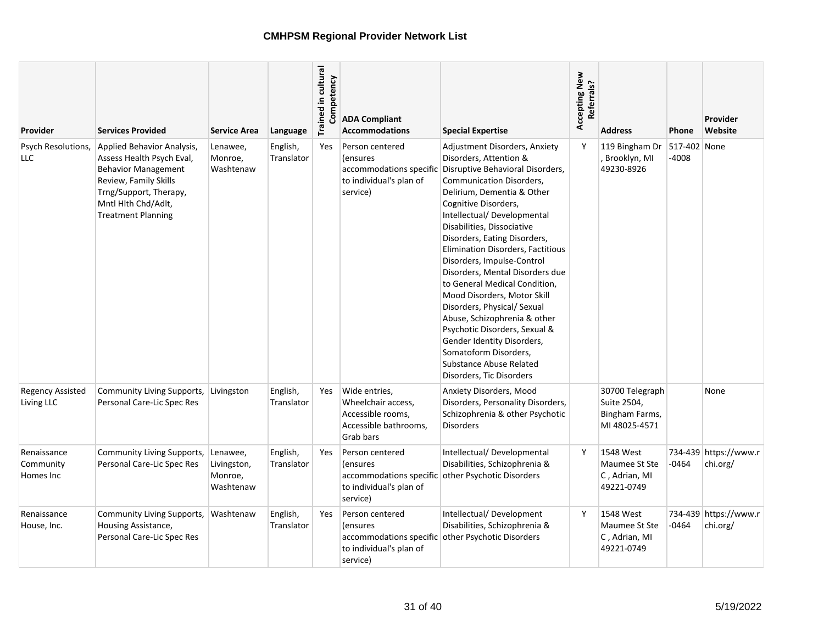| Provider                              | <b>Services Provided</b>                                                                                                                                                                     | <b>Service Area</b>                             | Language               | Trained in cultural<br>Competency | <b>ADA Compliant</b><br><b>Accommodations</b>                                                         | <b>Special Expertise</b>                                                                                                                                                                                                                                                                                                                                                                                                                                                                                                                                                                                                                                      | Accepting New<br>Referrals? | <b>Address</b>                                                    | Phone                 | Provider<br>Website               |
|---------------------------------------|----------------------------------------------------------------------------------------------------------------------------------------------------------------------------------------------|-------------------------------------------------|------------------------|-----------------------------------|-------------------------------------------------------------------------------------------------------|---------------------------------------------------------------------------------------------------------------------------------------------------------------------------------------------------------------------------------------------------------------------------------------------------------------------------------------------------------------------------------------------------------------------------------------------------------------------------------------------------------------------------------------------------------------------------------------------------------------------------------------------------------------|-----------------------------|-------------------------------------------------------------------|-----------------------|-----------------------------------|
| Psych Resolutions,<br>LLC             | Applied Behavior Analysis,<br>Assess Health Psych Eval,<br><b>Behavior Management</b><br>Review, Family Skills<br>Trng/Support, Therapy,<br>Mntl Hith Chd/Adlt,<br><b>Treatment Planning</b> | Lenawee,<br>Monroe,<br>Washtenaw                | English,<br>Translator | Yes                               | Person centered<br><i>(ensures)</i><br>accommodations specific<br>to individual's plan of<br>service) | Adjustment Disorders, Anxiety<br>Disorders, Attention &<br>Disruptive Behavioral Disorders,<br>Communication Disorders,<br>Delirium, Dementia & Other<br>Cognitive Disorders,<br>Intellectual/Developmental<br>Disabilities, Dissociative<br>Disorders, Eating Disorders,<br>Elimination Disorders, Factitious<br>Disorders, Impulse-Control<br>Disorders, Mental Disorders due<br>to General Medical Condition,<br>Mood Disorders, Motor Skill<br>Disorders, Physical/ Sexual<br>Abuse, Schizophrenia & other<br>Psychotic Disorders, Sexual &<br>Gender Identity Disorders,<br>Somatoform Disorders,<br>Substance Abuse Related<br>Disorders, Tic Disorders | Y                           | 119 Bingham Dr<br>, Brooklyn, MI<br>49230-8926                    | 517-402 None<br>-4008 |                                   |
| <b>Regency Assisted</b><br>Living LLC | Community Living Supports,<br>Personal Care-Lic Spec Res                                                                                                                                     | Livingston                                      | English,<br>Translator | Yes                               | Wide entries,<br>Wheelchair access,<br>Accessible rooms,<br>Accessible bathrooms,<br>Grab bars        | Anxiety Disorders, Mood<br>Disorders, Personality Disorders,<br>Schizophrenia & other Psychotic<br><b>Disorders</b>                                                                                                                                                                                                                                                                                                                                                                                                                                                                                                                                           |                             | 30700 Telegraph<br>Suite 2504,<br>Bingham Farms,<br>MI 48025-4571 |                       | None                              |
| Renaissance<br>Community<br>Homes Inc | Community Living Supports,<br>Personal Care-Lic Spec Res                                                                                                                                     | Lenawee,<br>Livingston,<br>Monroe,<br>Washtenaw | English,<br>Translator | Yes                               | Person centered<br><i>(ensures)</i><br>to individual's plan of<br>service)                            | Intellectual/ Developmental<br>Disabilities, Schizophrenia &<br>accommodations specific other Psychotic Disorders                                                                                                                                                                                                                                                                                                                                                                                                                                                                                                                                             | Y                           | 1548 West<br>Maumee St Ste<br>C, Adrian, MI<br>49221-0749         | -0464                 | 734-439 https://www.r<br>chi.org/ |
| Renaissance<br>House, Inc.            | Community Living Supports,<br>Housing Assistance,<br>Personal Care-Lic Spec Res                                                                                                              | Washtenaw                                       | English,<br>Translator | Yes                               | Person centered<br><i>(ensures)</i><br>to individual's plan of<br>service)                            | Intellectual/Development<br>Disabilities, Schizophrenia &<br>accommodations specific other Psychotic Disorders                                                                                                                                                                                                                                                                                                                                                                                                                                                                                                                                                | Y                           | 1548 West<br>Maumee St Ste<br>C, Adrian, MI<br>49221-0749         | -0464                 | 734-439 https://www.r<br>chi.org/ |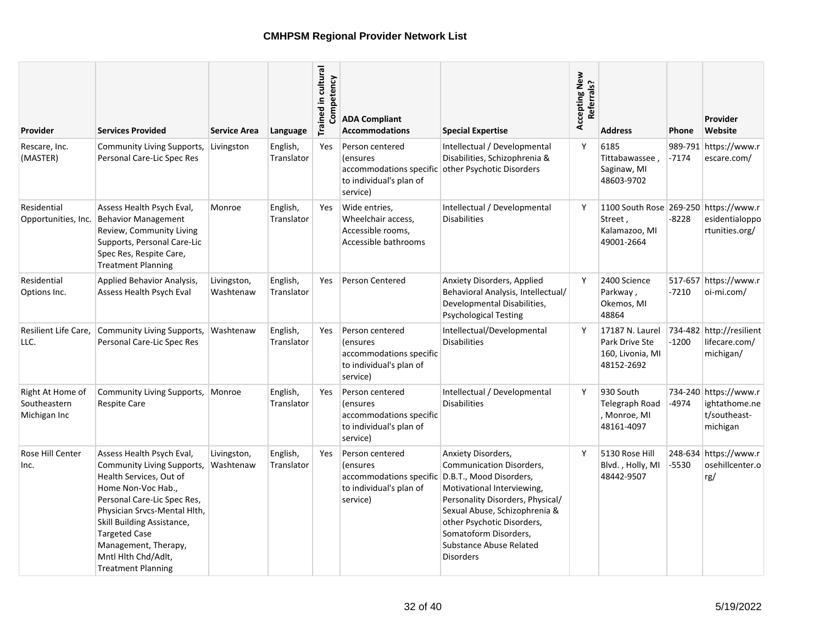| Provider                                         | Services Provided                                                                                                                                                                                                                                                                                         | <b>Service Area</b>      | Language               | Trained in cultural<br>Competency | <b>ADA Compliant</b><br><b>Accommodations</b>                                                 | <b>Special Expertise</b>                                                                                                                                                                                                                                                           | Accepting New<br>Referrals? | <b>Address</b>                                                                  | Phone   | <b>Provider</b><br>Website                                         |
|--------------------------------------------------|-----------------------------------------------------------------------------------------------------------------------------------------------------------------------------------------------------------------------------------------------------------------------------------------------------------|--------------------------|------------------------|-----------------------------------|-----------------------------------------------------------------------------------------------|------------------------------------------------------------------------------------------------------------------------------------------------------------------------------------------------------------------------------------------------------------------------------------|-----------------------------|---------------------------------------------------------------------------------|---------|--------------------------------------------------------------------|
| Rescare, Inc.<br>(MASTER)                        | <b>Community Living Supports,</b><br>Personal Care-Lic Spec Res                                                                                                                                                                                                                                           | Livingston               | English,<br>Translator | Yes                               | Person centered<br>(ensures<br>to individual's plan of<br>service)                            | Intellectual / Developmental<br>Disabilities, Schizophrenia &<br>accommodations specific other Psychotic Disorders                                                                                                                                                                 | Y                           | 6185<br>Tittabawassee.<br>Saginaw, MI<br>48603-9702                             | $-7174$ | 989-791 https://www.r<br>escare.com/                               |
| Residential<br>Opportunities, Inc.               | Assess Health Psych Eval,<br><b>Behavior Management</b><br>Review, Community Living<br>Supports, Personal Care-Lic<br>Spec Res, Respite Care,<br><b>Treatment Planning</b>                                                                                                                                | Monroe                   | English,<br>Translator | Yes                               | Wide entries,<br>Wheelchair access,<br>Accessible rooms,<br>Accessible bathrooms              | Intellectual / Developmental<br><b>Disabilities</b>                                                                                                                                                                                                                                | Y                           | 1100 South Rose 269-250 https://www.r<br>Street,<br>Kalamazoo, MI<br>49001-2664 | -8228   | esidentialoppo<br>rtunities.org/                                   |
| Residential<br>Options Inc.                      | Applied Behavior Analysis,<br>Assess Health Psych Eval                                                                                                                                                                                                                                                    | Livingston,<br>Washtenaw | English,<br>Translator | Yes                               | <b>Person Centered</b>                                                                        | Anxiety Disorders, Applied<br>Behavioral Analysis, Intellectual/<br>Developmental Disabilities,<br><b>Psychological Testing</b>                                                                                                                                                    | Y                           | 2400 Science<br>Parkway,<br>Okemos, MI<br>48864                                 | $-7210$ | 517-657 https://www.r<br>oi-mi.com/                                |
| Resilient Life Care,<br>LLC.                     | Community Living Supports,<br>Personal Care-Lic Spec Res                                                                                                                                                                                                                                                  | Washtenaw                | English,<br>Translator | Yes                               | Person centered<br>(ensures<br>accommodations specific<br>to individual's plan of<br>service) | Intellectual/Developmental<br><b>Disabilities</b>                                                                                                                                                                                                                                  | Y                           | 17187 N. Laurel<br>Park Drive Ste<br>160, Livonia, MI<br>48152-2692             | $-1200$ | 734-482 http://resilient<br>lifecare.com/<br>michigan/             |
| Right At Home of<br>Southeastern<br>Michigan Inc | Community Living Supports,<br><b>Respite Care</b>                                                                                                                                                                                                                                                         | Monroe                   | English,<br>Translator | Yes                               | Person centered<br>(ensures<br>accommodations specific<br>to individual's plan of<br>service) | Intellectual / Developmental<br><b>Disabilities</b>                                                                                                                                                                                                                                | Y                           | 930 South<br>Telegraph Road<br>Monroe, MI<br>48161-4097                         | -4974   | 734-240 https://www.r<br>ightathome.ne<br>t/southeast-<br>michigan |
| Rose Hill Center<br>Inc.                         | Assess Health Psych Eval,<br>Community Living Supports,<br>Health Services, Out of<br>Home Non-Voc Hab.,<br>Personal Care-Lic Spec Res,<br>Physician Srvcs-Mental Hlth,<br>Skill Building Assistance,<br><b>Targeted Case</b><br>Management, Therapy,<br>Mntl Hlth Chd/Adlt,<br><b>Treatment Planning</b> | Livingston,<br>Washtenaw | English,<br>Translator | Yes                               | Person centered<br>(ensures<br>accommodations specific<br>to individual's plan of<br>service) | Anxiety Disorders,<br>Communication Disorders,<br>D.B.T., Mood Disorders,<br>Motivational Interviewing,<br>Personality Disorders, Physical/<br>Sexual Abuse, Schizophrenia &<br>other Psychotic Disorders,<br>Somatoform Disorders.<br>Substance Abuse Related<br><b>Disorders</b> | Y                           | 5130 Rose Hill<br>Blvd., Holly, MI<br>48442-9507                                | -5530   | 248-634 https://www.r<br>osehillcenter.o<br>rg/                    |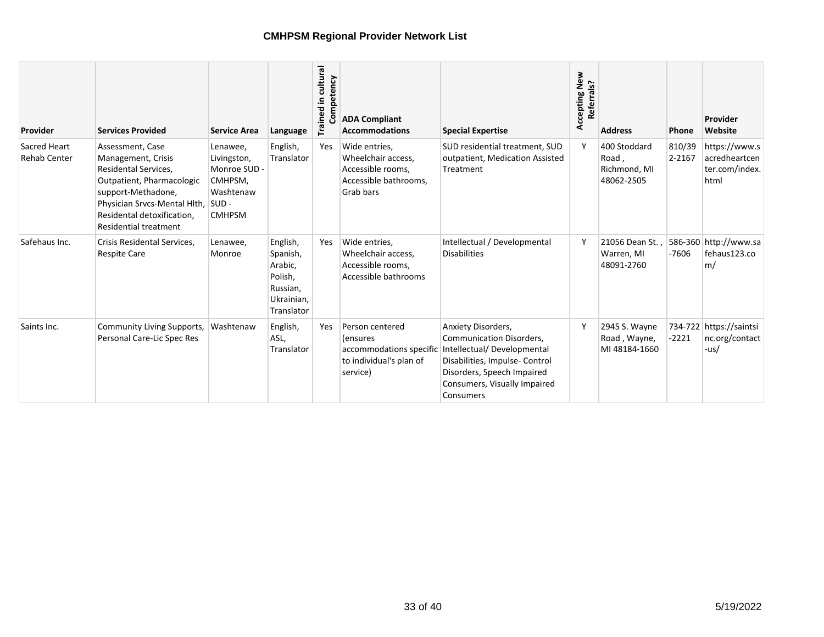| Provider                                   | <b>Services Provided</b>                                                                                                                                                                                        | <b>Service Area</b>                                                                         | Language                                                                           | Trained in cultural<br>mpetency | <b>ADA Compliant</b><br><b>Accommodations</b>                                                  | <b>Special Expertise</b>                                                                                                                                                                  | Accepting New<br>Referrals? | <b>Address</b>                                      | Phone            | Provider<br>Website                                      |
|--------------------------------------------|-----------------------------------------------------------------------------------------------------------------------------------------------------------------------------------------------------------------|---------------------------------------------------------------------------------------------|------------------------------------------------------------------------------------|---------------------------------|------------------------------------------------------------------------------------------------|-------------------------------------------------------------------------------------------------------------------------------------------------------------------------------------------|-----------------------------|-----------------------------------------------------|------------------|----------------------------------------------------------|
| <b>Sacred Heart</b><br><b>Rehab Center</b> | Assessment, Case<br>Management, Crisis<br>Residental Services,<br>Outpatient, Pharmacologic<br>support-Methadone,<br>Physician Srvcs-Mental Hlth,<br>Residental detoxification,<br><b>Residential treatment</b> | Lenawee,<br>Livingston,<br>Monroe SUD -<br>CMHPSM,<br>Washtenaw<br>$SUB -$<br><b>CMHPSM</b> | English,<br>Translator                                                             | Yes                             | Wide entries,<br>Wheelchair access,<br>Accessible rooms,<br>Accessible bathrooms,<br>Grab bars | SUD residential treatment, SUD<br>outpatient, Medication Assisted<br>Treatment                                                                                                            |                             | 400 Stoddard<br>Road,<br>Richmond, MI<br>48062-2505 | 810/39<br>2-2167 | https://www.s<br>acredheartcen<br>ter.com/index.<br>html |
| Safehaus Inc.                              | Crisis Residental Services,<br><b>Respite Care</b>                                                                                                                                                              | Lenawee,<br>Monroe                                                                          | English,<br>Spanish,<br>Arabic,<br>Polish,<br>Russian,<br>Ukrainian,<br>Translator | Yes                             | Wide entries,<br>Wheelchair access.<br>Accessible rooms,<br>Accessible bathrooms               | Intellectual / Developmental<br><b>Disabilities</b>                                                                                                                                       | Y                           | 21056 Dean St<br>Warren, MI<br>48091-2760           | $-7606$          | 586-360 http://www.sa<br>fehaus123.co<br>m/              |
| Saints Inc.                                | <b>Community Living Supports,</b><br>Personal Care-Lic Spec Res                                                                                                                                                 | Washtenaw                                                                                   | English,<br>ASL,<br>Translator                                                     | Yes                             | Person centered<br>(ensures<br>accommodations specific<br>to individual's plan of<br>service)  | Anxiety Disorders,<br>Communication Disorders,<br>Intellectual/Developmental<br>Disabilities, Impulse- Control<br>Disorders, Speech Impaired<br>Consumers, Visually Impaired<br>Consumers | ۷                           | 2945 S. Wayne<br>Road, Wayne,<br>MI 48184-1660      | $-2221$          | 734-722 https://saintsi<br>nc.org/contact<br>-us/        |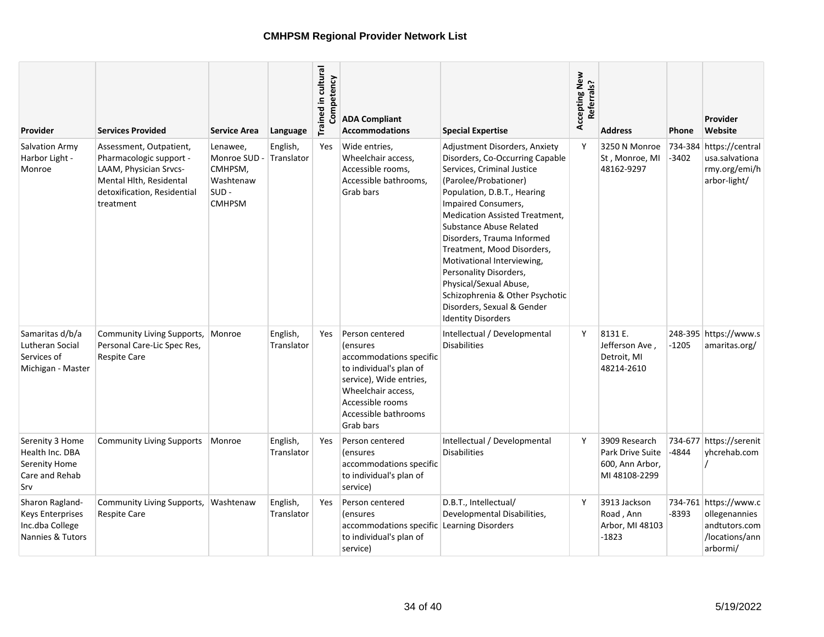| Provider                                                                          | <b>Services Provided</b>                                                                                                                            | <b>Service Area</b>                                                          | Language               | Trained in cultural<br>Competency | <b>ADA Compliant</b><br><b>Accommodations</b>                                                                                                                                                       | <b>Special Expertise</b>                                                                                                                                                                                                                                                                                                                                                                                                                                                                      | Accepting New<br>Referrals? | <b>Address</b>                                                        | Phone   | Provider<br>Website                                                                   |
|-----------------------------------------------------------------------------------|-----------------------------------------------------------------------------------------------------------------------------------------------------|------------------------------------------------------------------------------|------------------------|-----------------------------------|-----------------------------------------------------------------------------------------------------------------------------------------------------------------------------------------------------|-----------------------------------------------------------------------------------------------------------------------------------------------------------------------------------------------------------------------------------------------------------------------------------------------------------------------------------------------------------------------------------------------------------------------------------------------------------------------------------------------|-----------------------------|-----------------------------------------------------------------------|---------|---------------------------------------------------------------------------------------|
| <b>Salvation Army</b><br>Harbor Light -<br>Monroe                                 | Assessment, Outpatient,<br>Pharmacologic support -<br>LAAM, Physician Srvcs-<br>Mental Hlth, Residental<br>detoxification, Residential<br>treatment | Lenawee,<br>Monroe SUD -<br>CMHPSM,<br>Washtenaw<br>$SUB -$<br><b>CMHPSM</b> | English,<br>Translator | Yes                               | Wide entries,<br>Wheelchair access,<br>Accessible rooms,<br>Accessible bathrooms,<br>Grab bars                                                                                                      | Adjustment Disorders, Anxiety<br>Disorders, Co-Occurring Capable<br>Services, Criminal Justice<br>(Parolee/Probationer)<br>Population, D.B.T., Hearing<br>Impaired Consumers,<br><b>Medication Assisted Treatment.</b><br>Substance Abuse Related<br>Disorders, Trauma Informed<br>Treatment, Mood Disorders,<br>Motivational Interviewing,<br>Personality Disorders,<br>Physical/Sexual Abuse,<br>Schizophrenia & Other Psychotic<br>Disorders, Sexual & Gender<br><b>Identity Disorders</b> | Y                           | 3250 N Monroe<br>St, Monroe, MI<br>48162-9297                         | $-3402$ | 734-384 https://central<br>usa.salvationa<br>rmy.org/emi/h<br>arbor-light/            |
| Samaritas d/b/a<br>Lutheran Social<br>Services of<br>Michigan - Master            | Community Living Supports,<br>Personal Care-Lic Spec Res,<br><b>Respite Care</b>                                                                    | Monroe                                                                       | English,<br>Translator | Yes                               | Person centered<br><i>l</i> ensures<br>accommodations specific<br>to individual's plan of<br>service), Wide entries,<br>Wheelchair access,<br>Accessible rooms<br>Accessible bathrooms<br>Grab bars | Intellectual / Developmental<br><b>Disabilities</b>                                                                                                                                                                                                                                                                                                                                                                                                                                           | Y                           | 8131 E.<br>Jefferson Ave,<br>Detroit, MI<br>48214-2610                | $-1205$ | 248-395 https://www.s<br>amaritas.org/                                                |
| Serenity 3 Home<br>Health Inc. DBA<br>Serenity Home<br>Care and Rehab<br>Srv      | <b>Community Living Supports</b>                                                                                                                    | Monroe                                                                       | English,<br>Translator | Yes                               | Person centered<br><i>(ensures)</i><br>accommodations specific<br>to individual's plan of<br>service)                                                                                               | Intellectual / Developmental<br><b>Disabilities</b>                                                                                                                                                                                                                                                                                                                                                                                                                                           | Y                           | 3909 Research<br>Park Drive Suite<br>600, Ann Arbor,<br>MI 48108-2299 | -4844   | 734-677 https://serenit<br>vhcrehab.com                                               |
| Sharon Ragland-<br><b>Keys Enterprises</b><br>Inc.dba College<br>Nannies & Tutors | Community Living Supports,<br><b>Respite Care</b>                                                                                                   | Washtenaw                                                                    | English,<br>Translator | Yes                               | Person centered<br><i>(ensures)</i><br>accommodations specific<br>to individual's plan of<br>service)                                                                                               | D.B.T., Intellectual/<br>Developmental Disabilities,<br>Learning Disorders                                                                                                                                                                                                                                                                                                                                                                                                                    | Y                           | 3913 Jackson<br>Road, Ann<br>Arbor, MI 48103<br>-1823                 | -8393   | 734-761 https://www.c<br>ollegenannies<br>andtutors.com<br>/locations/ann<br>arbormi/ |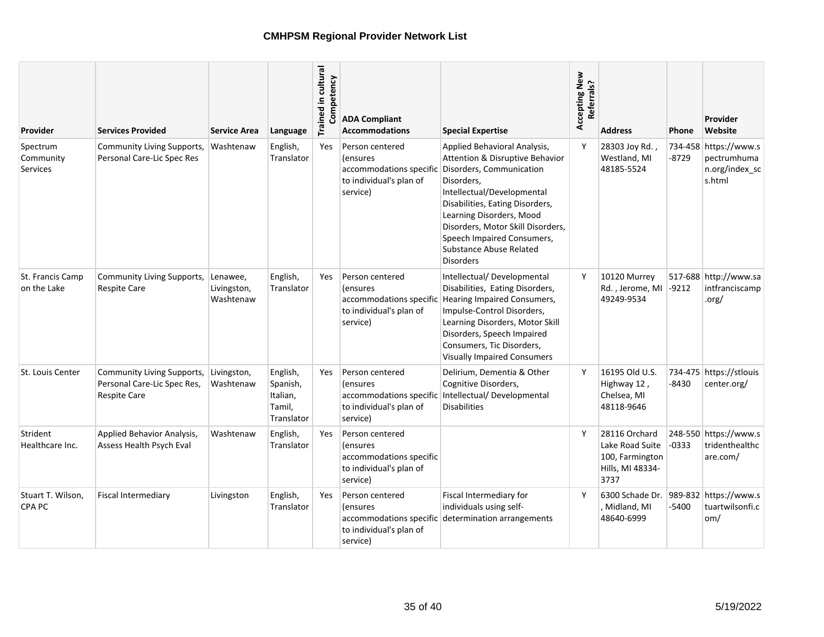| <b>Provider</b>                          | <b>Services Provided</b>                                                         | <b>Service Area</b>                  | Language                                                 | Trained in cultural<br>Competency | <b>ADA Compliant</b><br><b>Accommodations</b>                                                                      | <b>Special Expertise</b>                                                                                                                                                                                                                                                                                                        | Accepting New<br>Referrals? | <b>Address</b>                                                                  | <b>Phone</b> | Provider<br>Website                                              |
|------------------------------------------|----------------------------------------------------------------------------------|--------------------------------------|----------------------------------------------------------|-----------------------------------|--------------------------------------------------------------------------------------------------------------------|---------------------------------------------------------------------------------------------------------------------------------------------------------------------------------------------------------------------------------------------------------------------------------------------------------------------------------|-----------------------------|---------------------------------------------------------------------------------|--------------|------------------------------------------------------------------|
| Spectrum<br>Community<br><b>Services</b> | Community Living Supports,<br>Personal Care-Lic Spec Res                         | Washtenaw                            | English,<br>Translator                                   | Yes                               | Person centered<br><i>(ensures)</i><br>accommodations specific<br>to individual's plan of<br>service)              | Applied Behavioral Analysis,<br>Attention & Disruptive Behavior<br>Disorders, Communication<br>Disorders,<br>Intellectual/Developmental<br>Disabilities, Eating Disorders,<br>Learning Disorders, Mood<br>Disorders, Motor Skill Disorders,<br>Speech Impaired Consumers,<br><b>Substance Abuse Related</b><br><b>Disorders</b> | Y                           | 28303 Joy Rd.<br>Westland, MI<br>48185-5524                                     | $-8729$      | 734-458 https://www.s<br>pectrumhuma<br>n.org/index sc<br>s.html |
| St. Francis Camp<br>on the Lake          | Community Living Supports,<br><b>Respite Care</b>                                | Lenawee,<br>Livingston,<br>Washtenaw | English,<br>Translator                                   | Yes                               | Person centered<br><i>(ensures)</i><br>accommodations specific<br>to individual's plan of<br>service)              | Intellectual/Developmental<br>Disabilities, Eating Disorders,<br>Hearing Impaired Consumers,<br>Impulse-Control Disorders,<br>Learning Disorders, Motor Skill<br>Disorders, Speech Impaired<br>Consumers, Tic Disorders,<br><b>Visually Impaired Consumers</b>                                                                  | Y                           | 10120 Murrey<br>Rd., Jerome, MI<br>49249-9534                                   | $-9212$      | 517-688 http://www.sa<br>intfranciscamp<br>.org/                 |
| St. Louis Center                         | Community Living Supports,<br>Personal Care-Lic Spec Res,<br><b>Respite Care</b> | Livingston,<br>Washtenaw             | English,<br>Spanish,<br>Italian,<br>Tamil,<br>Translator | Yes                               | Person centered<br><i>(ensures)</i><br>accommodations specific<br>to individual's plan of<br>service)              | Delirium, Dementia & Other<br>Cognitive Disorders,<br>Intellectual/Developmental<br><b>Disabilities</b>                                                                                                                                                                                                                         | Υ                           | 16195 Old U.S.<br>Highway 12,<br>Chelsea, MI<br>48118-9646                      | $-8430$      | 734-475 https://stlouis<br>center.org/                           |
| Strident<br>Healthcare Inc.              | Applied Behavior Analysis,<br>Assess Health Psych Eval                           | Washtenaw                            | English,<br>Translator                                   | Yes                               | Person centered<br><i>l</i> ensures<br>accommodations specific<br>to individual's plan of<br>service)              |                                                                                                                                                                                                                                                                                                                                 | Y                           | 28116 Orchard<br>Lake Road Suite<br>100, Farmington<br>Hills, MI 48334-<br>3737 | -0333        | 248-550 https://www.s<br>tridenthealthc<br>are.com/              |
| Stuart T. Wilson,<br>CPA PC              | <b>Fiscal Intermediary</b>                                                       | Livingston                           | English,<br>Translator                                   | Yes                               | Person centered<br><i><u><b>Consures</b></u></i><br>accommodations specific<br>to individual's plan of<br>service) | Fiscal Intermediary for<br>individuals using self-<br>determination arrangements                                                                                                                                                                                                                                                | Y                           | 6300 Schade Dr.<br>, Midland, MI<br>48640-6999                                  | -5400        | 989-832 https://www.s<br>tuartwilsonfi.c<br>om/                  |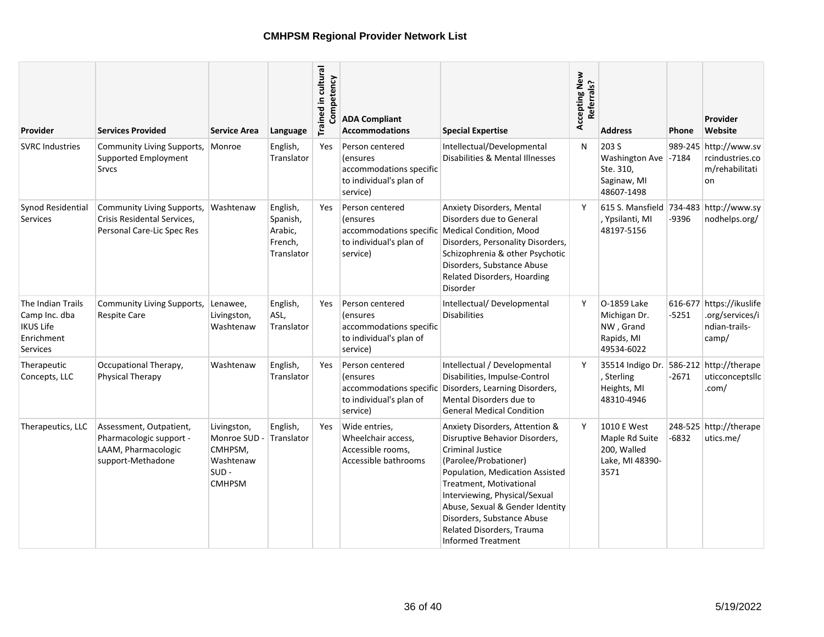| <b>Provider</b>                                                                  | <b>Services Provided</b>                                                                       | <b>Service Area</b>                                                          | Language                                                 | Trained in cultural<br>Competency | <b>ADA Compliant</b><br><b>Accommodations</b>                                                         | <b>Special Expertise</b>                                                                                                                                                                                                                                                                                                                       | Accepting New<br>Referrals? | <b>Address</b>                                                          | <b>Phone</b> | Provider<br>Website                                                   |
|----------------------------------------------------------------------------------|------------------------------------------------------------------------------------------------|------------------------------------------------------------------------------|----------------------------------------------------------|-----------------------------------|-------------------------------------------------------------------------------------------------------|------------------------------------------------------------------------------------------------------------------------------------------------------------------------------------------------------------------------------------------------------------------------------------------------------------------------------------------------|-----------------------------|-------------------------------------------------------------------------|--------------|-----------------------------------------------------------------------|
| <b>SVRC Industries</b>                                                           | Community Living Supports,<br>Supported Employment<br><b>Srvcs</b>                             | Monroe                                                                       | English,<br>Translator                                   | <b>Yes</b>                        | Person centered<br>(ensures<br>accommodations specific<br>to individual's plan of<br>service)         | Intellectual/Developmental<br>Disabilities & Mental Illnesses                                                                                                                                                                                                                                                                                  | N                           | 203 S<br>Washington Ave -7184<br>Ste. 310,<br>Saginaw, MI<br>48607-1498 |              | 989-245 http://www.sv<br>rcindustries.co<br>m/rehabilitati<br>on      |
| Synod Residential<br>Services                                                    | Community Living Supports,<br>Crisis Residental Services,<br>Personal Care-Lic Spec Res        | Washtenaw                                                                    | English,<br>Spanish,<br>Arabic,<br>French,<br>Translator | <b>Yes</b>                        | Person centered<br><i>l</i> ensures<br>accommodations specific<br>to individual's plan of<br>service) | <b>Anxiety Disorders, Mental</b><br>Disorders due to General<br>Medical Condition, Mood<br>Disorders, Personality Disorders,<br>Schizophrenia & other Psychotic<br>Disorders, Substance Abuse<br><b>Related Disorders, Hoarding</b><br>Disorder                                                                                                | Y                           | 615 S. Mansfield 734-483 http://www.sy<br>, Ypsilanti, MI<br>48197-5156 | -9396        | nodhelps.org/                                                         |
| The Indian Trails<br>Camp Inc. dba<br><b>IKUS Life</b><br>Enrichment<br>Services | <b>Community Living Supports,</b><br><b>Respite Care</b>                                       | Lenawee,<br>Livingston,<br>Washtenaw                                         | English,<br>ASL,<br>Translator                           | <b>Yes</b>                        | Person centered<br><i>(ensures</i><br>accommodations specific<br>to individual's plan of<br>service)  | Intellectual/Developmental<br><b>Disabilities</b>                                                                                                                                                                                                                                                                                              | Y                           | O-1859 Lake<br>Michigan Dr.<br>NW, Grand<br>Rapids, MI<br>49534-6022    | $-5251$      | 616-677 https://ikuslife<br>.org/services/i<br>ndian-trails-<br>camp/ |
| Therapeutic<br>Concepts, LLC                                                     | Occupational Therapy,<br><b>Physical Therapy</b>                                               | Washtenaw                                                                    | English,<br>Translator                                   | <b>Yes</b>                        | Person centered<br><i>lensures</i><br>accommodations specific<br>to individual's plan of<br>service)  | Intellectual / Developmental<br>Disabilities, Impulse-Control<br>Disorders, Learning Disorders,<br>Mental Disorders due to<br><b>General Medical Condition</b>                                                                                                                                                                                 | Y                           | 35514 Indigo Dr.<br>, Sterling<br>Heights, MI<br>48310-4946             | $-2671$      | 586-212 http://therape<br>uticconceptsllc<br>.com/                    |
| Therapeutics, LLC                                                                | Assessment, Outpatient,<br>Pharmacologic support -<br>LAAM, Pharmacologic<br>support-Methadone | Livingston,<br>Monroe SUD -<br>CMHPSM,<br>Washtenaw<br>SUD-<br><b>CMHPSM</b> | English,<br>Translator                                   | Yes                               | Wide entries,<br>Wheelchair access,<br>Accessible rooms,<br>Accessible bathrooms                      | Anxiety Disorders, Attention &<br>Disruptive Behavior Disorders,<br><b>Criminal Justice</b><br>(Parolee/Probationer)<br>Population, Medication Assisted<br>Treatment, Motivational<br>Interviewing, Physical/Sexual<br>Abuse, Sexual & Gender Identity<br>Disorders, Substance Abuse<br>Related Disorders, Trauma<br><b>Informed Treatment</b> | Y                           | 1010 E West<br>Maple Rd Suite<br>200, Walled<br>Lake, MI 48390-<br>3571 | $-6832$      | 248-525 http://therape<br>utics.me/                                   |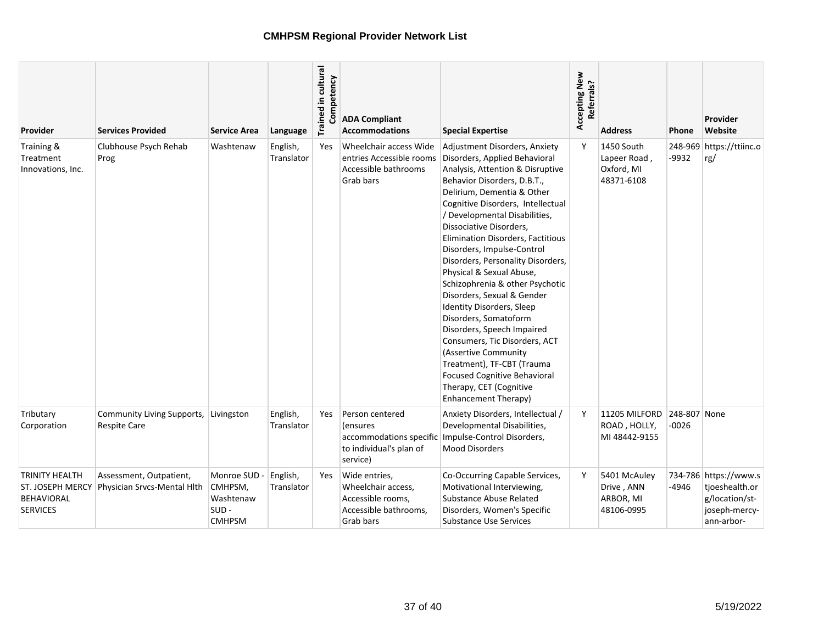| Provider                                                                   | <b>Services Provided</b>                               | <b>Service Area</b>                                              | Language               | Trained in cultural<br>Competency | <b>ADA Compliant</b><br><b>Accommodations</b>                                                         | <b>Special Expertise</b>                                                                                                                                                                                                                                                                                                                                                                                                                                                                                                                                                                                                                                                                                                                   | Accepting New<br>Referrals? | <b>Address</b>                                         | <b>Phone</b>            | Provider<br>Website                                                                      |
|----------------------------------------------------------------------------|--------------------------------------------------------|------------------------------------------------------------------|------------------------|-----------------------------------|-------------------------------------------------------------------------------------------------------|--------------------------------------------------------------------------------------------------------------------------------------------------------------------------------------------------------------------------------------------------------------------------------------------------------------------------------------------------------------------------------------------------------------------------------------------------------------------------------------------------------------------------------------------------------------------------------------------------------------------------------------------------------------------------------------------------------------------------------------------|-----------------------------|--------------------------------------------------------|-------------------------|------------------------------------------------------------------------------------------|
| Training &<br>Treatment<br>Innovations, Inc.                               | Clubhouse Psych Rehab<br>Prog                          | Washtenaw                                                        | English,<br>Translator | Yes                               | Wheelchair access Wide<br>entries Accessible rooms<br>Accessible bathrooms<br>Grab bars               | Adjustment Disorders, Anxiety<br>Disorders, Applied Behavioral<br>Analysis, Attention & Disruptive<br>Behavior Disorders, D.B.T.,<br>Delirium, Dementia & Other<br>Cognitive Disorders, Intellectual<br>/ Developmental Disabilities,<br>Dissociative Disorders,<br>Elimination Disorders, Factitious<br>Disorders, Impulse-Control<br>Disorders, Personality Disorders,<br>Physical & Sexual Abuse,<br>Schizophrenia & other Psychotic<br>Disorders, Sexual & Gender<br>Identity Disorders, Sleep<br>Disorders, Somatoform<br>Disorders, Speech Impaired<br>Consumers, Tic Disorders, ACT<br>(Assertive Community<br>Treatment), TF-CBT (Trauma<br><b>Focused Cognitive Behavioral</b><br>Therapy, CET (Cognitive<br>Enhancement Therapy) | Y                           | 1450 South<br>Lapeer Road,<br>Oxford, MI<br>48371-6108 | $-9932$                 | 248-969 https://ttiinc.o<br>rg/                                                          |
| Tributary<br>Corporation                                                   | Community Living Supports,<br><b>Respite Care</b>      | Livingston                                                       | English,<br>Translator | Yes                               | Person centered<br><i>(ensures)</i><br>accommodations specific<br>to individual's plan of<br>service) | Anxiety Disorders, Intellectual /<br>Developmental Disabilities,<br>Impulse-Control Disorders,<br><b>Mood Disorders</b>                                                                                                                                                                                                                                                                                                                                                                                                                                                                                                                                                                                                                    | Y                           | 11205 MILFORD<br>ROAD, HOLLY,<br>MI 48442-9155         | 248-807 None<br>$-0026$ |                                                                                          |
| TRINITY HEALTH<br>ST. JOSEPH MERCY<br><b>BEHAVIORAL</b><br><b>SERVICES</b> | Assessment, Outpatient,<br>Physician Srvcs-Mental Hlth | Monroe SUD -<br>CMHPSM,<br>Washtenaw<br>$SUB -$<br><b>CMHPSM</b> | English,<br>Translator | Yes                               | Wide entries,<br>Wheelchair access,<br>Accessible rooms,<br>Accessible bathrooms,<br>Grab bars        | Co-Occurring Capable Services,<br>Motivational Interviewing,<br>Substance Abuse Related<br>Disorders, Women's Specific<br><b>Substance Use Services</b>                                                                                                                                                                                                                                                                                                                                                                                                                                                                                                                                                                                    | Y                           | 5401 McAuley<br>Drive, ANN<br>ARBOR, MI<br>48106-0995  | -4946                   | 734-786 https://www.s<br>tjoeshealth.or<br>g/location/st-<br>joseph-mercy-<br>ann-arbor- |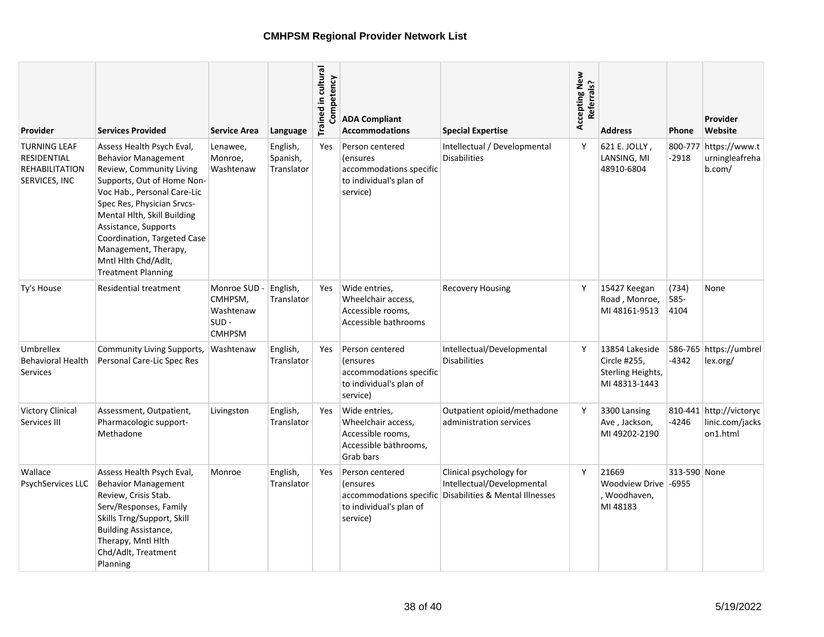| <b>Provider</b>                                                              | <b>Services Provided</b>                                                                                                                                                                                                                                                                                                                         | <b>Service Area</b>                                              | Language                           | Trained in cultural<br>Competency | <b>ADA Compliant</b><br><b>Accommodations</b>                                                         | <b>Special Expertise</b>                                                                                         | Accepting New<br>Referrals? | <b>Address</b>                                                       | <b>Phone</b>            | Provider<br>Website                                    |
|------------------------------------------------------------------------------|--------------------------------------------------------------------------------------------------------------------------------------------------------------------------------------------------------------------------------------------------------------------------------------------------------------------------------------------------|------------------------------------------------------------------|------------------------------------|-----------------------------------|-------------------------------------------------------------------------------------------------------|------------------------------------------------------------------------------------------------------------------|-----------------------------|----------------------------------------------------------------------|-------------------------|--------------------------------------------------------|
| <b>TURNING LEAF</b><br><b>RESIDENTIAL</b><br>REHABILITATION<br>SERVICES, INC | Assess Health Psych Eval,<br><b>Behavior Management</b><br>Review, Community Living<br>Supports, Out of Home Non-<br>Voc Hab., Personal Care-Lic<br>Spec Res, Physician Srvcs-<br>Mental Hlth, Skill Building<br>Assistance, Supports<br>Coordination, Targeted Case<br>Management, Therapy,<br>Mntl Hlth Chd/Adlt,<br><b>Treatment Planning</b> | Lenawee,<br>Monroe,<br>Washtenaw                                 | English,<br>Spanish,<br>Translator | <b>Yes</b>                        | Person centered<br><i>(ensures)</i><br>accommodations specific<br>to individual's plan of<br>service) | Intellectual / Developmental<br><b>Disabilities</b>                                                              | Y                           | 621 E. JOLLY,<br>LANSING, MI<br>48910-6804                           | $-2918$                 | 800-777 https://www.t<br>urningleafreha<br>b.com/      |
| Ty's House                                                                   | <b>Residential treatment</b>                                                                                                                                                                                                                                                                                                                     | Monroe SUD -<br>CMHPSM,<br>Washtenaw<br>$SUB -$<br><b>CMHPSM</b> | English,<br>Translator             | Yes                               | Wide entries,<br>Wheelchair access,<br>Accessible rooms,<br>Accessible bathrooms                      | <b>Recovery Housing</b>                                                                                          | Y                           | 15427 Keegan<br>Road, Monroe,<br>MI 48161-9513                       | (734)<br>585-<br>4104   | None                                                   |
| Umbrellex<br><b>Behavioral Health</b><br>Services                            | Community Living Supports,<br>Personal Care-Lic Spec Res                                                                                                                                                                                                                                                                                         | Washtenaw                                                        | English,<br>Translator             | Yes                               | Person centered<br><i>(ensures)</i><br>accommodations specific<br>to individual's plan of<br>service) | Intellectual/Developmental<br><b>Disabilities</b>                                                                | Y                           | 13854 Lakeside<br>Circle #255,<br>Sterling Heights,<br>MI 48313-1443 | -4342                   | 586-765 https://umbrel<br>lex.org/                     |
| <b>Victory Clinical</b><br>Services III                                      | Assessment, Outpatient,<br>Pharmacologic support-<br>Methadone                                                                                                                                                                                                                                                                                   | Livingston                                                       | English,<br>Translator             | Yes                               | Wide entries,<br>Wheelchair access,<br>Accessible rooms,<br>Accessible bathrooms,<br>Grab bars        | Outpatient opioid/methadone<br>administration services                                                           | Y                           | 3300 Lansing<br>Ave, Jackson,<br>MI 49202-2190                       | -4246                   | 810-441 http://victoryc<br>linic.com/jacks<br>on1.html |
| Wallace<br><b>PsychServices LLC</b>                                          | Assess Health Psych Eval,<br><b>Behavior Management</b><br>Review, Crisis Stab.<br>Serv/Responses, Family<br>Skills Trng/Support, Skill<br><b>Building Assistance,</b><br>Therapy, Mntl Hlth<br>Chd/Adlt, Treatment<br>Planning                                                                                                                  | Monroe                                                           | English,<br>Translator             | Yes                               | Person centered<br><i>(ensures)</i><br>to individual's plan of<br>service)                            | Clinical psychology for<br>Intellectual/Developmental<br>accommodations specific Disabilities & Mental Illnesses | Y                           | 21669<br>Woodview Drive<br>Woodhaven,<br>MI 48183                    | 313-590 None<br>$-6955$ |                                                        |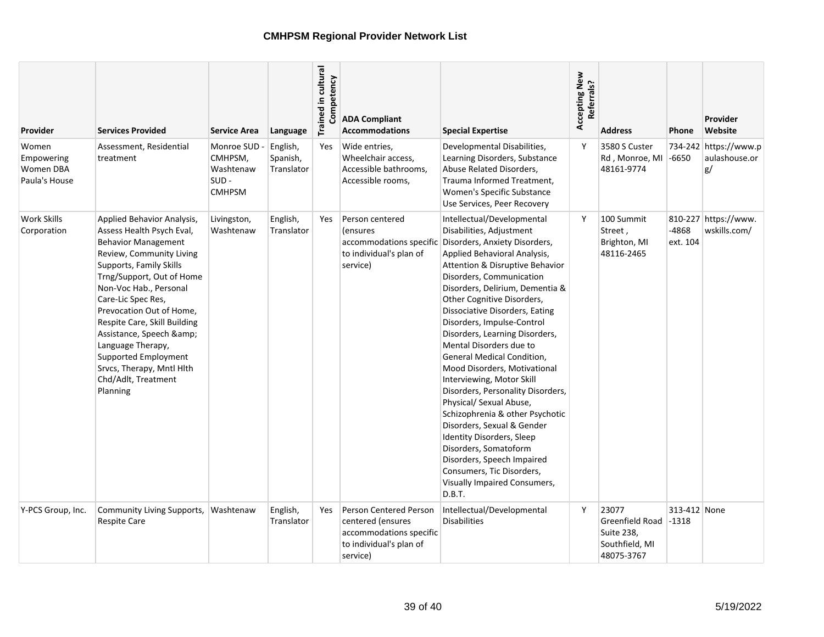| <b>Provider</b>                                   | <b>Services Provided</b>                                                                                                                                                                                                                                                                                                                                                                                                   | <b>Service Area</b>                                              | Language                           | Trained in cultural<br>Competency | <b>ADA Compliant</b><br><b>Accommodations</b>                                                                 | <b>Special Expertise</b>                                                                                                                                                                                                                                                                                                                                                                                                                                                                                                                                                                                                                                                                                                                                                                            | Accepting New<br>Referrals? | Address                                                                | Phone                   | Provider<br>Website                          |
|---------------------------------------------------|----------------------------------------------------------------------------------------------------------------------------------------------------------------------------------------------------------------------------------------------------------------------------------------------------------------------------------------------------------------------------------------------------------------------------|------------------------------------------------------------------|------------------------------------|-----------------------------------|---------------------------------------------------------------------------------------------------------------|-----------------------------------------------------------------------------------------------------------------------------------------------------------------------------------------------------------------------------------------------------------------------------------------------------------------------------------------------------------------------------------------------------------------------------------------------------------------------------------------------------------------------------------------------------------------------------------------------------------------------------------------------------------------------------------------------------------------------------------------------------------------------------------------------------|-----------------------------|------------------------------------------------------------------------|-------------------------|----------------------------------------------|
| Women<br>Empowering<br>Women DBA<br>Paula's House | Assessment, Residential<br>treatment                                                                                                                                                                                                                                                                                                                                                                                       | Monroe SUD -<br>CMHPSM,<br>Washtenaw<br>$SUB -$<br><b>CMHPSM</b> | English,<br>Spanish,<br>Translator | Yes                               | Wide entries,<br>Wheelchair access,<br>Accessible bathrooms,<br>Accessible rooms,                             | Developmental Disabilities,<br>Learning Disorders, Substance<br>Abuse Related Disorders,<br>Trauma Informed Treatment,<br>Women's Specific Substance<br>Use Services, Peer Recovery                                                                                                                                                                                                                                                                                                                                                                                                                                                                                                                                                                                                                 | Y                           | 3580 S Custer<br>Rd, Monroe, MI<br>48161-9774                          | $-6650$                 | 734-242 https://www.p<br>aulashouse.or<br>g/ |
| <b>Work Skills</b><br>Corporation                 | Applied Behavior Analysis,<br>Assess Health Psych Eval,<br><b>Behavior Management</b><br>Review, Community Living<br>Supports, Family Skills<br>Trng/Support, Out of Home<br>Non-Voc Hab., Personal<br>Care-Lic Spec Res,<br>Prevocation Out of Home,<br>Respite Care, Skill Building<br>Assistance, Speech &<br>Language Therapy,<br>Supported Employment<br>Srvcs, Therapy, Mntl Hlth<br>Chd/Adlt, Treatment<br>Planning | Livingston,<br>Washtenaw                                         | English,<br>Translator             | Yes                               | Person centered<br>(ensures<br>to individual's plan of<br>service)                                            | Intellectual/Developmental<br>Disabilities, Adjustment<br>accommodations specific Disorders, Anxiety Disorders,<br>Applied Behavioral Analysis,<br>Attention & Disruptive Behavior<br>Disorders, Communication<br>Disorders, Delirium, Dementia &<br>Other Cognitive Disorders,<br>Dissociative Disorders, Eating<br>Disorders, Impulse-Control<br>Disorders, Learning Disorders,<br>Mental Disorders due to<br>General Medical Condition,<br>Mood Disorders, Motivational<br>Interviewing, Motor Skill<br>Disorders, Personality Disorders,<br>Physical/ Sexual Abuse,<br>Schizophrenia & other Psychotic<br>Disorders, Sexual & Gender<br>Identity Disorders, Sleep<br>Disorders, Somatoform<br>Disorders, Speech Impaired<br>Consumers, Tic Disorders,<br>Visually Impaired Consumers,<br>D.B.T. | Υ                           | 100 Summit<br>Street,<br>Brighton, MI<br>48116-2465                    | -4868<br>ext. 104       | 810-227 https://www.<br>wskills.com/         |
| Y-PCS Group, Inc.                                 | Community Living Supports,<br><b>Respite Care</b>                                                                                                                                                                                                                                                                                                                                                                          | Washtenaw                                                        | English,<br>Translator             | Yes                               | Person Centered Person<br>centered (ensures<br>accommodations specific<br>to individual's plan of<br>service) | Intellectual/Developmental<br><b>Disabilities</b>                                                                                                                                                                                                                                                                                                                                                                                                                                                                                                                                                                                                                                                                                                                                                   | Y                           | 23077<br>Greenfield Road<br>Suite 238,<br>Southfield, MI<br>48075-3767 | 313-412 None<br>$-1318$ |                                              |